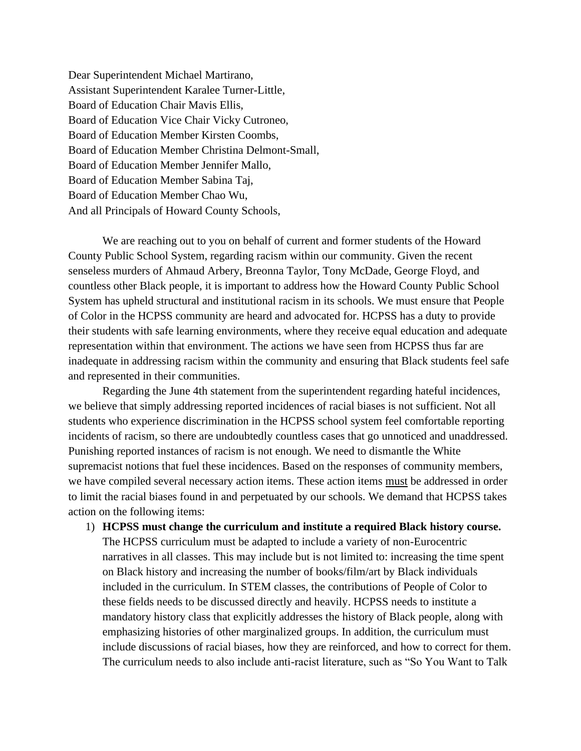Dear Superintendent Michael Martirano, Assistant Superintendent Karalee Turner-Little, Board of Education Chair Mavis Ellis, Board of Education Vice Chair Vicky Cutroneo, Board of Education Member Kirsten Coombs, Board of Education Member Christina Delmont-Small, Board of Education Member Jennifer Mallo, Board of Education Member Sabina Taj, Board of Education Member Chao Wu, And all Principals of Howard County Schools,

We are reaching out to you on behalf of current and former students of the Howard County Public School System, regarding racism within our community. Given the recent senseless murders of Ahmaud Arbery, Breonna Taylor, Tony McDade, George Floyd, and countless other Black people, it is important to address how the Howard County Public School System has upheld structural and institutional racism in its schools. We must ensure that People of Color in the HCPSS community are heard and advocated for. HCPSS has a duty to provide their students with safe learning environments, where they receive equal education and adequate representation within that environment. The actions we have seen from HCPSS thus far are inadequate in addressing racism within the community and ensuring that Black students feel safe and represented in their communities.

Regarding the June 4th statement from the superintendent regarding hateful incidences, we believe that simply addressing reported incidences of racial biases is not sufficient. Not all students who experience discrimination in the HCPSS school system feel comfortable reporting incidents of racism, so there are undoubtedly countless cases that go unnoticed and unaddressed. Punishing reported instances of racism is not enough. We need to dismantle the White supremacist notions that fuel these incidences. Based on the responses of community members, we have compiled several necessary action items. These action items must be addressed in order to limit the racial biases found in and perpetuated by our schools. We demand that HCPSS takes action on the following items:

1) **HCPSS must change the curriculum and institute a required Black history course.** The HCPSS curriculum must be adapted to include a variety of non-Eurocentric narratives in all classes. This may include but is not limited to: increasing the time spent on Black history and increasing the number of books/film/art by Black individuals included in the curriculum. In STEM classes, the contributions of People of Color to these fields needs to be discussed directly and heavily. HCPSS needs to institute a mandatory history class that explicitly addresses the history of Black people, along with emphasizing histories of other marginalized groups. In addition, the curriculum must include discussions of racial biases, how they are reinforced, and how to correct for them. The curriculum needs to also include anti-racist literature, such as "So You Want to Talk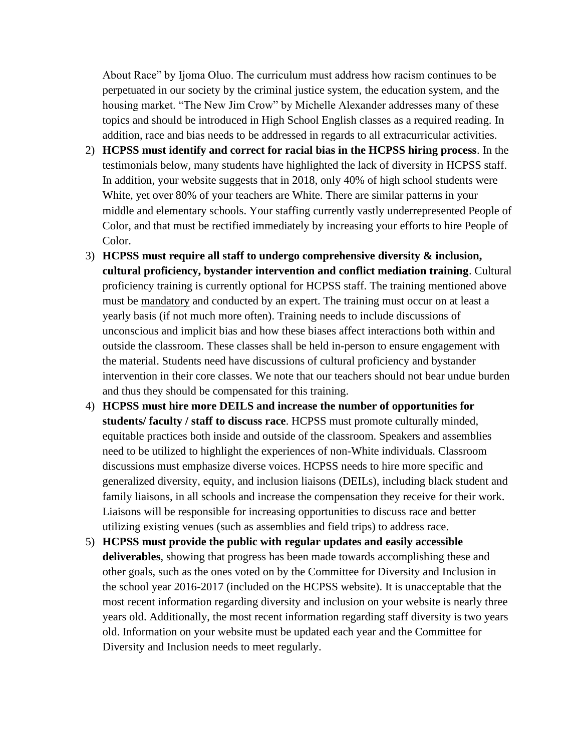About Race" by Ijoma Oluo. The curriculum must address how racism continues to be perpetuated in our society by the criminal justice system, the education system, and the housing market. "The New Jim Crow" by Michelle Alexander addresses many of these topics and should be introduced in High School English classes as a required reading. In addition, race and bias needs to be addressed in regards to all extracurricular activities.

- 2) **HCPSS must identify and correct for racial bias in the HCPSS hiring process**. In the testimonials below, many students have highlighted the lack of diversity in HCPSS staff. In addition, your website suggests that in 2018, only 40% of high school students were White, yet over 80% of your teachers are White. There are similar patterns in your middle and elementary schools. Your staffing currently vastly underrepresented People of Color, and that must be rectified immediately by increasing your efforts to hire People of Color.
- 3) **HCPSS must require all staff to undergo comprehensive diversity & inclusion, cultural proficiency, bystander intervention and conflict mediation training**. Cultural proficiency training is currently optional for HCPSS staff. The training mentioned above must be mandatory and conducted by an expert. The training must occur on at least a yearly basis (if not much more often). Training needs to include discussions of unconscious and implicit bias and how these biases affect interactions both within and outside the classroom. These classes shall be held in-person to ensure engagement with the material. Students need have discussions of cultural proficiency and bystander intervention in their core classes. We note that our teachers should not bear undue burden and thus they should be compensated for this training.
- 4) **HCPSS must hire more DEILS and increase the number of opportunities for students/ faculty / staff to discuss race**. HCPSS must promote culturally minded, equitable practices both inside and outside of the classroom. Speakers and assemblies need to be utilized to highlight the experiences of non-White individuals. Classroom discussions must emphasize diverse voices. HCPSS needs to hire more specific and generalized diversity, equity, and inclusion liaisons (DEILs), including black student and family liaisons, in all schools and increase the compensation they receive for their work. Liaisons will be responsible for increasing opportunities to discuss race and better utilizing existing venues (such as assemblies and field trips) to address race.
- 5) **HCPSS must provide the public with regular updates and easily accessible deliverables**, showing that progress has been made towards accomplishing these and other goals, such as the ones voted on by the Committee for Diversity and Inclusion in the school year 2016-2017 (included on the HCPSS website). It is unacceptable that the most recent information regarding diversity and inclusion on your website is nearly three years old. Additionally, the most recent information regarding staff diversity is two years old. Information on your website must be updated each year and the Committee for Diversity and Inclusion needs to meet regularly.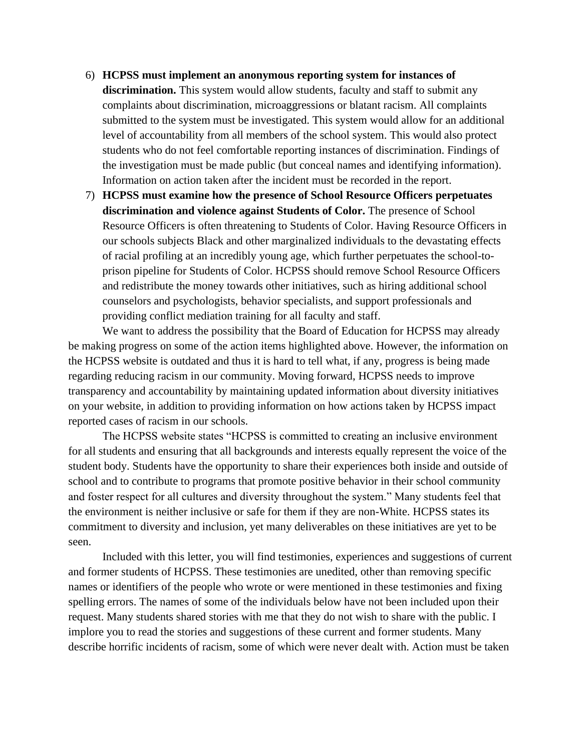- 6) **HCPSS must implement an anonymous reporting system for instances of discrimination.** This system would allow students, faculty and staff to submit any complaints about discrimination, microaggressions or blatant racism. All complaints submitted to the system must be investigated. This system would allow for an additional level of accountability from all members of the school system. This would also protect students who do not feel comfortable reporting instances of discrimination. Findings of the investigation must be made public (but conceal names and identifying information). Information on action taken after the incident must be recorded in the report.
- 7) **HCPSS must examine how the presence of School Resource Officers perpetuates discrimination and violence against Students of Color.** The presence of School Resource Officers is often threatening to Students of Color. Having Resource Officers in our schools subjects Black and other marginalized individuals to the devastating effects of racial profiling at an incredibly young age, which further perpetuates the school-toprison pipeline for Students of Color. HCPSS should remove School Resource Officers and redistribute the money towards other initiatives, such as hiring additional school counselors and psychologists, behavior specialists, and support professionals and providing conflict mediation training for all faculty and staff.

We want to address the possibility that the Board of Education for HCPSS may already be making progress on some of the action items highlighted above. However, the information on the HCPSS website is outdated and thus it is hard to tell what, if any, progress is being made regarding reducing racism in our community. Moving forward, HCPSS needs to improve transparency and accountability by maintaining updated information about diversity initiatives on your website, in addition to providing information on how actions taken by HCPSS impact reported cases of racism in our schools.

The HCPSS website states "HCPSS is committed to creating an inclusive environment for all students and ensuring that all backgrounds and interests equally represent the voice of the student body. Students have the opportunity to share their experiences both inside and outside of school and to contribute to programs that promote positive behavior in their school community and foster respect for all cultures and diversity throughout the system." Many students feel that the environment is neither inclusive or safe for them if they are non-White. HCPSS states its commitment to diversity and inclusion, yet many deliverables on these initiatives are yet to be seen.

Included with this letter, you will find testimonies, experiences and suggestions of current and former students of HCPSS. These testimonies are unedited, other than removing specific names or identifiers of the people who wrote or were mentioned in these testimonies and fixing spelling errors. The names of some of the individuals below have not been included upon their request. Many students shared stories with me that they do not wish to share with the public. I implore you to read the stories and suggestions of these current and former students. Many describe horrific incidents of racism, some of which were never dealt with. Action must be taken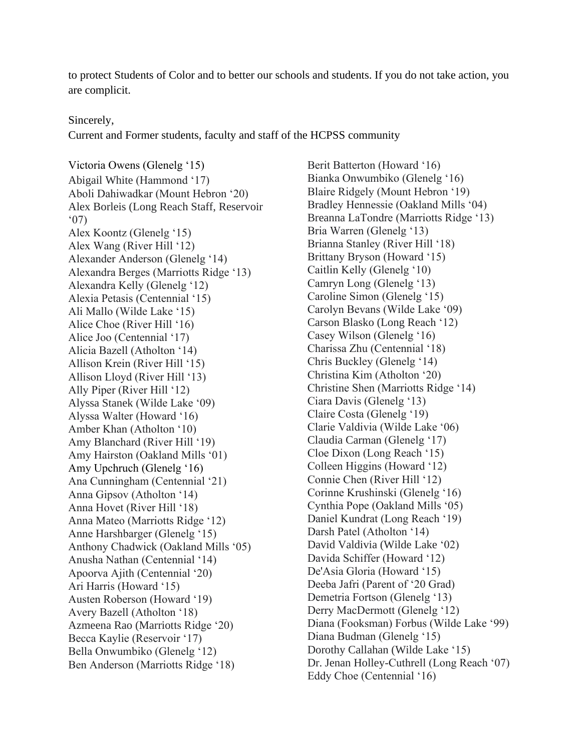to protect Students of Color and to better our schools and students. If you do not take action, you are complicit.

## Sincerely,

Current and Former students, faculty and staff of the HCPSS community

Victoria Owens (Glenelg '15) Abigail White (Hammond '17) Aboli Dahiwadkar (Mount Hebron '20) Alex Borleis (Long Reach Staff, Reservoir '07) Alex Koontz (Glenelg '15) Alex Wang (River Hill '12) Alexander Anderson (Glenelg '14) Alexandra Berges (Marriotts Ridge '13) Alexandra Kelly (Glenelg '12) Alexia Petasis (Centennial '15) Ali Mallo (Wilde Lake '15) Alice Choe (River Hill '16) Alice Joo (Centennial '17) Alicia Bazell (Atholton '14) Allison Krein (River Hill '15) Allison Lloyd (River Hill '13) Ally Piper (River Hill '12) Alyssa Stanek (Wilde Lake '09) Alyssa Walter (Howard '16) Amber Khan (Atholton '10) Amy Blanchard (River Hill '19) Amy Hairston (Oakland Mills '01) Amy Upchruch (Glenelg '16) Ana Cunningham (Centennial '21) Anna Gipsov (Atholton '14) Anna Hovet (River Hill '18) Anna Mateo (Marriotts Ridge '12) Anne Harshbarger (Glenelg '15) Anthony Chadwick (Oakland Mills '05) Anusha Nathan (Centennial '14) Apoorva Ajith (Centennial '20) Ari Harris (Howard '15) Austen Roberson (Howard '19) Avery Bazell (Atholton '18) Azmeena Rao (Marriotts Ridge '20) Becca Kaylie (Reservoir '17) Bella Onwumbiko (Glenelg '12) Ben Anderson (Marriotts Ridge '18)

Berit Batterton (Howard '16) Bianka Onwumbiko (Glenelg '16) Blaire Ridgely (Mount Hebron '19) Bradley Hennessie (Oakland Mills '04) Breanna LaTondre (Marriotts Ridge '13) Bria Warren (Glenelg '13) Brianna Stanley (River Hill '18) Brittany Bryson (Howard '15) Caitlin Kelly (Glenelg '10) Camryn Long (Glenelg '13) Caroline Simon (Glenelg '15) Carolyn Bevans (Wilde Lake '09) Carson Blasko (Long Reach '12) Casey Wilson (Glenelg '16) Charissa Zhu (Centennial '18) Chris Buckley (Glenelg '14) Christina Kim (Atholton '20) Christine Shen (Marriotts Ridge '14) Ciara Davis (Glenelg '13) Claire Costa (Glenelg '19) Clarie Valdivia (Wilde Lake '06) Claudia Carman (Glenelg '17) Cloe Dixon (Long Reach '15) Colleen Higgins (Howard '12) Connie Chen (River Hill '12) Corinne Krushinski (Glenelg '16) Cynthia Pope (Oakland Mills '05) Daniel Kundrat (Long Reach '19) Darsh Patel (Atholton '14) David Valdivia (Wilde Lake '02) Davida Schiffer (Howard '12) De'Asia Gloria (Howard '15) Deeba Jafri (Parent of '20 Grad) Demetria Fortson (Glenelg '13) Derry MacDermott (Glenelg '12) Diana (Fooksman) Forbus (Wilde Lake '99) Diana Budman (Glenelg '15) Dorothy Callahan (Wilde Lake '15) Dr. Jenan Holley-Cuthrell (Long Reach '07) Eddy Choe (Centennial '16)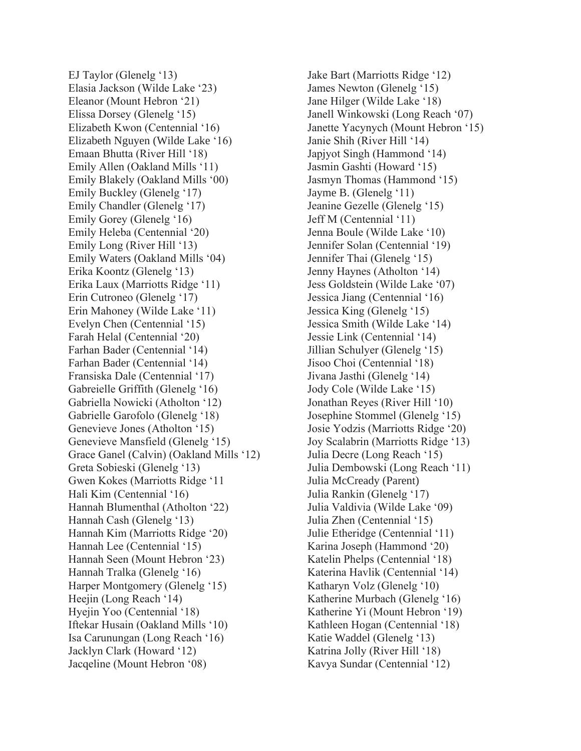EJ Taylor (Glenelg '13) Elasia Jackson (Wilde Lake '23) Eleanor (Mount Hebron '21) Elissa Dorsey (Glenelg '15) Elizabeth Kwon (Centennial '16) Elizabeth Nguyen (Wilde Lake '16) Emaan Bhutta (River Hill '18) Emily Allen (Oakland Mills '11) Emily Blakely (Oakland Mills '00) Emily Buckley (Glenelg '17) Emily Chandler (Glenelg '17) Emily Gorey (Glenelg '16) Emily Heleba (Centennial '20) Emily Long (River Hill '13) Emily Waters (Oakland Mills '04) Erika Koontz (Glenelg '13) Erika Laux (Marriotts Ridge '11) Erin Cutroneo (Glenelg '17) Erin Mahoney (Wilde Lake '11) Evelyn Chen (Centennial '15) Farah Helal (Centennial '20) Farhan Bader (Centennial '14) Farhan Bader (Centennial '14) Fransiska Dale (Centennial '17) Gabreielle Griffith (Glenelg '16) Gabriella Nowicki (Atholton '12) Gabrielle Garofolo (Glenelg '18) Genevieve Jones (Atholton '15) Genevieve Mansfield (Glenelg '15) Grace Ganel (Calvin) (Oakland Mills '12) Greta Sobieski (Glenelg '13) Gwen Kokes (Marriotts Ridge '11 Hali Kim (Centennial '16) Hannah Blumenthal (Atholton '22) Hannah Cash (Glenelg '13) Hannah Kim (Marriotts Ridge '20) Hannah Lee (Centennial '15) Hannah Seen (Mount Hebron '23) Hannah Tralka (Glenelg '16) Harper Montgomery (Glenelg '15) Heejin (Long Reach '14) Hyejin Yoo (Centennial '18) Iftekar Husain (Oakland Mills '10) Isa Carunungan (Long Reach '16) Jacklyn Clark (Howard '12) Jacqeline (Mount Hebron '08)

Jake Bart (Marriotts Ridge '12) James Newton (Glenelg '15) Jane Hilger (Wilde Lake '18) Janell Winkowski (Long Reach '07) Janette Yacynych (Mount Hebron '15) Janie Shih (River Hill '14) Japjyot Singh (Hammond '14) Jasmin Gashti (Howard '15) Jasmyn Thomas (Hammond '15) Jayme B. (Glenelg '11) Jeanine Gezelle (Glenelg '15) Jeff M (Centennial '11) Jenna Boule (Wilde Lake '10) Jennifer Solan (Centennial '19) Jennifer Thai (Glenelg '15) Jenny Haynes (Atholton '14) Jess Goldstein (Wilde Lake '07) Jessica Jiang (Centennial '16) Jessica King (Glenelg '15) Jessica Smith (Wilde Lake '14) Jessie Link (Centennial '14) Jillian Schulyer (Glenelg '15) Jisoo Choi (Centennial '18) Jivana Jasthi (Glenelg '14) Jody Cole (Wilde Lake '15) Jonathan Reyes (River Hill '10) Josephine Stommel (Glenelg '15) Josie Yodzis (Marriotts Ridge '20) Joy Scalabrin (Marriotts Ridge '13) Julia Decre (Long Reach '15) Julia Dembowski (Long Reach '11) Julia McCready (Parent) Julia Rankin (Glenelg '17) Julia Valdivia (Wilde Lake '09) Julia Zhen (Centennial '15) Julie Etheridge (Centennial '11) Karina Joseph (Hammond '20) Katelin Phelps (Centennial '18) Katerina Havlik (Centennial '14) Katharyn Volz (Glenelg '10) Katherine Murbach (Glenelg '16) Katherine Yi (Mount Hebron '19) Kathleen Hogan (Centennial '18) Katie Waddel (Glenelg '13) Katrina Jolly (River Hill '18) Kavya Sundar (Centennial '12)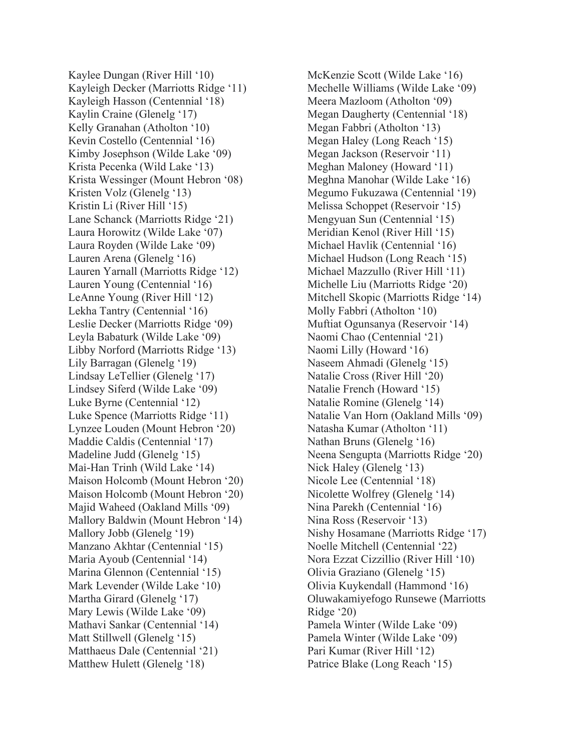Kaylee Dungan (River Hill '10) Kayleigh Decker (Marriotts Ridge '11) Kayleigh Hasson (Centennial '18) Kaylin Craine (Glenelg '17) Kelly Granahan (Atholton '10) Kevin Costello (Centennial '16) Kimby Josephson (Wilde Lake '09) Krista Pecenka (Wild Lake '13) Krista Wessinger (Mount Hebron '08) Kristen Volz (Glenelg '13) Kristin Li (River Hill '15) Lane Schanck (Marriotts Ridge '21) Laura Horowitz (Wilde Lake '07) Laura Royden (Wilde Lake '09) Lauren Arena (Glenelg '16) Lauren Yarnall (Marriotts Ridge '12) Lauren Young (Centennial '16) LeAnne Young (River Hill '12) Lekha Tantry (Centennial '16) Leslie Decker (Marriotts Ridge '09) Leyla Babaturk (Wilde Lake '09) Libby Norford (Marriotts Ridge '13) Lily Barragan (Glenelg '19) Lindsay LeTellier (Glenelg '17) Lindsey Siferd (Wilde Lake '09) Luke Byrne (Centennial '12) Luke Spence (Marriotts Ridge '11) Lynzee Louden (Mount Hebron '20) Maddie Caldis (Centennial '17) Madeline Judd (Glenelg '15) Mai-Han Trinh (Wild Lake '14) Maison Holcomb (Mount Hebron '20) Maison Holcomb (Mount Hebron '20) Majid Waheed (Oakland Mills '09) Mallory Baldwin (Mount Hebron '14) Mallory Jobb (Glenelg '19) Manzano Akhtar (Centennial '15) Maria Ayoub (Centennial '14) Marina Glennon (Centennial '15) Mark Levender (Wilde Lake '10) Martha Girard (Glenelg '17) Mary Lewis (Wilde Lake '09) Mathavi Sankar (Centennial '14) Matt Stillwell (Glenelg '15) Matthaeus Dale (Centennial '21) Matthew Hulett (Glenelg '18)

McKenzie Scott (Wilde Lake '16) Mechelle Williams (Wilde Lake '09) Meera Mazloom (Atholton '09) Megan Daugherty (Centennial '18) Megan Fabbri (Atholton '13) Megan Haley (Long Reach '15) Megan Jackson (Reservoir '11) Meghan Maloney (Howard '11) Meghna Manohar (Wilde Lake '16) Megumo Fukuzawa (Centennial '19) Melissa Schoppet (Reservoir '15) Mengyuan Sun (Centennial '15) Meridian Kenol (River Hill '15) Michael Havlik (Centennial '16) Michael Hudson (Long Reach '15) Michael Mazzullo (River Hill '11) Michelle Liu (Marriotts Ridge '20) Mitchell Skopic (Marriotts Ridge '14) Molly Fabbri (Atholton '10) Muftiat Ogunsanya (Reservoir '14) Naomi Chao (Centennial '21) Naomi Lilly (Howard '16) Naseem Ahmadi (Glenelg '15) Natalie Cross (River Hill '20) Natalie French (Howard '15) Natalie Romine (Glenelg '14) Natalie Van Horn (Oakland Mills '09) Natasha Kumar (Atholton '11) Nathan Bruns (Glenelg '16) Neena Sengupta (Marriotts Ridge '20) Nick Haley (Glenelg '13) Nicole Lee (Centennial '18) Nicolette Wolfrey (Glenelg '14) Nina Parekh (Centennial '16) Nina Ross (Reservoir '13) Nishy Hosamane (Marriotts Ridge '17) Noelle Mitchell (Centennial '22) Nora Ezzat Cizzillio (River Hill '10) Olivia Graziano (Glenelg '15) Olivia Kuykendall (Hammond '16) Oluwakamiyefogo Runsewe (Marriotts Ridge '20) Pamela Winter (Wilde Lake '09) Pamela Winter (Wilde Lake '09) Pari Kumar (River Hill '12) Patrice Blake (Long Reach '15)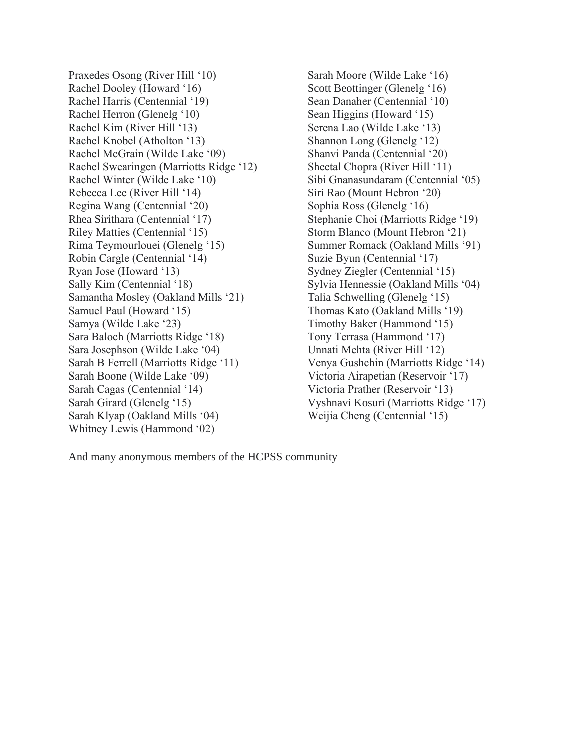Praxedes Osong (River Hill '10) Rachel Dooley (Howard '16) Rachel Harris (Centennial '19) Rachel Herron (Glenelg '10) Rachel Kim (River Hill '13) Rachel Knobel (Atholton '13) Rachel McGrain (Wilde Lake '09) Rachel Swearingen (Marriotts Ridge '12) Rachel Winter (Wilde Lake '10) Rebecca Lee (River Hill '14) Regina Wang (Centennial '20) Rhea Sirithara (Centennial '17) Riley Matties (Centennial '15) Rima Teymourlouei (Glenelg '15) Robin Cargle (Centennial '14) Ryan Jose (Howard '13) Sally Kim (Centennial '18) Samantha Mosley (Oakland Mills '21) Samuel Paul (Howard '15) Samya (Wilde Lake '23) Sara Baloch (Marriotts Ridge '18) Sara Josephson (Wilde Lake '04) Sarah B Ferrell (Marriotts Ridge '11) Sarah Boone (Wilde Lake '09) Sarah Cagas (Centennial '14) Sarah Girard (Glenelg '15) Sarah Klyap (Oakland Mills '04) Whitney Lewis (Hammond '02)

Sarah Moore (Wilde Lake '16) Scott Beottinger (Glenelg '16) Sean Danaher (Centennial '10) Sean Higgins (Howard '15) Serena Lao (Wilde Lake '13) Shannon Long (Glenelg '12) Shanvi Panda (Centennial '20) Sheetal Chopra (River Hill '11) Sibi Gnanasundaram (Centennial '05) Siri Rao (Mount Hebron '20) Sophia Ross (Glenelg '16) Stephanie Choi (Marriotts Ridge '19) Storm Blanco (Mount Hebron '21) Summer Romack (Oakland Mills '91) Suzie Byun (Centennial '17) Sydney Ziegler (Centennial '15) Sylvia Hennessie (Oakland Mills '04) Talia Schwelling (Glenelg '15) Thomas Kato (Oakland Mills '19) Timothy Baker (Hammond '15) Tony Terrasa (Hammond '17) Unnati Mehta (River Hill '12) Venya Gushchin (Marriotts Ridge '14) Victoria Airapetian (Reservoir '17) Victoria Prather (Reservoir '13) Vyshnavi Kosuri (Marriotts Ridge '17) Weijia Cheng (Centennial '15)

And many anonymous members of the HCPSS community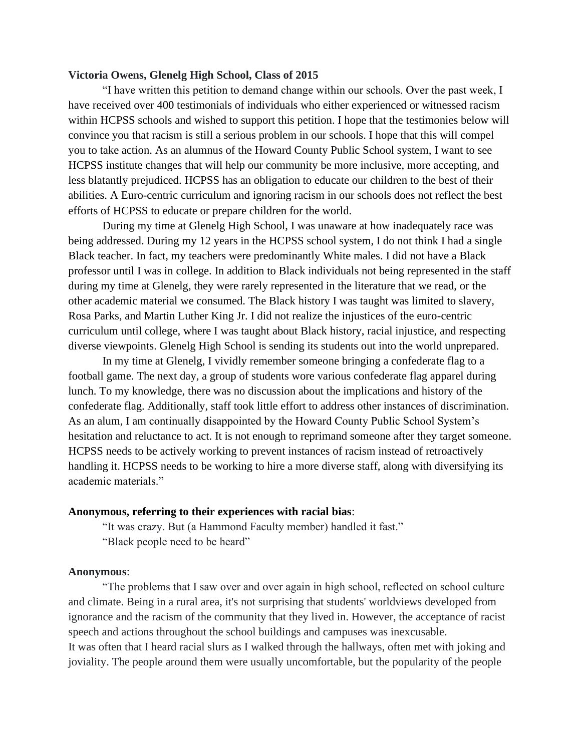## **Victoria Owens, Glenelg High School, Class of 2015**

"I have written this petition to demand change within our schools. Over the past week, I have received over 400 testimonials of individuals who either experienced or witnessed racism within HCPSS schools and wished to support this petition. I hope that the testimonies below will convince you that racism is still a serious problem in our schools. I hope that this will compel you to take action. As an alumnus of the Howard County Public School system, I want to see HCPSS institute changes that will help our community be more inclusive, more accepting, and less blatantly prejudiced. HCPSS has an obligation to educate our children to the best of their abilities. A Euro-centric curriculum and ignoring racism in our schools does not reflect the best efforts of HCPSS to educate or prepare children for the world.

During my time at Glenelg High School, I was unaware at how inadequately race was being addressed. During my 12 years in the HCPSS school system, I do not think I had a single Black teacher. In fact, my teachers were predominantly White males. I did not have a Black professor until I was in college. In addition to Black individuals not being represented in the staff during my time at Glenelg, they were rarely represented in the literature that we read, or the other academic material we consumed. The Black history I was taught was limited to slavery, Rosa Parks, and Martin Luther King Jr. I did not realize the injustices of the euro-centric curriculum until college, where I was taught about Black history, racial injustice, and respecting diverse viewpoints. Glenelg High School is sending its students out into the world unprepared.

In my time at Glenelg, I vividly remember someone bringing a confederate flag to a football game. The next day, a group of students wore various confederate flag apparel during lunch. To my knowledge, there was no discussion about the implications and history of the confederate flag. Additionally, staff took little effort to address other instances of discrimination. As an alum, I am continually disappointed by the Howard County Public School System's hesitation and reluctance to act. It is not enough to reprimand someone after they target someone. HCPSS needs to be actively working to prevent instances of racism instead of retroactively handling it. HCPSS needs to be working to hire a more diverse staff, along with diversifying its academic materials."

## **Anonymous, referring to their experiences with racial bias**:

"It was crazy. But (a Hammond Faculty member) handled it fast." "Black people need to be heard"

#### **Anonymous**:

"The problems that I saw over and over again in high school, reflected on school culture and climate. Being in a rural area, it's not surprising that students' worldviews developed from ignorance and the racism of the community that they lived in. However, the acceptance of racist speech and actions throughout the school buildings and campuses was inexcusable. It was often that I heard racial slurs as I walked through the hallways, often met with joking and joviality. The people around them were usually uncomfortable, but the popularity of the people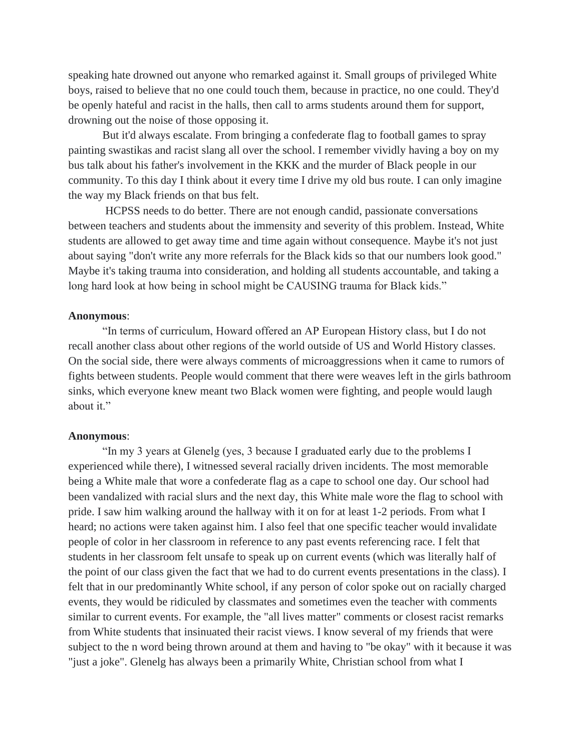speaking hate drowned out anyone who remarked against it. Small groups of privileged White boys, raised to believe that no one could touch them, because in practice, no one could. They'd be openly hateful and racist in the halls, then call to arms students around them for support, drowning out the noise of those opposing it.

But it'd always escalate. From bringing a confederate flag to football games to spray painting swastikas and racist slang all over the school. I remember vividly having a boy on my bus talk about his father's involvement in the KKK and the murder of Black people in our community. To this day I think about it every time I drive my old bus route. I can only imagine the way my Black friends on that bus felt.

HCPSS needs to do better. There are not enough candid, passionate conversations between teachers and students about the immensity and severity of this problem. Instead, White students are allowed to get away time and time again without consequence. Maybe it's not just about saying "don't write any more referrals for the Black kids so that our numbers look good." Maybe it's taking trauma into consideration, and holding all students accountable, and taking a long hard look at how being in school might be CAUSING trauma for Black kids."

### **Anonymous**:

"In terms of curriculum, Howard offered an AP European History class, but I do not recall another class about other regions of the world outside of US and World History classes. On the social side, there were always comments of microaggressions when it came to rumors of fights between students. People would comment that there were weaves left in the girls bathroom sinks, which everyone knew meant two Black women were fighting, and people would laugh about it."

#### **Anonymous**:

"In my 3 years at Glenelg (yes, 3 because I graduated early due to the problems I experienced while there), I witnessed several racially driven incidents. The most memorable being a White male that wore a confederate flag as a cape to school one day. Our school had been vandalized with racial slurs and the next day, this White male wore the flag to school with pride. I saw him walking around the hallway with it on for at least 1-2 periods. From what I heard; no actions were taken against him. I also feel that one specific teacher would invalidate people of color in her classroom in reference to any past events referencing race. I felt that students in her classroom felt unsafe to speak up on current events (which was literally half of the point of our class given the fact that we had to do current events presentations in the class). I felt that in our predominantly White school, if any person of color spoke out on racially charged events, they would be ridiculed by classmates and sometimes even the teacher with comments similar to current events. For example, the "all lives matter" comments or closest racist remarks from White students that insinuated their racist views. I know several of my friends that were subject to the n word being thrown around at them and having to "be okay" with it because it was "just a joke". Glenelg has always been a primarily White, Christian school from what I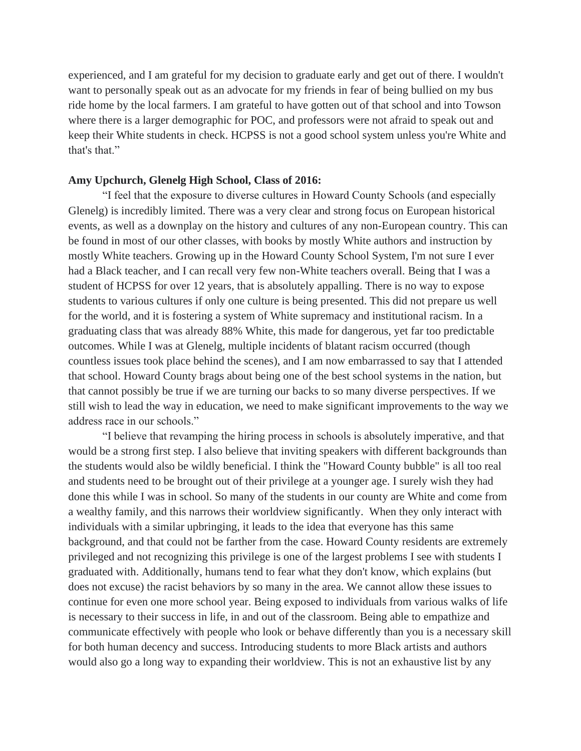experienced, and I am grateful for my decision to graduate early and get out of there. I wouldn't want to personally speak out as an advocate for my friends in fear of being bullied on my bus ride home by the local farmers. I am grateful to have gotten out of that school and into Towson where there is a larger demographic for POC, and professors were not afraid to speak out and keep their White students in check. HCPSS is not a good school system unless you're White and that's that."

## **Amy Upchurch, Glenelg High School, Class of 2016:**

"I feel that the exposure to diverse cultures in Howard County Schools (and especially Glenelg) is incredibly limited. There was a very clear and strong focus on European historical events, as well as a downplay on the history and cultures of any non-European country. This can be found in most of our other classes, with books by mostly White authors and instruction by mostly White teachers. Growing up in the Howard County School System, I'm not sure I ever had a Black teacher, and I can recall very few non-White teachers overall. Being that I was a student of HCPSS for over 12 years, that is absolutely appalling. There is no way to expose students to various cultures if only one culture is being presented. This did not prepare us well for the world, and it is fostering a system of White supremacy and institutional racism. In a graduating class that was already 88% White, this made for dangerous, yet far too predictable outcomes. While I was at Glenelg, multiple incidents of blatant racism occurred (though countless issues took place behind the scenes), and I am now embarrassed to say that I attended that school. Howard County brags about being one of the best school systems in the nation, but that cannot possibly be true if we are turning our backs to so many diverse perspectives. If we still wish to lead the way in education, we need to make significant improvements to the way we address race in our schools."

"I believe that revamping the hiring process in schools is absolutely imperative, and that would be a strong first step. I also believe that inviting speakers with different backgrounds than the students would also be wildly beneficial. I think the "Howard County bubble" is all too real and students need to be brought out of their privilege at a younger age. I surely wish they had done this while I was in school. So many of the students in our county are White and come from a wealthy family, and this narrows their worldview significantly. When they only interact with individuals with a similar upbringing, it leads to the idea that everyone has this same background, and that could not be farther from the case. Howard County residents are extremely privileged and not recognizing this privilege is one of the largest problems I see with students I graduated with. Additionally, humans tend to fear what they don't know, which explains (but does not excuse) the racist behaviors by so many in the area. We cannot allow these issues to continue for even one more school year. Being exposed to individuals from various walks of life is necessary to their success in life, in and out of the classroom. Being able to empathize and communicate effectively with people who look or behave differently than you is a necessary skill for both human decency and success. Introducing students to more Black artists and authors would also go a long way to expanding their worldview. This is not an exhaustive list by any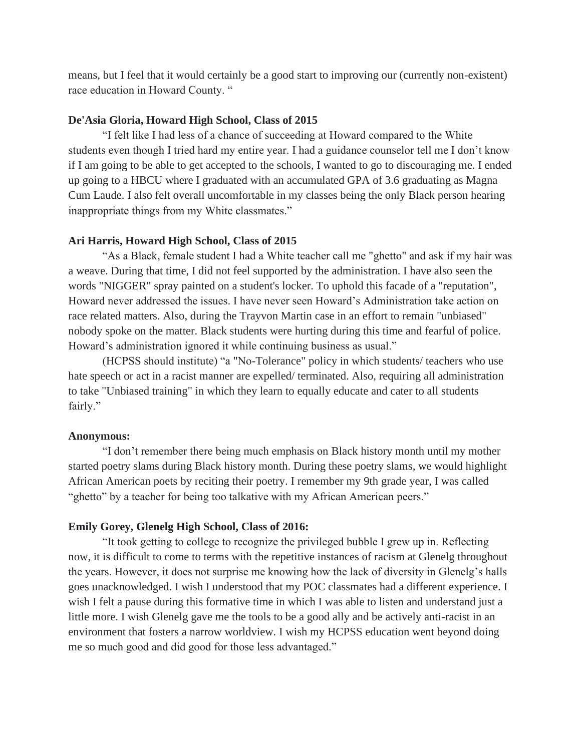means, but I feel that it would certainly be a good start to improving our (currently non-existent) race education in Howard County. "

## **De'Asia Gloria, Howard High School, Class of 2015**

"I felt like I had less of a chance of succeeding at Howard compared to the White students even though I tried hard my entire year. I had a guidance counselor tell me I don't know if I am going to be able to get accepted to the schools, I wanted to go to discouraging me. I ended up going to a HBCU where I graduated with an accumulated GPA of 3.6 graduating as Magna Cum Laude. I also felt overall uncomfortable in my classes being the only Black person hearing inappropriate things from my White classmates."

### **Ari Harris, Howard High School, Class of 2015**

"As a Black, female student I had a White teacher call me "ghetto" and ask if my hair was a weave. During that time, I did not feel supported by the administration. I have also seen the words "NIGGER" spray painted on a student's locker. To uphold this facade of a "reputation", Howard never addressed the issues. I have never seen Howard's Administration take action on race related matters. Also, during the Trayvon Martin case in an effort to remain "unbiased" nobody spoke on the matter. Black students were hurting during this time and fearful of police. Howard's administration ignored it while continuing business as usual."

(HCPSS should institute) "a "No-Tolerance" policy in which students/ teachers who use hate speech or act in a racist manner are expelled/ terminated. Also, requiring all administration to take "Unbiased training" in which they learn to equally educate and cater to all students fairly."

#### **Anonymous:**

"I don't remember there being much emphasis on Black history month until my mother started poetry slams during Black history month. During these poetry slams, we would highlight African American poets by reciting their poetry. I remember my 9th grade year, I was called "ghetto" by a teacher for being too talkative with my African American peers."

## **Emily Gorey, Glenelg High School, Class of 2016:**

"It took getting to college to recognize the privileged bubble I grew up in. Reflecting now, it is difficult to come to terms with the repetitive instances of racism at Glenelg throughout the years. However, it does not surprise me knowing how the lack of diversity in Glenelg's halls goes unacknowledged. I wish I understood that my POC classmates had a different experience. I wish I felt a pause during this formative time in which I was able to listen and understand just a little more. I wish Glenelg gave me the tools to be a good ally and be actively anti-racist in an environment that fosters a narrow worldview. I wish my HCPSS education went beyond doing me so much good and did good for those less advantaged."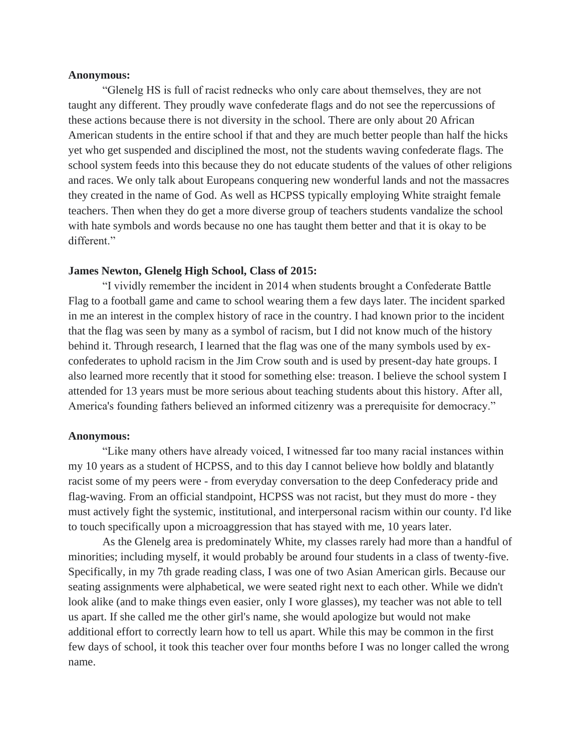#### **Anonymous:**

"Glenelg HS is full of racist rednecks who only care about themselves, they are not taught any different. They proudly wave confederate flags and do not see the repercussions of these actions because there is not diversity in the school. There are only about 20 African American students in the entire school if that and they are much better people than half the hicks yet who get suspended and disciplined the most, not the students waving confederate flags. The school system feeds into this because they do not educate students of the values of other religions and races. We only talk about Europeans conquering new wonderful lands and not the massacres they created in the name of God. As well as HCPSS typically employing White straight female teachers. Then when they do get a more diverse group of teachers students vandalize the school with hate symbols and words because no one has taught them better and that it is okay to be different."

## **James Newton, Glenelg High School, Class of 2015:**

"I vividly remember the incident in 2014 when students brought a Confederate Battle Flag to a football game and came to school wearing them a few days later. The incident sparked in me an interest in the complex history of race in the country. I had known prior to the incident that the flag was seen by many as a symbol of racism, but I did not know much of the history behind it. Through research, I learned that the flag was one of the many symbols used by exconfederates to uphold racism in the Jim Crow south and is used by present-day hate groups. I also learned more recently that it stood for something else: treason. I believe the school system I attended for 13 years must be more serious about teaching students about this history. After all, America's founding fathers believed an informed citizenry was a prerequisite for democracy."

#### **Anonymous:**

"Like many others have already voiced, I witnessed far too many racial instances within my 10 years as a student of HCPSS, and to this day I cannot believe how boldly and blatantly racist some of my peers were - from everyday conversation to the deep Confederacy pride and flag-waving. From an official standpoint, HCPSS was not racist, but they must do more - they must actively fight the systemic, institutional, and interpersonal racism within our county. I'd like to touch specifically upon a microaggression that has stayed with me, 10 years later.

As the Glenelg area is predominately White, my classes rarely had more than a handful of minorities; including myself, it would probably be around four students in a class of twenty-five. Specifically, in my 7th grade reading class, I was one of two Asian American girls. Because our seating assignments were alphabetical, we were seated right next to each other. While we didn't look alike (and to make things even easier, only I wore glasses), my teacher was not able to tell us apart. If she called me the other girl's name, she would apologize but would not make additional effort to correctly learn how to tell us apart. While this may be common in the first few days of school, it took this teacher over four months before I was no longer called the wrong name.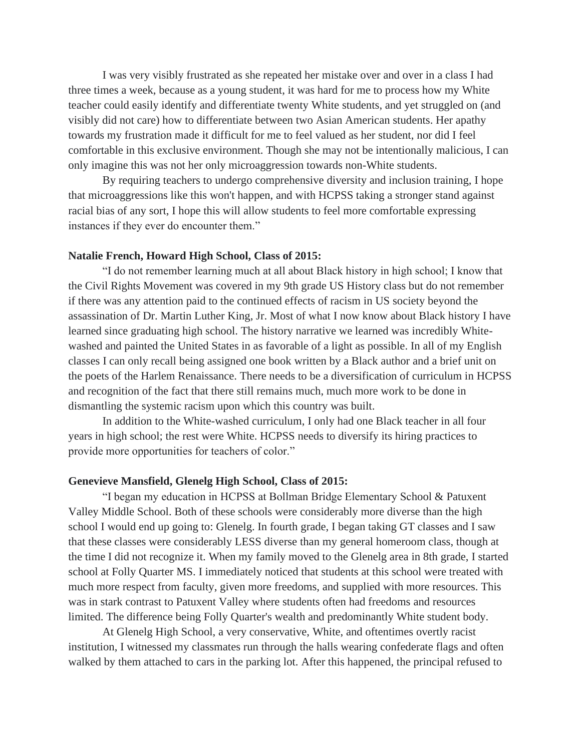I was very visibly frustrated as she repeated her mistake over and over in a class I had three times a week, because as a young student, it was hard for me to process how my White teacher could easily identify and differentiate twenty White students, and yet struggled on (and visibly did not care) how to differentiate between two Asian American students. Her apathy towards my frustration made it difficult for me to feel valued as her student, nor did I feel comfortable in this exclusive environment. Though she may not be intentionally malicious, I can only imagine this was not her only microaggression towards non-White students.

By requiring teachers to undergo comprehensive diversity and inclusion training, I hope that microaggressions like this won't happen, and with HCPSS taking a stronger stand against racial bias of any sort, I hope this will allow students to feel more comfortable expressing instances if they ever do encounter them."

### **Natalie French, Howard High School, Class of 2015:**

"I do not remember learning much at all about Black history in high school; I know that the Civil Rights Movement was covered in my 9th grade US History class but do not remember if there was any attention paid to the continued effects of racism in US society beyond the assassination of Dr. Martin Luther King, Jr. Most of what I now know about Black history I have learned since graduating high school. The history narrative we learned was incredibly Whitewashed and painted the United States in as favorable of a light as possible. In all of my English classes I can only recall being assigned one book written by a Black author and a brief unit on the poets of the Harlem Renaissance. There needs to be a diversification of curriculum in HCPSS and recognition of the fact that there still remains much, much more work to be done in dismantling the systemic racism upon which this country was built.

In addition to the White-washed curriculum, I only had one Black teacher in all four years in high school; the rest were White. HCPSS needs to diversify its hiring practices to provide more opportunities for teachers of color."

### **Genevieve Mansfield, Glenelg High School, Class of 2015:**

"I began my education in HCPSS at Bollman Bridge Elementary School & Patuxent Valley Middle School. Both of these schools were considerably more diverse than the high school I would end up going to: Glenelg. In fourth grade, I began taking GT classes and I saw that these classes were considerably LESS diverse than my general homeroom class, though at the time I did not recognize it. When my family moved to the Glenelg area in 8th grade, I started school at Folly Quarter MS. I immediately noticed that students at this school were treated with much more respect from faculty, given more freedoms, and supplied with more resources. This was in stark contrast to Patuxent Valley where students often had freedoms and resources limited. The difference being Folly Quarter's wealth and predominantly White student body.

At Glenelg High School, a very conservative, White, and oftentimes overtly racist institution, I witnessed my classmates run through the halls wearing confederate flags and often walked by them attached to cars in the parking lot. After this happened, the principal refused to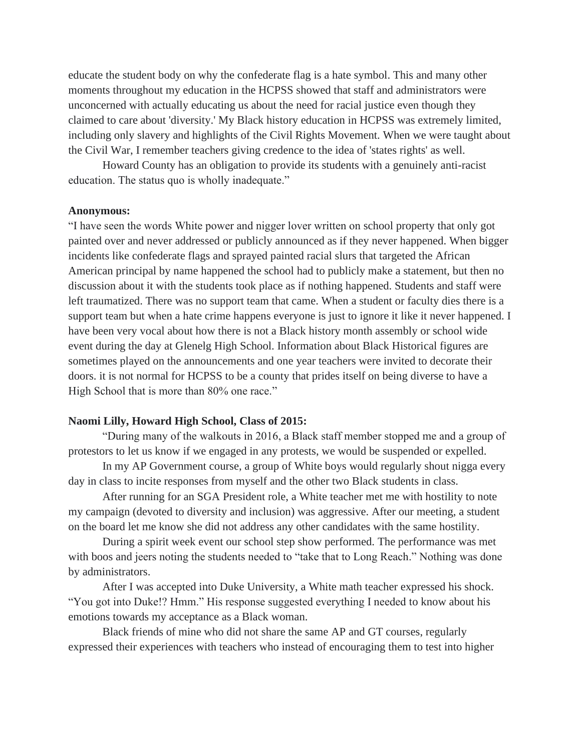educate the student body on why the confederate flag is a hate symbol. This and many other moments throughout my education in the HCPSS showed that staff and administrators were unconcerned with actually educating us about the need for racial justice even though they claimed to care about 'diversity.' My Black history education in HCPSS was extremely limited, including only slavery and highlights of the Civil Rights Movement. When we were taught about the Civil War, I remember teachers giving credence to the idea of 'states rights' as well.

Howard County has an obligation to provide its students with a genuinely anti-racist education. The status quo is wholly inadequate."

#### **Anonymous:**

"I have seen the words White power and nigger lover written on school property that only got painted over and never addressed or publicly announced as if they never happened. When bigger incidents like confederate flags and sprayed painted racial slurs that targeted the African American principal by name happened the school had to publicly make a statement, but then no discussion about it with the students took place as if nothing happened. Students and staff were left traumatized. There was no support team that came. When a student or faculty dies there is a support team but when a hate crime happens everyone is just to ignore it like it never happened. I have been very vocal about how there is not a Black history month assembly or school wide event during the day at Glenelg High School. Information about Black Historical figures are sometimes played on the announcements and one year teachers were invited to decorate their doors. it is not normal for HCPSS to be a county that prides itself on being diverse to have a High School that is more than 80% one race."

## **Naomi Lilly, Howard High School, Class of 2015:**

"During many of the walkouts in 2016, a Black staff member stopped me and a group of protestors to let us know if we engaged in any protests, we would be suspended or expelled.

In my AP Government course, a group of White boys would regularly shout nigga every day in class to incite responses from myself and the other two Black students in class.

After running for an SGA President role, a White teacher met me with hostility to note my campaign (devoted to diversity and inclusion) was aggressive. After our meeting, a student on the board let me know she did not address any other candidates with the same hostility.

During a spirit week event our school step show performed. The performance was met with boos and jeers noting the students needed to "take that to Long Reach." Nothing was done by administrators.

After I was accepted into Duke University, a White math teacher expressed his shock. "You got into Duke!? Hmm." His response suggested everything I needed to know about his emotions towards my acceptance as a Black woman.

Black friends of mine who did not share the same AP and GT courses, regularly expressed their experiences with teachers who instead of encouraging them to test into higher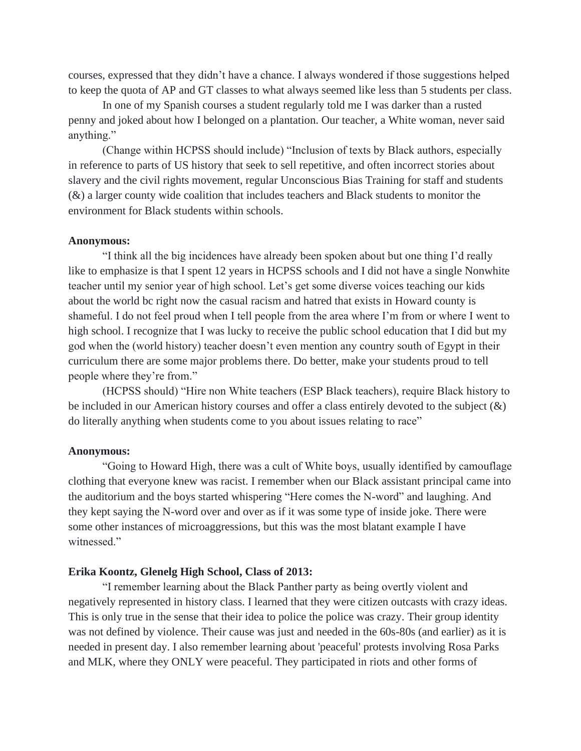courses, expressed that they didn't have a chance. I always wondered if those suggestions helped to keep the quota of AP and GT classes to what always seemed like less than 5 students per class.

In one of my Spanish courses a student regularly told me I was darker than a rusted penny and joked about how I belonged on a plantation. Our teacher, a White woman, never said anything."

(Change within HCPSS should include) "Inclusion of texts by Black authors, especially in reference to parts of US history that seek to sell repetitive, and often incorrect stories about slavery and the civil rights movement, regular Unconscious Bias Training for staff and students (&) a larger county wide coalition that includes teachers and Black students to monitor the environment for Black students within schools.

#### **Anonymous:**

"I think all the big incidences have already been spoken about but one thing I'd really like to emphasize is that I spent 12 years in HCPSS schools and I did not have a single Nonwhite teacher until my senior year of high school. Let's get some diverse voices teaching our kids about the world bc right now the casual racism and hatred that exists in Howard county is shameful. I do not feel proud when I tell people from the area where I'm from or where I went to high school. I recognize that I was lucky to receive the public school education that I did but my god when the (world history) teacher doesn't even mention any country south of Egypt in their curriculum there are some major problems there. Do better, make your students proud to tell people where they're from."

(HCPSS should) "Hire non White teachers (ESP Black teachers), require Black history to be included in our American history courses and offer a class entirely devoted to the subject  $(\&)$ do literally anything when students come to you about issues relating to race"

### **Anonymous:**

"Going to Howard High, there was a cult of White boys, usually identified by camouflage clothing that everyone knew was racist. I remember when our Black assistant principal came into the auditorium and the boys started whispering "Here comes the N-word" and laughing. And they kept saying the N-word over and over as if it was some type of inside joke. There were some other instances of microaggressions, but this was the most blatant example I have witnessed."

## **Erika Koontz, Glenelg High School, Class of 2013:**

"I remember learning about the Black Panther party as being overtly violent and negatively represented in history class. I learned that they were citizen outcasts with crazy ideas. This is only true in the sense that their idea to police the police was crazy. Their group identity was not defined by violence. Their cause was just and needed in the 60s-80s (and earlier) as it is needed in present day. I also remember learning about 'peaceful' protests involving Rosa Parks and MLK, where they ONLY were peaceful. They participated in riots and other forms of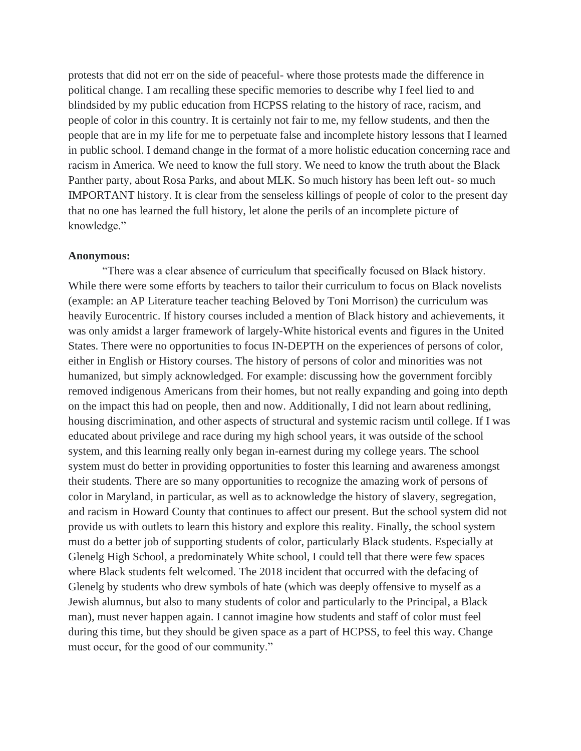protests that did not err on the side of peaceful- where those protests made the difference in political change. I am recalling these specific memories to describe why I feel lied to and blindsided by my public education from HCPSS relating to the history of race, racism, and people of color in this country. It is certainly not fair to me, my fellow students, and then the people that are in my life for me to perpetuate false and incomplete history lessons that I learned in public school. I demand change in the format of a more holistic education concerning race and racism in America. We need to know the full story. We need to know the truth about the Black Panther party, about Rosa Parks, and about MLK. So much history has been left out- so much IMPORTANT history. It is clear from the senseless killings of people of color to the present day that no one has learned the full history, let alone the perils of an incomplete picture of knowledge."

### **Anonymous:**

"There was a clear absence of curriculum that specifically focused on Black history. While there were some efforts by teachers to tailor their curriculum to focus on Black novelists (example: an AP Literature teacher teaching Beloved by Toni Morrison) the curriculum was heavily Eurocentric. If history courses included a mention of Black history and achievements, it was only amidst a larger framework of largely-White historical events and figures in the United States. There were no opportunities to focus IN-DEPTH on the experiences of persons of color, either in English or History courses. The history of persons of color and minorities was not humanized, but simply acknowledged. For example: discussing how the government forcibly removed indigenous Americans from their homes, but not really expanding and going into depth on the impact this had on people, then and now. Additionally, I did not learn about redlining, housing discrimination, and other aspects of structural and systemic racism until college. If I was educated about privilege and race during my high school years, it was outside of the school system, and this learning really only began in-earnest during my college years. The school system must do better in providing opportunities to foster this learning and awareness amongst their students. There are so many opportunities to recognize the amazing work of persons of color in Maryland, in particular, as well as to acknowledge the history of slavery, segregation, and racism in Howard County that continues to affect our present. But the school system did not provide us with outlets to learn this history and explore this reality. Finally, the school system must do a better job of supporting students of color, particularly Black students. Especially at Glenelg High School, a predominately White school, I could tell that there were few spaces where Black students felt welcomed. The 2018 incident that occurred with the defacing of Glenelg by students who drew symbols of hate (which was deeply offensive to myself as a Jewish alumnus, but also to many students of color and particularly to the Principal, a Black man), must never happen again. I cannot imagine how students and staff of color must feel during this time, but they should be given space as a part of HCPSS, to feel this way. Change must occur, for the good of our community."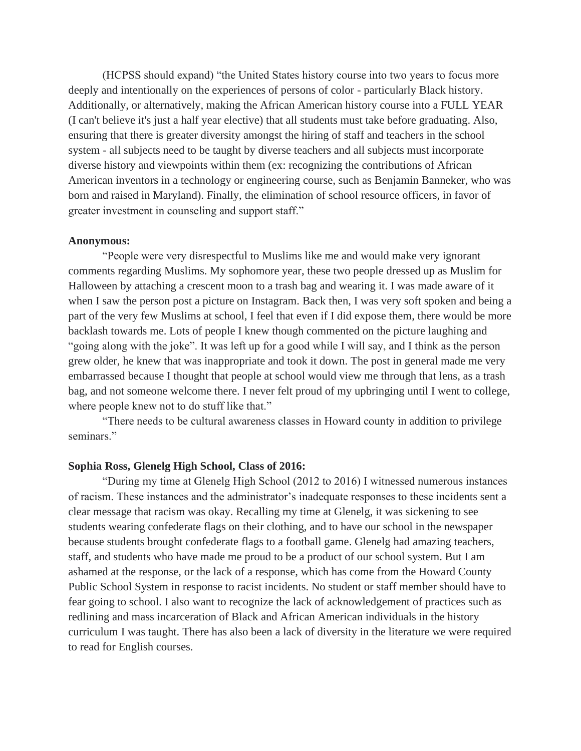(HCPSS should expand) "the United States history course into two years to focus more deeply and intentionally on the experiences of persons of color - particularly Black history. Additionally, or alternatively, making the African American history course into a FULL YEAR (I can't believe it's just a half year elective) that all students must take before graduating. Also, ensuring that there is greater diversity amongst the hiring of staff and teachers in the school system - all subjects need to be taught by diverse teachers and all subjects must incorporate diverse history and viewpoints within them (ex: recognizing the contributions of African American inventors in a technology or engineering course, such as Benjamin Banneker, who was born and raised in Maryland). Finally, the elimination of school resource officers, in favor of greater investment in counseling and support staff."

### **Anonymous:**

"People were very disrespectful to Muslims like me and would make very ignorant comments regarding Muslims. My sophomore year, these two people dressed up as Muslim for Halloween by attaching a crescent moon to a trash bag and wearing it. I was made aware of it when I saw the person post a picture on Instagram. Back then, I was very soft spoken and being a part of the very few Muslims at school, I feel that even if I did expose them, there would be more backlash towards me. Lots of people I knew though commented on the picture laughing and "going along with the joke". It was left up for a good while I will say, and I think as the person grew older, he knew that was inappropriate and took it down. The post in general made me very embarrassed because I thought that people at school would view me through that lens, as a trash bag, and not someone welcome there. I never felt proud of my upbringing until I went to college, where people knew not to do stuff like that."

"There needs to be cultural awareness classes in Howard county in addition to privilege seminars."

## **Sophia Ross, Glenelg High School, Class of 2016:**

"During my time at Glenelg High School (2012 to 2016) I witnessed numerous instances of racism. These instances and the administrator's inadequate responses to these incidents sent a clear message that racism was okay. Recalling my time at Glenelg, it was sickening to see students wearing confederate flags on their clothing, and to have our school in the newspaper because students brought confederate flags to a football game. Glenelg had amazing teachers, staff, and students who have made me proud to be a product of our school system. But I am ashamed at the response, or the lack of a response, which has come from the Howard County Public School System in response to racist incidents. No student or staff member should have to fear going to school. I also want to recognize the lack of acknowledgement of practices such as redlining and mass incarceration of Black and African American individuals in the history curriculum I was taught. There has also been a lack of diversity in the literature we were required to read for English courses.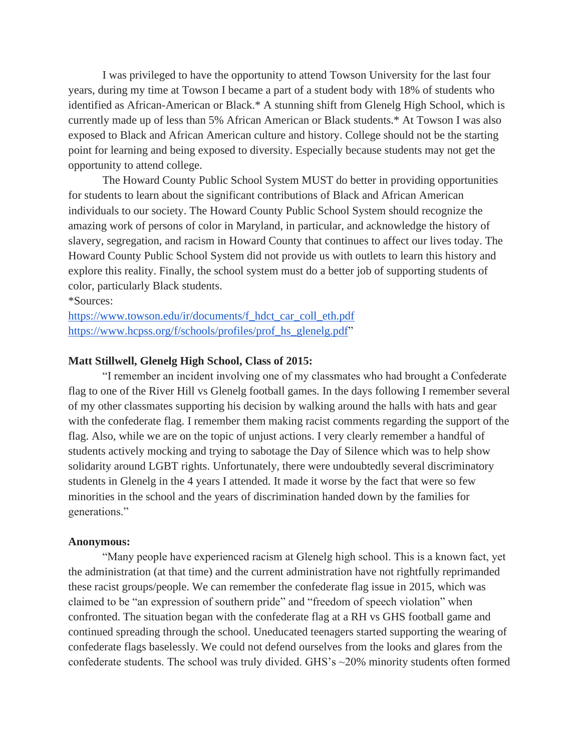I was privileged to have the opportunity to attend Towson University for the last four years, during my time at Towson I became a part of a student body with 18% of students who identified as African-American or Black.\* A stunning shift from Glenelg High School, which is currently made up of less than 5% African American or Black students.\* At Towson I was also exposed to Black and African American culture and history. College should not be the starting point for learning and being exposed to diversity. Especially because students may not get the opportunity to attend college.

The Howard County Public School System MUST do better in providing opportunities for students to learn about the significant contributions of Black and African American individuals to our society. The Howard County Public School System should recognize the amazing work of persons of color in Maryland, in particular, and acknowledge the history of slavery, segregation, and racism in Howard County that continues to affect our lives today. The Howard County Public School System did not provide us with outlets to learn this history and explore this reality. Finally, the school system must do a better job of supporting students of color, particularly Black students.

\*Sources:

[https://www.towson.edu/ir/documents/f\\_hdct\\_car\\_coll\\_eth.pdf](https://www.towson.edu/ir/documents/f_hdct_car_coll_eth.pdf)  [https://www.hcpss.org/f/schools/profiles/prof\\_hs\\_glenelg.pdf"](https://www.hcpss.org/f/schools/profiles/prof_hs_glenelg.pdf)

## **Matt Stillwell, Glenelg High School, Class of 2015:**

"I remember an incident involving one of my classmates who had brought a Confederate flag to one of the River Hill vs Glenelg football games. In the days following I remember several of my other classmates supporting his decision by walking around the halls with hats and gear with the confederate flag. I remember them making racist comments regarding the support of the flag. Also, while we are on the topic of unjust actions. I very clearly remember a handful of students actively mocking and trying to sabotage the Day of Silence which was to help show solidarity around LGBT rights. Unfortunately, there were undoubtedly several discriminatory students in Glenelg in the 4 years I attended. It made it worse by the fact that were so few minorities in the school and the years of discrimination handed down by the families for generations."

## **Anonymous:**

"Many people have experienced racism at Glenelg high school. This is a known fact, yet the administration (at that time) and the current administration have not rightfully reprimanded these racist groups/people. We can remember the confederate flag issue in 2015, which was claimed to be "an expression of southern pride" and "freedom of speech violation" when confronted. The situation began with the confederate flag at a RH vs GHS football game and continued spreading through the school. Uneducated teenagers started supporting the wearing of confederate flags baselessly. We could not defend ourselves from the looks and glares from the confederate students. The school was truly divided. GHS's ~20% minority students often formed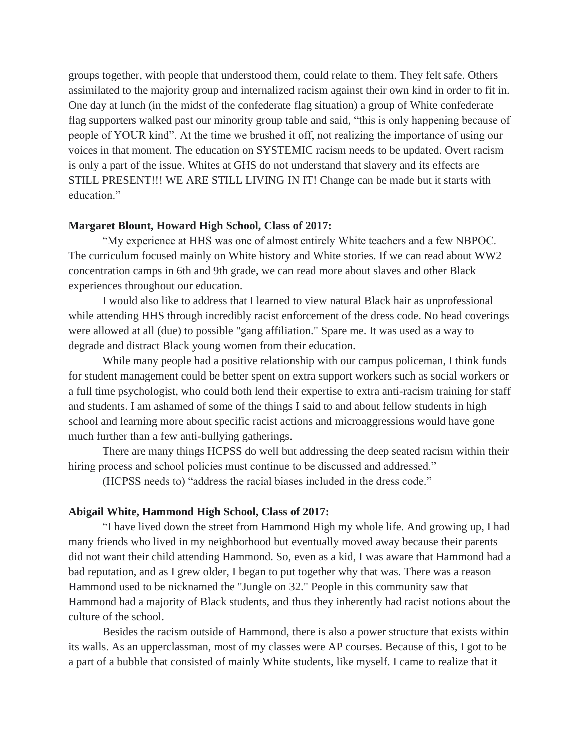groups together, with people that understood them, could relate to them. They felt safe. Others assimilated to the majority group and internalized racism against their own kind in order to fit in. One day at lunch (in the midst of the confederate flag situation) a group of White confederate flag supporters walked past our minority group table and said, "this is only happening because of people of YOUR kind". At the time we brushed it off, not realizing the importance of using our voices in that moment. The education on SYSTEMIC racism needs to be updated. Overt racism is only a part of the issue. Whites at GHS do not understand that slavery and its effects are STILL PRESENT!!! WE ARE STILL LIVING IN IT! Change can be made but it starts with education."

### **Margaret Blount, Howard High School, Class of 2017:**

"My experience at HHS was one of almost entirely White teachers and a few NBPOC. The curriculum focused mainly on White history and White stories. If we can read about WW2 concentration camps in 6th and 9th grade, we can read more about slaves and other Black experiences throughout our education.

I would also like to address that I learned to view natural Black hair as unprofessional while attending HHS through incredibly racist enforcement of the dress code. No head coverings were allowed at all (due) to possible "gang affiliation." Spare me. It was used as a way to degrade and distract Black young women from their education.

While many people had a positive relationship with our campus policeman, I think funds for student management could be better spent on extra support workers such as social workers or a full time psychologist, who could both lend their expertise to extra anti-racism training for staff and students. I am ashamed of some of the things I said to and about fellow students in high school and learning more about specific racist actions and microaggressions would have gone much further than a few anti-bullying gatherings.

There are many things HCPSS do well but addressing the deep seated racism within their hiring process and school policies must continue to be discussed and addressed."

(HCPSS needs to) "address the racial biases included in the dress code."

### **Abigail White, Hammond High School, Class of 2017:**

"I have lived down the street from Hammond High my whole life. And growing up, I had many friends who lived in my neighborhood but eventually moved away because their parents did not want their child attending Hammond. So, even as a kid, I was aware that Hammond had a bad reputation, and as I grew older, I began to put together why that was. There was a reason Hammond used to be nicknamed the "Jungle on 32." People in this community saw that Hammond had a majority of Black students, and thus they inherently had racist notions about the culture of the school.

Besides the racism outside of Hammond, there is also a power structure that exists within its walls. As an upperclassman, most of my classes were AP courses. Because of this, I got to be a part of a bubble that consisted of mainly White students, like myself. I came to realize that it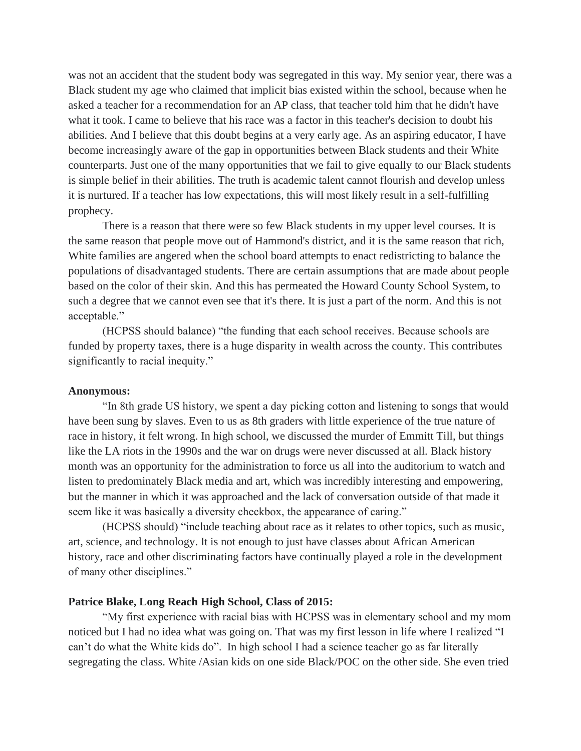was not an accident that the student body was segregated in this way. My senior year, there was a Black student my age who claimed that implicit bias existed within the school, because when he asked a teacher for a recommendation for an AP class, that teacher told him that he didn't have what it took. I came to believe that his race was a factor in this teacher's decision to doubt his abilities. And I believe that this doubt begins at a very early age. As an aspiring educator, I have become increasingly aware of the gap in opportunities between Black students and their White counterparts. Just one of the many opportunities that we fail to give equally to our Black students is simple belief in their abilities. The truth is academic talent cannot flourish and develop unless it is nurtured. If a teacher has low expectations, this will most likely result in a self-fulfilling prophecy.

There is a reason that there were so few Black students in my upper level courses. It is the same reason that people move out of Hammond's district, and it is the same reason that rich, White families are angered when the school board attempts to enact redistricting to balance the populations of disadvantaged students. There are certain assumptions that are made about people based on the color of their skin. And this has permeated the Howard County School System, to such a degree that we cannot even see that it's there. It is just a part of the norm. And this is not acceptable."

(HCPSS should balance) "the funding that each school receives. Because schools are funded by property taxes, there is a huge disparity in wealth across the county. This contributes significantly to racial inequity."

### **Anonymous:**

"In 8th grade US history, we spent a day picking cotton and listening to songs that would have been sung by slaves. Even to us as 8th graders with little experience of the true nature of race in history, it felt wrong. In high school, we discussed the murder of Emmitt Till, but things like the LA riots in the 1990s and the war on drugs were never discussed at all. Black history month was an opportunity for the administration to force us all into the auditorium to watch and listen to predominately Black media and art, which was incredibly interesting and empowering, but the manner in which it was approached and the lack of conversation outside of that made it seem like it was basically a diversity checkbox, the appearance of caring."

(HCPSS should) "include teaching about race as it relates to other topics, such as music, art, science, and technology. It is not enough to just have classes about African American history, race and other discriminating factors have continually played a role in the development of many other disciplines."

## **Patrice Blake, Long Reach High School, Class of 2015:**

"My first experience with racial bias with HCPSS was in elementary school and my mom noticed but I had no idea what was going on. That was my first lesson in life where I realized "I can't do what the White kids do". In high school I had a science teacher go as far literally segregating the class. White /Asian kids on one side Black/POC on the other side. She even tried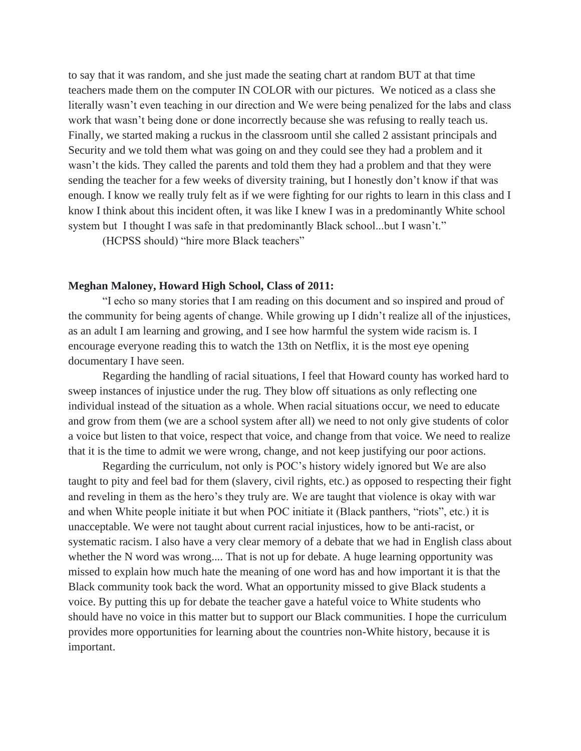to say that it was random, and she just made the seating chart at random BUT at that time teachers made them on the computer IN COLOR with our pictures. We noticed as a class she literally wasn't even teaching in our direction and We were being penalized for the labs and class work that wasn't being done or done incorrectly because she was refusing to really teach us. Finally, we started making a ruckus in the classroom until she called 2 assistant principals and Security and we told them what was going on and they could see they had a problem and it wasn't the kids. They called the parents and told them they had a problem and that they were sending the teacher for a few weeks of diversity training, but I honestly don't know if that was enough. I know we really truly felt as if we were fighting for our rights to learn in this class and I know I think about this incident often, it was like I knew I was in a predominantly White school system but I thought I was safe in that predominantly Black school...but I wasn't."

(HCPSS should) "hire more Black teachers"

#### **Meghan Maloney, Howard High School, Class of 2011:**

"I echo so many stories that I am reading on this document and so inspired and proud of the community for being agents of change. While growing up I didn't realize all of the injustices, as an adult I am learning and growing, and I see how harmful the system wide racism is. I encourage everyone reading this to watch the 13th on Netflix, it is the most eye opening documentary I have seen.

Regarding the handling of racial situations, I feel that Howard county has worked hard to sweep instances of injustice under the rug. They blow off situations as only reflecting one individual instead of the situation as a whole. When racial situations occur, we need to educate and grow from them (we are a school system after all) we need to not only give students of color a voice but listen to that voice, respect that voice, and change from that voice. We need to realize that it is the time to admit we were wrong, change, and not keep justifying our poor actions.

Regarding the curriculum, not only is POC's history widely ignored but We are also taught to pity and feel bad for them (slavery, civil rights, etc.) as opposed to respecting their fight and reveling in them as the hero's they truly are. We are taught that violence is okay with war and when White people initiate it but when POC initiate it (Black panthers, "riots", etc.) it is unacceptable. We were not taught about current racial injustices, how to be anti-racist, or systematic racism. I also have a very clear memory of a debate that we had in English class about whether the N word was wrong.... That is not up for debate. A huge learning opportunity was missed to explain how much hate the meaning of one word has and how important it is that the Black community took back the word. What an opportunity missed to give Black students a voice. By putting this up for debate the teacher gave a hateful voice to White students who should have no voice in this matter but to support our Black communities. I hope the curriculum provides more opportunities for learning about the countries non-White history, because it is important.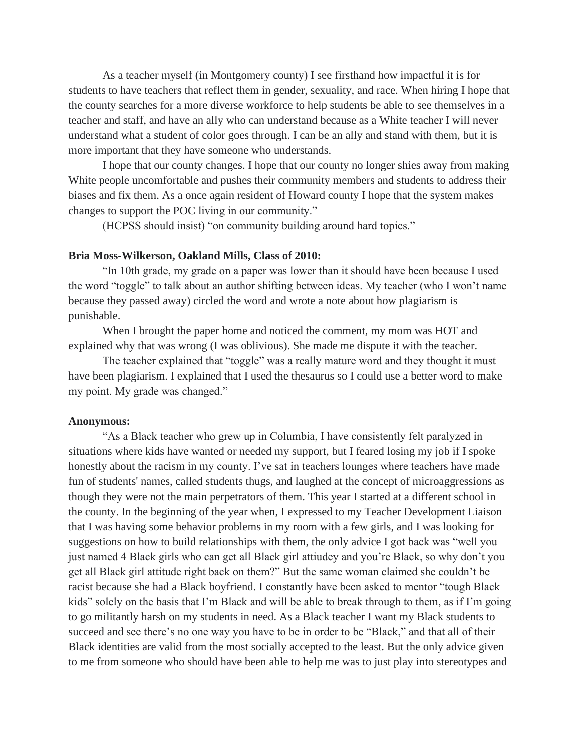As a teacher myself (in Montgomery county) I see firsthand how impactful it is for students to have teachers that reflect them in gender, sexuality, and race. When hiring I hope that the county searches for a more diverse workforce to help students be able to see themselves in a teacher and staff, and have an ally who can understand because as a White teacher I will never understand what a student of color goes through. I can be an ally and stand with them, but it is more important that they have someone who understands.

I hope that our county changes. I hope that our county no longer shies away from making White people uncomfortable and pushes their community members and students to address their biases and fix them. As a once again resident of Howard county I hope that the system makes changes to support the POC living in our community."

(HCPSS should insist) "on community building around hard topics."

### **Bria Moss-Wilkerson, Oakland Mills, Class of 2010:**

"In 10th grade, my grade on a paper was lower than it should have been because I used the word "toggle" to talk about an author shifting between ideas. My teacher (who I won't name because they passed away) circled the word and wrote a note about how plagiarism is punishable.

When I brought the paper home and noticed the comment, my mom was HOT and explained why that was wrong (I was oblivious). She made me dispute it with the teacher.

The teacher explained that "toggle" was a really mature word and they thought it must have been plagiarism. I explained that I used the thesaurus so I could use a better word to make my point. My grade was changed."

## **Anonymous:**

"As a Black teacher who grew up in Columbia, I have consistently felt paralyzed in situations where kids have wanted or needed my support, but I feared losing my job if I spoke honestly about the racism in my county. I've sat in teachers lounges where teachers have made fun of students' names, called students thugs, and laughed at the concept of microaggressions as though they were not the main perpetrators of them. This year I started at a different school in the county. In the beginning of the year when, I expressed to my Teacher Development Liaison that I was having some behavior problems in my room with a few girls, and I was looking for suggestions on how to build relationships with them, the only advice I got back was "well you just named 4 Black girls who can get all Black girl attiudey and you're Black, so why don't you get all Black girl attitude right back on them?" But the same woman claimed she couldn't be racist because she had a Black boyfriend. I constantly have been asked to mentor "tough Black kids" solely on the basis that I'm Black and will be able to break through to them, as if I'm going to go militantly harsh on my students in need. As a Black teacher I want my Black students to succeed and see there's no one way you have to be in order to be "Black," and that all of their Black identities are valid from the most socially accepted to the least. But the only advice given to me from someone who should have been able to help me was to just play into stereotypes and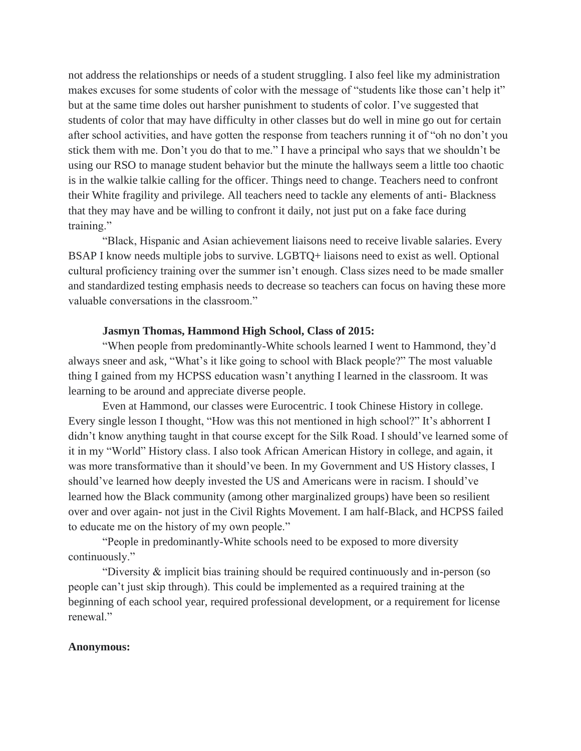not address the relationships or needs of a student struggling. I also feel like my administration makes excuses for some students of color with the message of "students like those can't help it" but at the same time doles out harsher punishment to students of color. I've suggested that students of color that may have difficulty in other classes but do well in mine go out for certain after school activities, and have gotten the response from teachers running it of "oh no don't you stick them with me. Don't you do that to me." I have a principal who says that we shouldn't be using our RSO to manage student behavior but the minute the hallways seem a little too chaotic is in the walkie talkie calling for the officer. Things need to change. Teachers need to confront their White fragility and privilege. All teachers need to tackle any elements of anti- Blackness that they may have and be willing to confront it daily, not just put on a fake face during training."

"Black, Hispanic and Asian achievement liaisons need to receive livable salaries. Every BSAP I know needs multiple jobs to survive. LGBTQ+ liaisons need to exist as well. Optional cultural proficiency training over the summer isn't enough. Class sizes need to be made smaller and standardized testing emphasis needs to decrease so teachers can focus on having these more valuable conversations in the classroom."

## **Jasmyn Thomas, Hammond High School, Class of 2015:**

"When people from predominantly-White schools learned I went to Hammond, they'd always sneer and ask, "What's it like going to school with Black people?" The most valuable thing I gained from my HCPSS education wasn't anything I learned in the classroom. It was learning to be around and appreciate diverse people.

Even at Hammond, our classes were Eurocentric. I took Chinese History in college. Every single lesson I thought, "How was this not mentioned in high school?" It's abhorrent I didn't know anything taught in that course except for the Silk Road. I should've learned some of it in my "World" History class. I also took African American History in college, and again, it was more transformative than it should've been. In my Government and US History classes, I should've learned how deeply invested the US and Americans were in racism. I should've learned how the Black community (among other marginalized groups) have been so resilient over and over again- not just in the Civil Rights Movement. I am half-Black, and HCPSS failed to educate me on the history of my own people."

"People in predominantly-White schools need to be exposed to more diversity continuously."

"Diversity & implicit bias training should be required continuously and in-person (so people can't just skip through). This could be implemented as a required training at the beginning of each school year, required professional development, or a requirement for license renewal."

## **Anonymous:**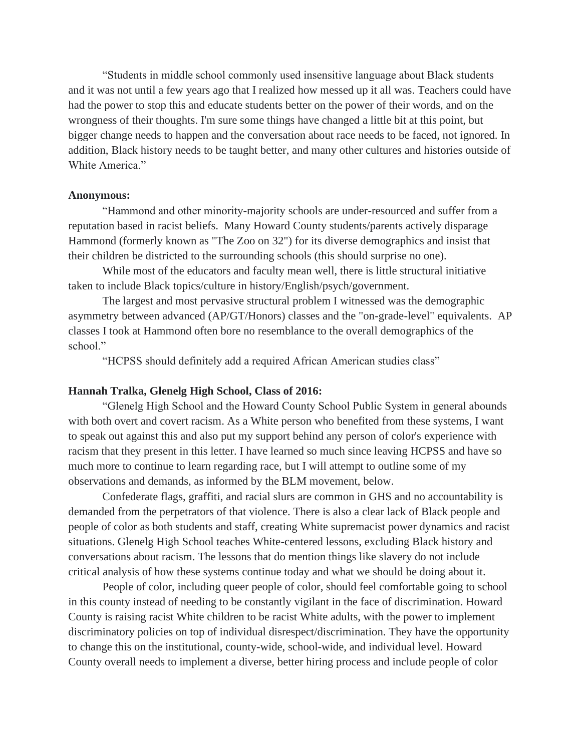"Students in middle school commonly used insensitive language about Black students and it was not until a few years ago that I realized how messed up it all was. Teachers could have had the power to stop this and educate students better on the power of their words, and on the wrongness of their thoughts. I'm sure some things have changed a little bit at this point, but bigger change needs to happen and the conversation about race needs to be faced, not ignored. In addition, Black history needs to be taught better, and many other cultures and histories outside of White America."

#### **Anonymous:**

"Hammond and other minority-majority schools are under-resourced and suffer from a reputation based in racist beliefs. Many Howard County students/parents actively disparage Hammond (formerly known as "The Zoo on 32") for its diverse demographics and insist that their children be districted to the surrounding schools (this should surprise no one).

While most of the educators and faculty mean well, there is little structural initiative taken to include Black topics/culture in history/English/psych/government.

The largest and most pervasive structural problem I witnessed was the demographic asymmetry between advanced (AP/GT/Honors) classes and the "on-grade-level" equivalents. AP classes I took at Hammond often bore no resemblance to the overall demographics of the school."

"HCPSS should definitely add a required African American studies class"

## **Hannah Tralka, Glenelg High School, Class of 2016:**

"Glenelg High School and the Howard County School Public System in general abounds with both overt and covert racism. As a White person who benefited from these systems, I want to speak out against this and also put my support behind any person of color's experience with racism that they present in this letter. I have learned so much since leaving HCPSS and have so much more to continue to learn regarding race, but I will attempt to outline some of my observations and demands, as informed by the BLM movement, below.

Confederate flags, graffiti, and racial slurs are common in GHS and no accountability is demanded from the perpetrators of that violence. There is also a clear lack of Black people and people of color as both students and staff, creating White supremacist power dynamics and racist situations. Glenelg High School teaches White-centered lessons, excluding Black history and conversations about racism. The lessons that do mention things like slavery do not include critical analysis of how these systems continue today and what we should be doing about it.

People of color, including queer people of color, should feel comfortable going to school in this county instead of needing to be constantly vigilant in the face of discrimination. Howard County is raising racist White children to be racist White adults, with the power to implement discriminatory policies on top of individual disrespect/discrimination. They have the opportunity to change this on the institutional, county-wide, school-wide, and individual level. Howard County overall needs to implement a diverse, better hiring process and include people of color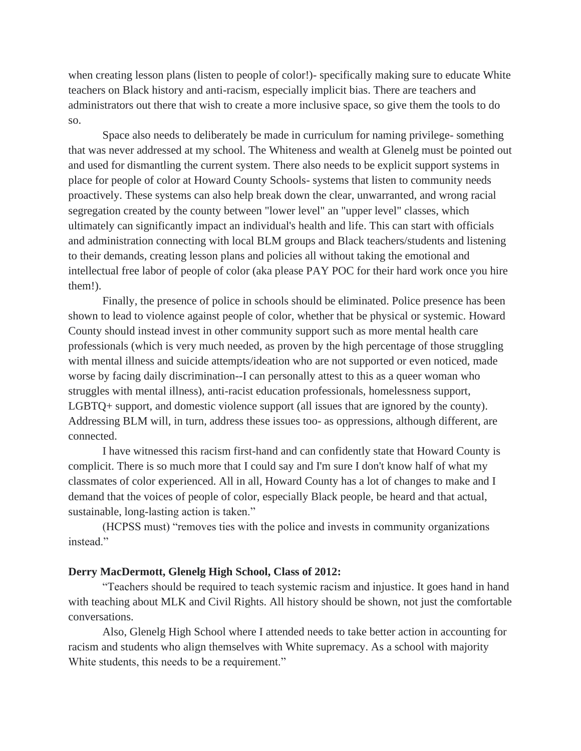when creating lesson plans (listen to people of color!)- specifically making sure to educate White teachers on Black history and anti-racism, especially implicit bias. There are teachers and administrators out there that wish to create a more inclusive space, so give them the tools to do so.

Space also needs to deliberately be made in curriculum for naming privilege- something that was never addressed at my school. The Whiteness and wealth at Glenelg must be pointed out and used for dismantling the current system. There also needs to be explicit support systems in place for people of color at Howard County Schools- systems that listen to community needs proactively. These systems can also help break down the clear, unwarranted, and wrong racial segregation created by the county between "lower level" an "upper level" classes, which ultimately can significantly impact an individual's health and life. This can start with officials and administration connecting with local BLM groups and Black teachers/students and listening to their demands, creating lesson plans and policies all without taking the emotional and intellectual free labor of people of color (aka please PAY POC for their hard work once you hire them!).

Finally, the presence of police in schools should be eliminated. Police presence has been shown to lead to violence against people of color, whether that be physical or systemic. Howard County should instead invest in other community support such as more mental health care professionals (which is very much needed, as proven by the high percentage of those struggling with mental illness and suicide attempts/ideation who are not supported or even noticed, made worse by facing daily discrimination--I can personally attest to this as a queer woman who struggles with mental illness), anti-racist education professionals, homelessness support, LGBTQ+ support, and domestic violence support (all issues that are ignored by the county). Addressing BLM will, in turn, address these issues too- as oppressions, although different, are connected.

I have witnessed this racism first-hand and can confidently state that Howard County is complicit. There is so much more that I could say and I'm sure I don't know half of what my classmates of color experienced. All in all, Howard County has a lot of changes to make and I demand that the voices of people of color, especially Black people, be heard and that actual, sustainable, long-lasting action is taken."

(HCPSS must) "removes ties with the police and invests in community organizations instead."

## **Derry MacDermott, Glenelg High School, Class of 2012:**

"Teachers should be required to teach systemic racism and injustice. It goes hand in hand with teaching about MLK and Civil Rights. All history should be shown, not just the comfortable conversations.

Also, Glenelg High School where I attended needs to take better action in accounting for racism and students who align themselves with White supremacy. As a school with majority White students, this needs to be a requirement."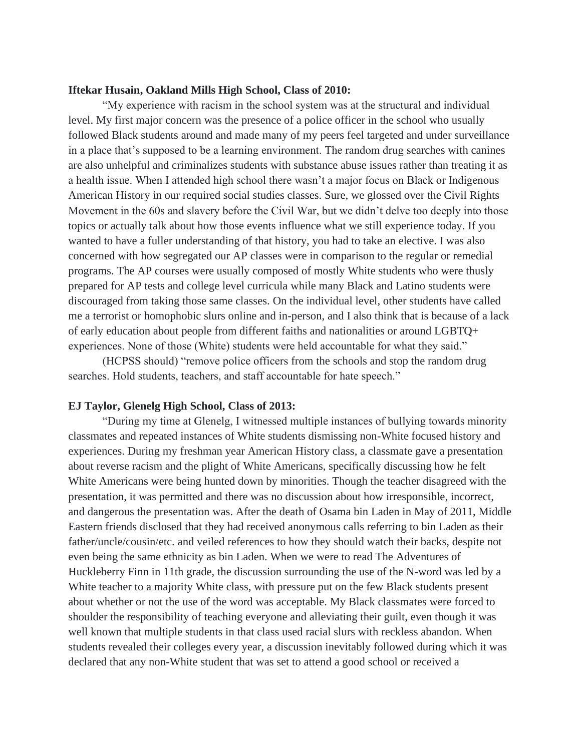## **Iftekar Husain, Oakland Mills High School, Class of 2010:**

"My experience with racism in the school system was at the structural and individual level. My first major concern was the presence of a police officer in the school who usually followed Black students around and made many of my peers feel targeted and under surveillance in a place that's supposed to be a learning environment. The random drug searches with canines are also unhelpful and criminalizes students with substance abuse issues rather than treating it as a health issue. When I attended high school there wasn't a major focus on Black or Indigenous American History in our required social studies classes. Sure, we glossed over the Civil Rights Movement in the 60s and slavery before the Civil War, but we didn't delve too deeply into those topics or actually talk about how those events influence what we still experience today. If you wanted to have a fuller understanding of that history, you had to take an elective. I was also concerned with how segregated our AP classes were in comparison to the regular or remedial programs. The AP courses were usually composed of mostly White students who were thusly prepared for AP tests and college level curricula while many Black and Latino students were discouraged from taking those same classes. On the individual level, other students have called me a terrorist or homophobic slurs online and in-person, and I also think that is because of a lack of early education about people from different faiths and nationalities or around LGBTQ+ experiences. None of those (White) students were held accountable for what they said."

(HCPSS should) "remove police officers from the schools and stop the random drug searches. Hold students, teachers, and staff accountable for hate speech."

## **EJ Taylor, Glenelg High School, Class of 2013:**

"During my time at Glenelg, I witnessed multiple instances of bullying towards minority classmates and repeated instances of White students dismissing non-White focused history and experiences. During my freshman year American History class, a classmate gave a presentation about reverse racism and the plight of White Americans, specifically discussing how he felt White Americans were being hunted down by minorities. Though the teacher disagreed with the presentation, it was permitted and there was no discussion about how irresponsible, incorrect, and dangerous the presentation was. After the death of Osama bin Laden in May of 2011, Middle Eastern friends disclosed that they had received anonymous calls referring to bin Laden as their father/uncle/cousin/etc. and veiled references to how they should watch their backs, despite not even being the same ethnicity as bin Laden. When we were to read The Adventures of Huckleberry Finn in 11th grade, the discussion surrounding the use of the N-word was led by a White teacher to a majority White class, with pressure put on the few Black students present about whether or not the use of the word was acceptable. My Black classmates were forced to shoulder the responsibility of teaching everyone and alleviating their guilt, even though it was well known that multiple students in that class used racial slurs with reckless abandon. When students revealed their colleges every year, a discussion inevitably followed during which it was declared that any non-White student that was set to attend a good school or received a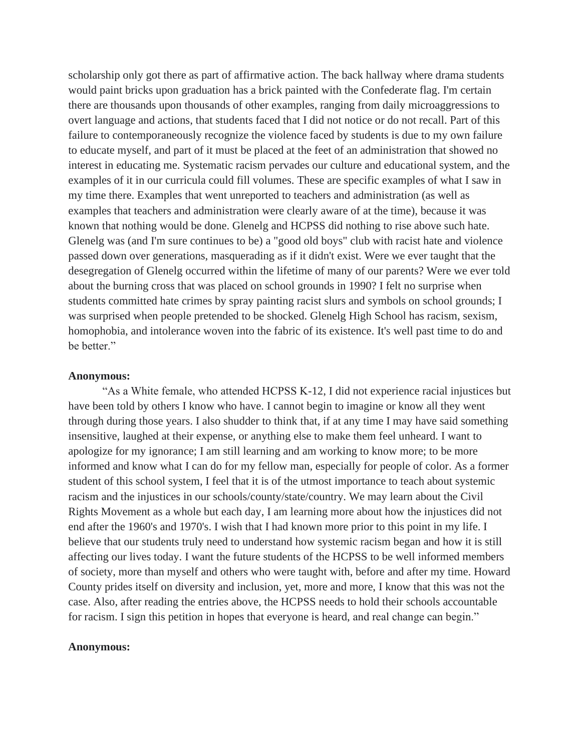scholarship only got there as part of affirmative action. The back hallway where drama students would paint bricks upon graduation has a brick painted with the Confederate flag. I'm certain there are thousands upon thousands of other examples, ranging from daily microaggressions to overt language and actions, that students faced that I did not notice or do not recall. Part of this failure to contemporaneously recognize the violence faced by students is due to my own failure to educate myself, and part of it must be placed at the feet of an administration that showed no interest in educating me. Systematic racism pervades our culture and educational system, and the examples of it in our curricula could fill volumes. These are specific examples of what I saw in my time there. Examples that went unreported to teachers and administration (as well as examples that teachers and administration were clearly aware of at the time), because it was known that nothing would be done. Glenelg and HCPSS did nothing to rise above such hate. Glenelg was (and I'm sure continues to be) a "good old boys" club with racist hate and violence passed down over generations, masquerading as if it didn't exist. Were we ever taught that the desegregation of Glenelg occurred within the lifetime of many of our parents? Were we ever told about the burning cross that was placed on school grounds in 1990? I felt no surprise when students committed hate crimes by spray painting racist slurs and symbols on school grounds; I was surprised when people pretended to be shocked. Glenelg High School has racism, sexism, homophobia, and intolerance woven into the fabric of its existence. It's well past time to do and be better."

### **Anonymous:**

"As a White female, who attended HCPSS K-12, I did not experience racial injustices but have been told by others I know who have. I cannot begin to imagine or know all they went through during those years. I also shudder to think that, if at any time I may have said something insensitive, laughed at their expense, or anything else to make them feel unheard. I want to apologize for my ignorance; I am still learning and am working to know more; to be more informed and know what I can do for my fellow man, especially for people of color. As a former student of this school system, I feel that it is of the utmost importance to teach about systemic racism and the injustices in our schools/county/state/country. We may learn about the Civil Rights Movement as a whole but each day, I am learning more about how the injustices did not end after the 1960's and 1970's. I wish that I had known more prior to this point in my life. I believe that our students truly need to understand how systemic racism began and how it is still affecting our lives today. I want the future students of the HCPSS to be well informed members of society, more than myself and others who were taught with, before and after my time. Howard County prides itself on diversity and inclusion, yet, more and more, I know that this was not the case. Also, after reading the entries above, the HCPSS needs to hold their schools accountable for racism. I sign this petition in hopes that everyone is heard, and real change can begin."

## **Anonymous:**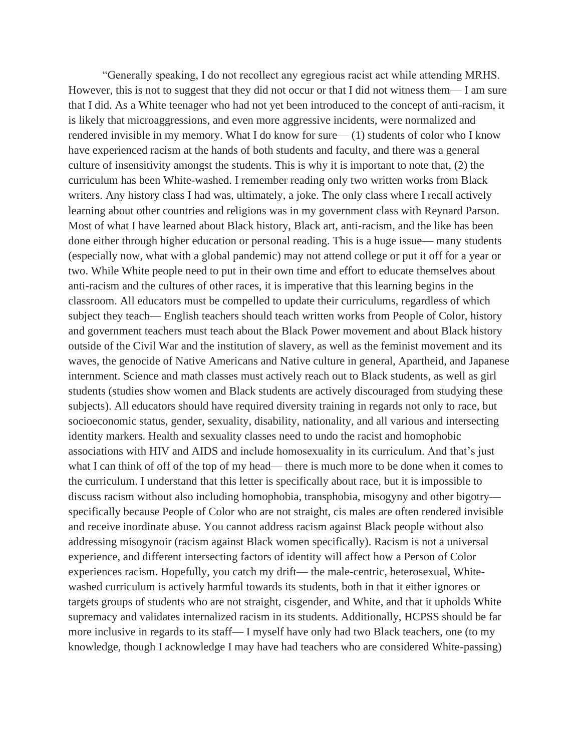"Generally speaking, I do not recollect any egregious racist act while attending MRHS. However, this is not to suggest that they did not occur or that I did not witness them— I am sure that I did. As a White teenager who had not yet been introduced to the concept of anti-racism, it is likely that microaggressions, and even more aggressive incidents, were normalized and rendered invisible in my memory. What I do know for sure— (1) students of color who I know have experienced racism at the hands of both students and faculty, and there was a general culture of insensitivity amongst the students. This is why it is important to note that, (2) the curriculum has been White-washed. I remember reading only two written works from Black writers. Any history class I had was, ultimately, a joke. The only class where I recall actively learning about other countries and religions was in my government class with Reynard Parson. Most of what I have learned about Black history, Black art, anti-racism, and the like has been done either through higher education or personal reading. This is a huge issue— many students (especially now, what with a global pandemic) may not attend college or put it off for a year or two. While White people need to put in their own time and effort to educate themselves about anti-racism and the cultures of other races, it is imperative that this learning begins in the classroom. All educators must be compelled to update their curriculums, regardless of which subject they teach— English teachers should teach written works from People of Color, history and government teachers must teach about the Black Power movement and about Black history outside of the Civil War and the institution of slavery, as well as the feminist movement and its waves, the genocide of Native Americans and Native culture in general, Apartheid, and Japanese internment. Science and math classes must actively reach out to Black students, as well as girl students (studies show women and Black students are actively discouraged from studying these subjects). All educators should have required diversity training in regards not only to race, but socioeconomic status, gender, sexuality, disability, nationality, and all various and intersecting identity markers. Health and sexuality classes need to undo the racist and homophobic associations with HIV and AIDS and include homosexuality in its curriculum. And that's just what I can think of off of the top of my head— there is much more to be done when it comes to the curriculum. I understand that this letter is specifically about race, but it is impossible to discuss racism without also including homophobia, transphobia, misogyny and other bigotry specifically because People of Color who are not straight, cis males are often rendered invisible and receive inordinate abuse. You cannot address racism against Black people without also addressing misogynoir (racism against Black women specifically). Racism is not a universal experience, and different intersecting factors of identity will affect how a Person of Color experiences racism. Hopefully, you catch my drift— the male-centric, heterosexual, Whitewashed curriculum is actively harmful towards its students, both in that it either ignores or targets groups of students who are not straight, cisgender, and White, and that it upholds White supremacy and validates internalized racism in its students. Additionally, HCPSS should be far more inclusive in regards to its staff— I myself have only had two Black teachers, one (to my knowledge, though I acknowledge I may have had teachers who are considered White-passing)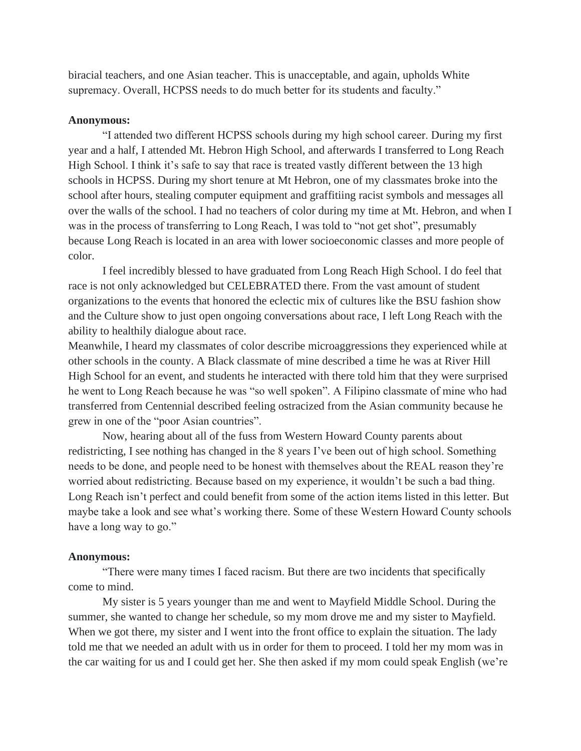biracial teachers, and one Asian teacher. This is unacceptable, and again, upholds White supremacy. Overall, HCPSS needs to do much better for its students and faculty."

#### **Anonymous:**

"I attended two different HCPSS schools during my high school career. During my first year and a half, I attended Mt. Hebron High School, and afterwards I transferred to Long Reach High School. I think it's safe to say that race is treated vastly different between the 13 high schools in HCPSS. During my short tenure at Mt Hebron, one of my classmates broke into the school after hours, stealing computer equipment and graffitiing racist symbols and messages all over the walls of the school. I had no teachers of color during my time at Mt. Hebron, and when I was in the process of transferring to Long Reach, I was told to "not get shot", presumably because Long Reach is located in an area with lower socioeconomic classes and more people of color.

I feel incredibly blessed to have graduated from Long Reach High School. I do feel that race is not only acknowledged but CELEBRATED there. From the vast amount of student organizations to the events that honored the eclectic mix of cultures like the BSU fashion show and the Culture show to just open ongoing conversations about race, I left Long Reach with the ability to healthily dialogue about race.

Meanwhile, I heard my classmates of color describe microaggressions they experienced while at other schools in the county. A Black classmate of mine described a time he was at River Hill High School for an event, and students he interacted with there told him that they were surprised he went to Long Reach because he was "so well spoken". A Filipino classmate of mine who had transferred from Centennial described feeling ostracized from the Asian community because he grew in one of the "poor Asian countries".

Now, hearing about all of the fuss from Western Howard County parents about redistricting, I see nothing has changed in the 8 years I've been out of high school. Something needs to be done, and people need to be honest with themselves about the REAL reason they're worried about redistricting. Because based on my experience, it wouldn't be such a bad thing. Long Reach isn't perfect and could benefit from some of the action items listed in this letter. But maybe take a look and see what's working there. Some of these Western Howard County schools have a long way to go."

#### **Anonymous:**

"There were many times I faced racism. But there are two incidents that specifically come to mind.

My sister is 5 years younger than me and went to Mayfield Middle School. During the summer, she wanted to change her schedule, so my mom drove me and my sister to Mayfield. When we got there, my sister and I went into the front office to explain the situation. The lady told me that we needed an adult with us in order for them to proceed. I told her my mom was in the car waiting for us and I could get her. She then asked if my mom could speak English (we're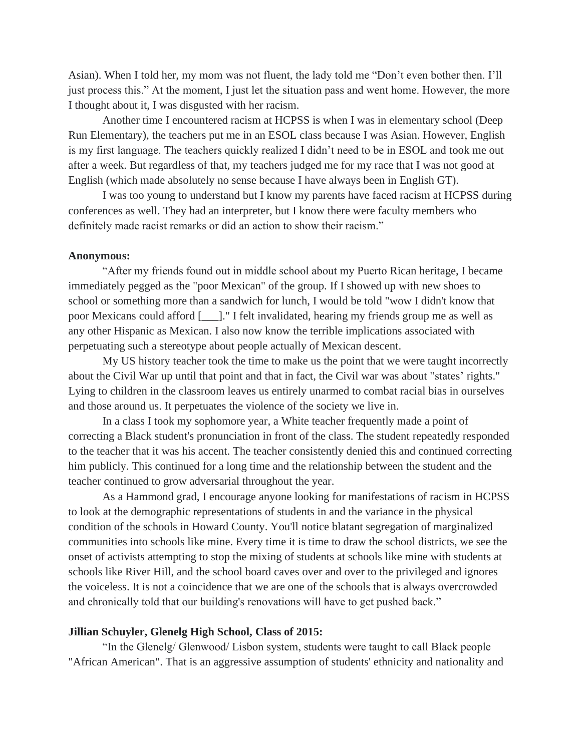Asian). When I told her, my mom was not fluent, the lady told me "Don't even bother then. I'll just process this." At the moment, I just let the situation pass and went home. However, the more I thought about it, I was disgusted with her racism.

Another time I encountered racism at HCPSS is when I was in elementary school (Deep Run Elementary), the teachers put me in an ESOL class because I was Asian. However, English is my first language. The teachers quickly realized I didn't need to be in ESOL and took me out after a week. But regardless of that, my teachers judged me for my race that I was not good at English (which made absolutely no sense because I have always been in English GT).

I was too young to understand but I know my parents have faced racism at HCPSS during conferences as well. They had an interpreter, but I know there were faculty members who definitely made racist remarks or did an action to show their racism."

## **Anonymous:**

"After my friends found out in middle school about my Puerto Rican heritage, I became immediately pegged as the "poor Mexican" of the group. If I showed up with new shoes to school or something more than a sandwich for lunch, I would be told "wow I didn't know that poor Mexicans could afford [\_\_\_]." I felt invalidated, hearing my friends group me as well as any other Hispanic as Mexican. I also now know the terrible implications associated with perpetuating such a stereotype about people actually of Mexican descent.

My US history teacher took the time to make us the point that we were taught incorrectly about the Civil War up until that point and that in fact, the Civil war was about "states' rights." Lying to children in the classroom leaves us entirely unarmed to combat racial bias in ourselves and those around us. It perpetuates the violence of the society we live in.

In a class I took my sophomore year, a White teacher frequently made a point of correcting a Black student's pronunciation in front of the class. The student repeatedly responded to the teacher that it was his accent. The teacher consistently denied this and continued correcting him publicly. This continued for a long time and the relationship between the student and the teacher continued to grow adversarial throughout the year.

As a Hammond grad, I encourage anyone looking for manifestations of racism in HCPSS to look at the demographic representations of students in and the variance in the physical condition of the schools in Howard County. You'll notice blatant segregation of marginalized communities into schools like mine. Every time it is time to draw the school districts, we see the onset of activists attempting to stop the mixing of students at schools like mine with students at schools like River Hill, and the school board caves over and over to the privileged and ignores the voiceless. It is not a coincidence that we are one of the schools that is always overcrowded and chronically told that our building's renovations will have to get pushed back."

## **Jillian Schuyler, Glenelg High School, Class of 2015:**

"In the Glenelg/ Glenwood/ Lisbon system, students were taught to call Black people "African American". That is an aggressive assumption of students' ethnicity and nationality and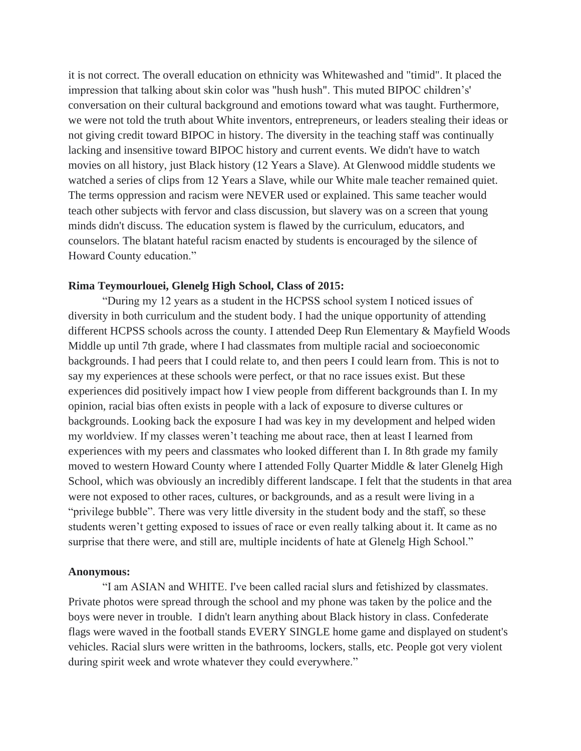it is not correct. The overall education on ethnicity was Whitewashed and "timid". It placed the impression that talking about skin color was "hush hush". This muted BIPOC children's' conversation on their cultural background and emotions toward what was taught. Furthermore, we were not told the truth about White inventors, entrepreneurs, or leaders stealing their ideas or not giving credit toward BIPOC in history. The diversity in the teaching staff was continually lacking and insensitive toward BIPOC history and current events. We didn't have to watch movies on all history, just Black history (12 Years a Slave). At Glenwood middle students we watched a series of clips from 12 Years a Slave, while our White male teacher remained quiet. The terms oppression and racism were NEVER used or explained. This same teacher would teach other subjects with fervor and class discussion, but slavery was on a screen that young minds didn't discuss. The education system is flawed by the curriculum, educators, and counselors. The blatant hateful racism enacted by students is encouraged by the silence of Howard County education."

## **Rima Teymourlouei, Glenelg High School, Class of 2015:**

"During my 12 years as a student in the HCPSS school system I noticed issues of diversity in both curriculum and the student body. I had the unique opportunity of attending different HCPSS schools across the county. I attended Deep Run Elementary & Mayfield Woods Middle up until 7th grade, where I had classmates from multiple racial and socioeconomic backgrounds. I had peers that I could relate to, and then peers I could learn from. This is not to say my experiences at these schools were perfect, or that no race issues exist. But these experiences did positively impact how I view people from different backgrounds than I. In my opinion, racial bias often exists in people with a lack of exposure to diverse cultures or backgrounds. Looking back the exposure I had was key in my development and helped widen my worldview. If my classes weren't teaching me about race, then at least I learned from experiences with my peers and classmates who looked different than I. In 8th grade my family moved to western Howard County where I attended Folly Quarter Middle & later Glenelg High School, which was obviously an incredibly different landscape. I felt that the students in that area were not exposed to other races, cultures, or backgrounds, and as a result were living in a "privilege bubble". There was very little diversity in the student body and the staff, so these students weren't getting exposed to issues of race or even really talking about it. It came as no surprise that there were, and still are, multiple incidents of hate at Glenelg High School."

## **Anonymous:**

"I am ASIAN and WHITE. I've been called racial slurs and fetishized by classmates. Private photos were spread through the school and my phone was taken by the police and the boys were never in trouble. I didn't learn anything about Black history in class. Confederate flags were waved in the football stands EVERY SINGLE home game and displayed on student's vehicles. Racial slurs were written in the bathrooms, lockers, stalls, etc. People got very violent during spirit week and wrote whatever they could everywhere."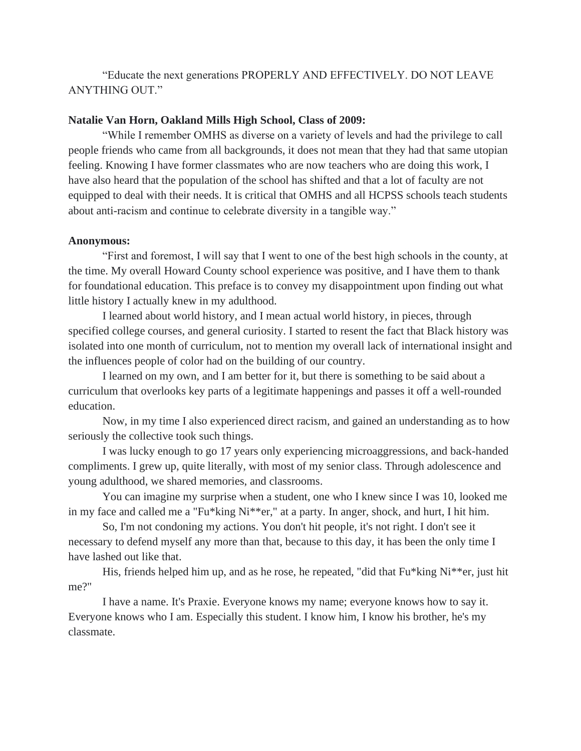"Educate the next generations PROPERLY AND EFFECTIVELY. DO NOT LEAVE ANYTHING OUT."

# **Natalie Van Horn, Oakland Mills High School, Class of 2009:**

"While I remember OMHS as diverse on a variety of levels and had the privilege to call people friends who came from all backgrounds, it does not mean that they had that same utopian feeling. Knowing I have former classmates who are now teachers who are doing this work, I have also heard that the population of the school has shifted and that a lot of faculty are not equipped to deal with their needs. It is critical that OMHS and all HCPSS schools teach students about anti-racism and continue to celebrate diversity in a tangible way."

# **Anonymous:**

"First and foremost, I will say that I went to one of the best high schools in the county, at the time. My overall Howard County school experience was positive, and I have them to thank for foundational education. This preface is to convey my disappointment upon finding out what little history I actually knew in my adulthood.

I learned about world history, and I mean actual world history, in pieces, through specified college courses, and general curiosity. I started to resent the fact that Black history was isolated into one month of curriculum, not to mention my overall lack of international insight and the influences people of color had on the building of our country.

I learned on my own, and I am better for it, but there is something to be said about a curriculum that overlooks key parts of a legitimate happenings and passes it off a well-rounded education.

Now, in my time I also experienced direct racism, and gained an understanding as to how seriously the collective took such things.

I was lucky enough to go 17 years only experiencing microaggressions, and back-handed compliments. I grew up, quite literally, with most of my senior class. Through adolescence and young adulthood, we shared memories, and classrooms.

You can imagine my surprise when a student, one who I knew since I was 10, looked me in my face and called me a "Fu\*king Ni\*\*er," at a party. In anger, shock, and hurt, I hit him.

So, I'm not condoning my actions. You don't hit people, it's not right. I don't see it necessary to defend myself any more than that, because to this day, it has been the only time I have lashed out like that.

His, friends helped him up, and as he rose, he repeated, "did that Fu\*king Ni\*\*er, just hit me?"

I have a name. It's Praxie. Everyone knows my name; everyone knows how to say it. Everyone knows who I am. Especially this student. I know him, I know his brother, he's my classmate.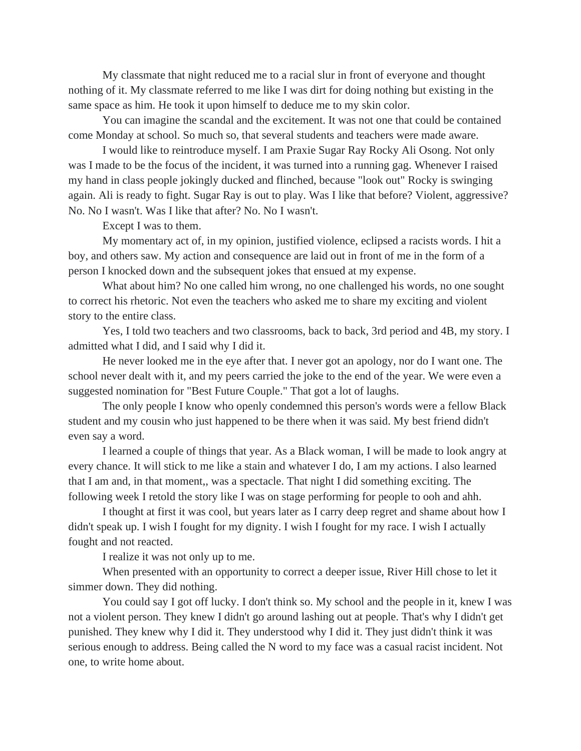My classmate that night reduced me to a racial slur in front of everyone and thought nothing of it. My classmate referred to me like I was dirt for doing nothing but existing in the same space as him. He took it upon himself to deduce me to my skin color.

You can imagine the scandal and the excitement. It was not one that could be contained come Monday at school. So much so, that several students and teachers were made aware.

I would like to reintroduce myself. I am Praxie Sugar Ray Rocky Ali Osong. Not only was I made to be the focus of the incident, it was turned into a running gag. Whenever I raised my hand in class people jokingly ducked and flinched, because "look out" Rocky is swinging again. Ali is ready to fight. Sugar Ray is out to play. Was I like that before? Violent, aggressive? No. No I wasn't. Was I like that after? No. No I wasn't.

Except I was to them.

My momentary act of, in my opinion, justified violence, eclipsed a racists words. I hit a boy, and others saw. My action and consequence are laid out in front of me in the form of a person I knocked down and the subsequent jokes that ensued at my expense.

What about him? No one called him wrong, no one challenged his words, no one sought to correct his rhetoric. Not even the teachers who asked me to share my exciting and violent story to the entire class.

Yes, I told two teachers and two classrooms, back to back, 3rd period and 4B, my story. I admitted what I did, and I said why I did it.

He never looked me in the eye after that. I never got an apology, nor do I want one. The school never dealt with it, and my peers carried the joke to the end of the year. We were even a suggested nomination for "Best Future Couple." That got a lot of laughs.

The only people I know who openly condemned this person's words were a fellow Black student and my cousin who just happened to be there when it was said. My best friend didn't even say a word.

I learned a couple of things that year. As a Black woman, I will be made to look angry at every chance. It will stick to me like a stain and whatever I do, I am my actions. I also learned that I am and, in that moment,, was a spectacle. That night I did something exciting. The following week I retold the story like I was on stage performing for people to ooh and ahh.

I thought at first it was cool, but years later as I carry deep regret and shame about how I didn't speak up. I wish I fought for my dignity. I wish I fought for my race. I wish I actually fought and not reacted.

I realize it was not only up to me.

When presented with an opportunity to correct a deeper issue, River Hill chose to let it simmer down. They did nothing.

You could say I got off lucky. I don't think so. My school and the people in it, knew I was not a violent person. They knew I didn't go around lashing out at people. That's why I didn't get punished. They knew why I did it. They understood why I did it. They just didn't think it was serious enough to address. Being called the N word to my face was a casual racist incident. Not one, to write home about.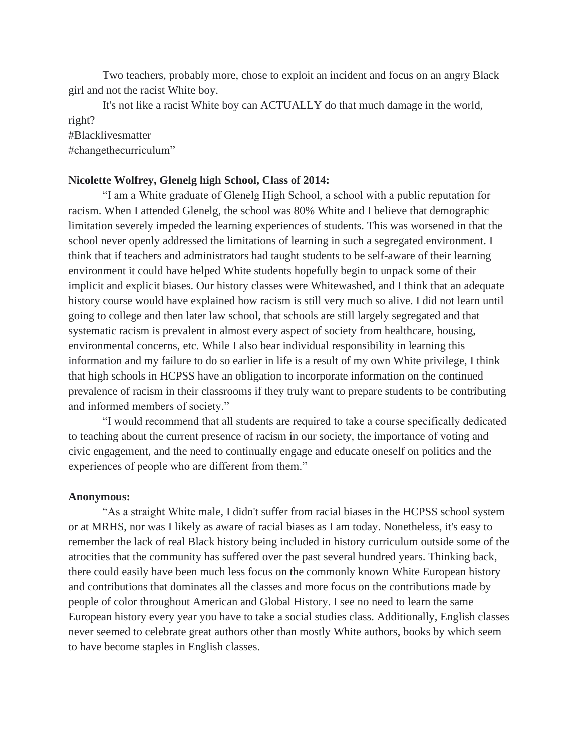Two teachers, probably more, chose to exploit an incident and focus on an angry Black girl and not the racist White boy.

It's not like a racist White boy can ACTUALLY do that much damage in the world, right?

#Blacklivesmatter

#changethecurriculum"

## **Nicolette Wolfrey, Glenelg high School, Class of 2014:**

"I am a White graduate of Glenelg High School, a school with a public reputation for racism. When I attended Glenelg, the school was 80% White and I believe that demographic limitation severely impeded the learning experiences of students. This was worsened in that the school never openly addressed the limitations of learning in such a segregated environment. I think that if teachers and administrators had taught students to be self-aware of their learning environment it could have helped White students hopefully begin to unpack some of their implicit and explicit biases. Our history classes were Whitewashed, and I think that an adequate history course would have explained how racism is still very much so alive. I did not learn until going to college and then later law school, that schools are still largely segregated and that systematic racism is prevalent in almost every aspect of society from healthcare, housing, environmental concerns, etc. While I also bear individual responsibility in learning this information and my failure to do so earlier in life is a result of my own White privilege, I think that high schools in HCPSS have an obligation to incorporate information on the continued prevalence of racism in their classrooms if they truly want to prepare students to be contributing and informed members of society."

"I would recommend that all students are required to take a course specifically dedicated to teaching about the current presence of racism in our society, the importance of voting and civic engagement, and the need to continually engage and educate oneself on politics and the experiences of people who are different from them."

### **Anonymous:**

"As a straight White male, I didn't suffer from racial biases in the HCPSS school system or at MRHS, nor was I likely as aware of racial biases as I am today. Nonetheless, it's easy to remember the lack of real Black history being included in history curriculum outside some of the atrocities that the community has suffered over the past several hundred years. Thinking back, there could easily have been much less focus on the commonly known White European history and contributions that dominates all the classes and more focus on the contributions made by people of color throughout American and Global History. I see no need to learn the same European history every year you have to take a social studies class. Additionally, English classes never seemed to celebrate great authors other than mostly White authors, books by which seem to have become staples in English classes.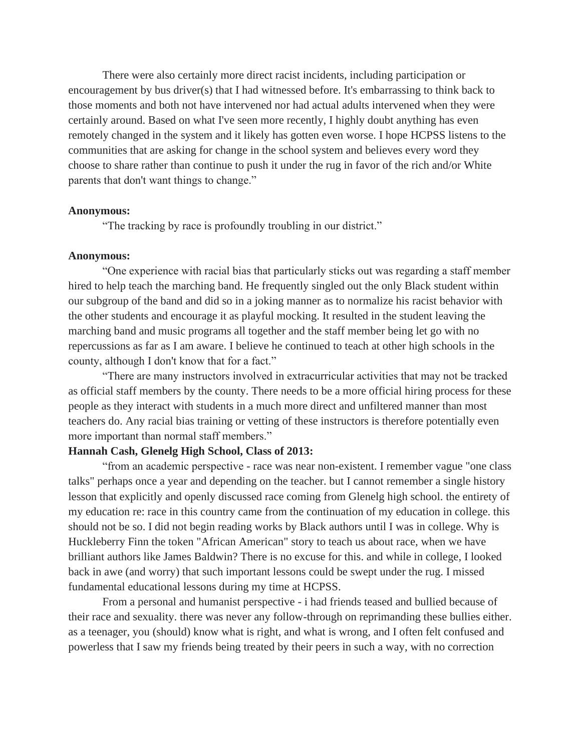There were also certainly more direct racist incidents, including participation or encouragement by bus driver(s) that I had witnessed before. It's embarrassing to think back to those moments and both not have intervened nor had actual adults intervened when they were certainly around. Based on what I've seen more recently, I highly doubt anything has even remotely changed in the system and it likely has gotten even worse. I hope HCPSS listens to the communities that are asking for change in the school system and believes every word they choose to share rather than continue to push it under the rug in favor of the rich and/or White parents that don't want things to change."

#### **Anonymous:**

"The tracking by race is profoundly troubling in our district."

## **Anonymous:**

"One experience with racial bias that particularly sticks out was regarding a staff member hired to help teach the marching band. He frequently singled out the only Black student within our subgroup of the band and did so in a joking manner as to normalize his racist behavior with the other students and encourage it as playful mocking. It resulted in the student leaving the marching band and music programs all together and the staff member being let go with no repercussions as far as I am aware. I believe he continued to teach at other high schools in the county, although I don't know that for a fact."

"There are many instructors involved in extracurricular activities that may not be tracked as official staff members by the county. There needs to be a more official hiring process for these people as they interact with students in a much more direct and unfiltered manner than most teachers do. Any racial bias training or vetting of these instructors is therefore potentially even more important than normal staff members."

## **Hannah Cash, Glenelg High School, Class of 2013:**

"from an academic perspective - race was near non-existent. I remember vague "one class talks" perhaps once a year and depending on the teacher. but I cannot remember a single history lesson that explicitly and openly discussed race coming from Glenelg high school. the entirety of my education re: race in this country came from the continuation of my education in college. this should not be so. I did not begin reading works by Black authors until I was in college. Why is Huckleberry Finn the token "African American" story to teach us about race, when we have brilliant authors like James Baldwin? There is no excuse for this. and while in college, I looked back in awe (and worry) that such important lessons could be swept under the rug. I missed fundamental educational lessons during my time at HCPSS.

From a personal and humanist perspective - i had friends teased and bullied because of their race and sexuality. there was never any follow-through on reprimanding these bullies either. as a teenager, you (should) know what is right, and what is wrong, and I often felt confused and powerless that I saw my friends being treated by their peers in such a way, with no correction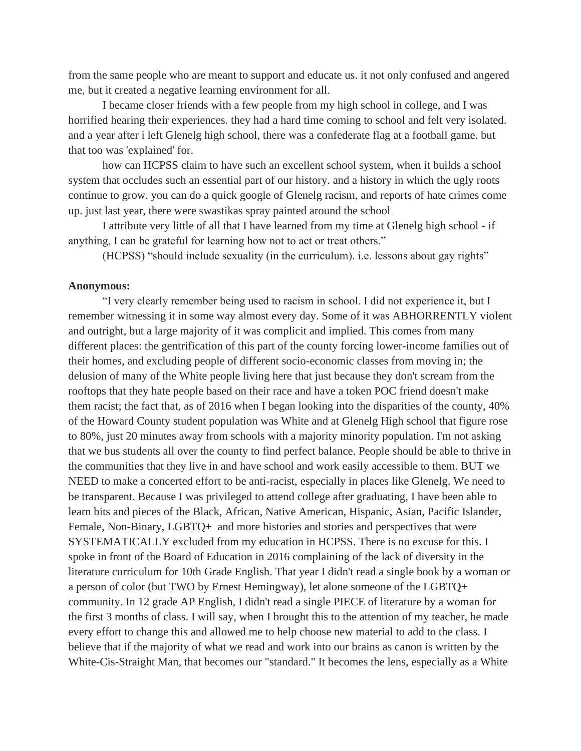from the same people who are meant to support and educate us. it not only confused and angered me, but it created a negative learning environment for all.

I became closer friends with a few people from my high school in college, and I was horrified hearing their experiences. they had a hard time coming to school and felt very isolated. and a year after i left Glenelg high school, there was a confederate flag at a football game. but that too was 'explained' for.

how can HCPSS claim to have such an excellent school system, when it builds a school system that occludes such an essential part of our history. and a history in which the ugly roots continue to grow. you can do a quick google of Glenelg racism, and reports of hate crimes come up. just last year, there were swastikas spray painted around the school

I attribute very little of all that I have learned from my time at Glenelg high school - if anything, I can be grateful for learning how not to act or treat others."

(HCPSS) "should include sexuality (in the curriculum). i.e. lessons about gay rights"

### **Anonymous:**

"I very clearly remember being used to racism in school. I did not experience it, but I remember witnessing it in some way almost every day. Some of it was ABHORRENTLY violent and outright, but a large majority of it was complicit and implied. This comes from many different places: the gentrification of this part of the county forcing lower-income families out of their homes, and excluding people of different socio-economic classes from moving in; the delusion of many of the White people living here that just because they don't scream from the rooftops that they hate people based on their race and have a token POC friend doesn't make them racist; the fact that, as of 2016 when I began looking into the disparities of the county, 40% of the Howard County student population was White and at Glenelg High school that figure rose to 80%, just 20 minutes away from schools with a majority minority population. I'm not asking that we bus students all over the county to find perfect balance. People should be able to thrive in the communities that they live in and have school and work easily accessible to them. BUT we NEED to make a concerted effort to be anti-racist, especially in places like Glenelg. We need to be transparent. Because I was privileged to attend college after graduating, I have been able to learn bits and pieces of the Black, African, Native American, Hispanic, Asian, Pacific Islander, Female, Non-Binary, LGBTQ+ and more histories and stories and perspectives that were SYSTEMATICALLY excluded from my education in HCPSS. There is no excuse for this. I spoke in front of the Board of Education in 2016 complaining of the lack of diversity in the literature curriculum for 10th Grade English. That year I didn't read a single book by a woman or a person of color (but TWO by Ernest Hemingway), let alone someone of the LGBTQ+ community. In 12 grade AP English, I didn't read a single PIECE of literature by a woman for the first 3 months of class. I will say, when I brought this to the attention of my teacher, he made every effort to change this and allowed me to help choose new material to add to the class. I believe that if the majority of what we read and work into our brains as canon is written by the White-Cis-Straight Man, that becomes our "standard." It becomes the lens, especially as a White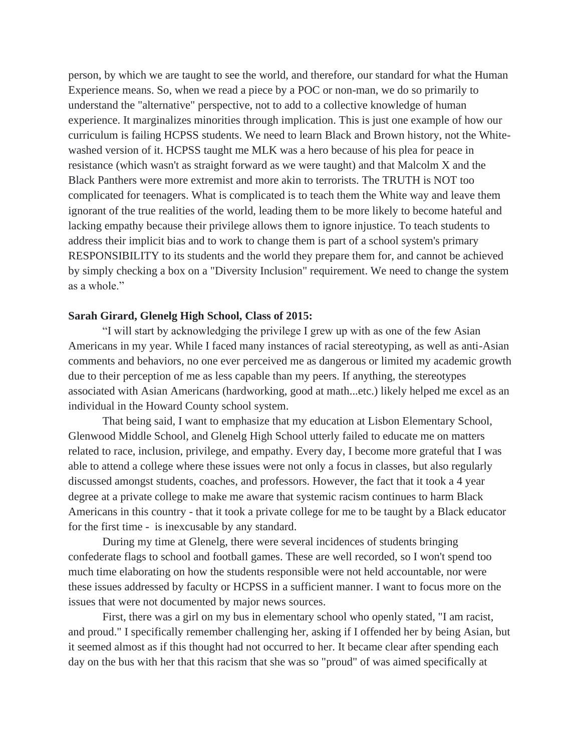person, by which we are taught to see the world, and therefore, our standard for what the Human Experience means. So, when we read a piece by a POC or non-man, we do so primarily to understand the "alternative" perspective, not to add to a collective knowledge of human experience. It marginalizes minorities through implication. This is just one example of how our curriculum is failing HCPSS students. We need to learn Black and Brown history, not the Whitewashed version of it. HCPSS taught me MLK was a hero because of his plea for peace in resistance (which wasn't as straight forward as we were taught) and that Malcolm X and the Black Panthers were more extremist and more akin to terrorists. The TRUTH is NOT too complicated for teenagers. What is complicated is to teach them the White way and leave them ignorant of the true realities of the world, leading them to be more likely to become hateful and lacking empathy because their privilege allows them to ignore injustice. To teach students to address their implicit bias and to work to change them is part of a school system's primary RESPONSIBILITY to its students and the world they prepare them for, and cannot be achieved by simply checking a box on a "Diversity Inclusion" requirement. We need to change the system as a whole."

# **Sarah Girard, Glenelg High School, Class of 2015:**

"I will start by acknowledging the privilege I grew up with as one of the few Asian Americans in my year. While I faced many instances of racial stereotyping, as well as anti-Asian comments and behaviors, no one ever perceived me as dangerous or limited my academic growth due to their perception of me as less capable than my peers. If anything, the stereotypes associated with Asian Americans (hardworking, good at math...etc.) likely helped me excel as an individual in the Howard County school system.

That being said, I want to emphasize that my education at Lisbon Elementary School, Glenwood Middle School, and Glenelg High School utterly failed to educate me on matters related to race, inclusion, privilege, and empathy. Every day, I become more grateful that I was able to attend a college where these issues were not only a focus in classes, but also regularly discussed amongst students, coaches, and professors. However, the fact that it took a 4 year degree at a private college to make me aware that systemic racism continues to harm Black Americans in this country - that it took a private college for me to be taught by a Black educator for the first time - is inexcusable by any standard.

During my time at Glenelg, there were several incidences of students bringing confederate flags to school and football games. These are well recorded, so I won't spend too much time elaborating on how the students responsible were not held accountable, nor were these issues addressed by faculty or HCPSS in a sufficient manner. I want to focus more on the issues that were not documented by major news sources.

First, there was a girl on my bus in elementary school who openly stated, "I am racist, and proud." I specifically remember challenging her, asking if I offended her by being Asian, but it seemed almost as if this thought had not occurred to her. It became clear after spending each day on the bus with her that this racism that she was so "proud" of was aimed specifically at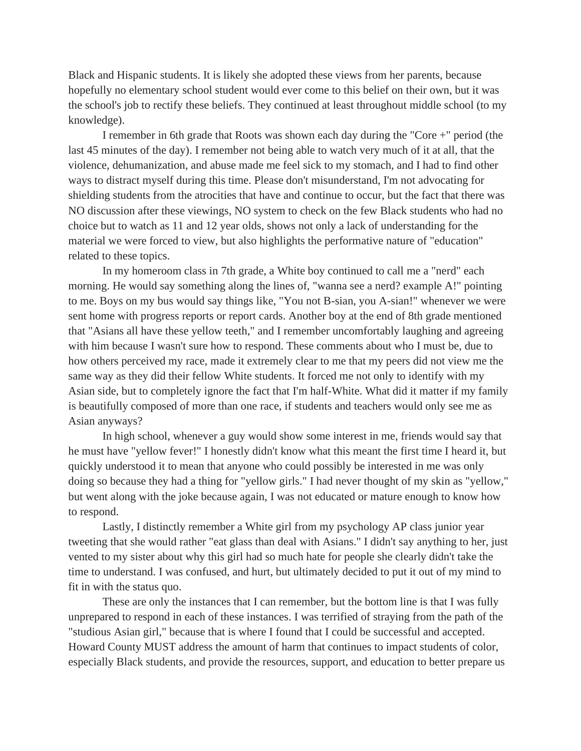Black and Hispanic students. It is likely she adopted these views from her parents, because hopefully no elementary school student would ever come to this belief on their own, but it was the school's job to rectify these beliefs. They continued at least throughout middle school (to my knowledge).

I remember in 6th grade that Roots was shown each day during the "Core +" period (the last 45 minutes of the day). I remember not being able to watch very much of it at all, that the violence, dehumanization, and abuse made me feel sick to my stomach, and I had to find other ways to distract myself during this time. Please don't misunderstand, I'm not advocating for shielding students from the atrocities that have and continue to occur, but the fact that there was NO discussion after these viewings, NO system to check on the few Black students who had no choice but to watch as 11 and 12 year olds, shows not only a lack of understanding for the material we were forced to view, but also highlights the performative nature of "education" related to these topics.

In my homeroom class in 7th grade, a White boy continued to call me a "nerd" each morning. He would say something along the lines of, "wanna see a nerd? example A!" pointing to me. Boys on my bus would say things like, "You not B-sian, you A-sian!" whenever we were sent home with progress reports or report cards. Another boy at the end of 8th grade mentioned that "Asians all have these yellow teeth," and I remember uncomfortably laughing and agreeing with him because I wasn't sure how to respond. These comments about who I must be, due to how others perceived my race, made it extremely clear to me that my peers did not view me the same way as they did their fellow White students. It forced me not only to identify with my Asian side, but to completely ignore the fact that I'm half-White. What did it matter if my family is beautifully composed of more than one race, if students and teachers would only see me as Asian anyways?

In high school, whenever a guy would show some interest in me, friends would say that he must have "yellow fever!" I honestly didn't know what this meant the first time I heard it, but quickly understood it to mean that anyone who could possibly be interested in me was only doing so because they had a thing for "yellow girls." I had never thought of my skin as "yellow," but went along with the joke because again, I was not educated or mature enough to know how to respond.

Lastly, I distinctly remember a White girl from my psychology AP class junior year tweeting that she would rather "eat glass than deal with Asians." I didn't say anything to her, just vented to my sister about why this girl had so much hate for people she clearly didn't take the time to understand. I was confused, and hurt, but ultimately decided to put it out of my mind to fit in with the status quo.

These are only the instances that I can remember, but the bottom line is that I was fully unprepared to respond in each of these instances. I was terrified of straying from the path of the "studious Asian girl," because that is where I found that I could be successful and accepted. Howard County MUST address the amount of harm that continues to impact students of color, especially Black students, and provide the resources, support, and education to better prepare us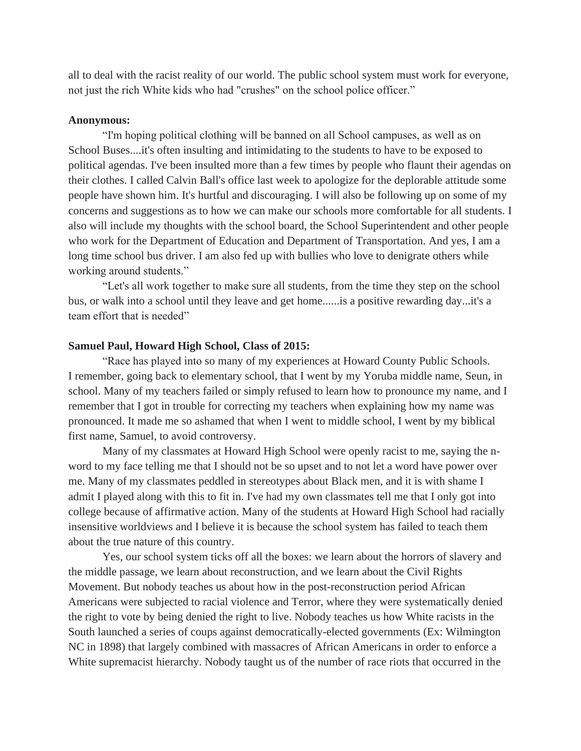all to deal with the racist reality of our world. The public school system must work for everyone, not just the rich White kids who had "crushes" on the school police officer."

#### **Anonymous:**

"I'm hoping political clothing will be banned on all School campuses, as well as on School Buses....it's often insulting and intimidating to the students to have to be exposed to political agendas. I've been insulted more than a few times by people who flaunt their agendas on their clothes. I called Calvin Ball's office last week to apologize for the deplorable attitude some people have shown him. It's hurtful and discouraging. I will also be following up on some of my concerns and suggestions as to how we can make our schools more comfortable for all students. I also will include my thoughts with the school board, the School Superintendent and other people who work for the Department of Education and Department of Transportation. And yes, I am a long time school bus driver. I am also fed up with bullies who love to denigrate others while working around students."

"Let's all work together to make sure all students, from the time they step on the school bus, or walk into a school until they leave and get home......is a positive rewarding day...it's a team effort that is needed"

## **Samuel Paul, Howard High School, Class of 2015:**

"Race has played into so many of my experiences at Howard County Public Schools. I remember, going back to elementary school, that I went by my Yoruba middle name, Seun, in school. Many of my teachers failed or simply refused to learn how to pronounce my name, and I remember that I got in trouble for correcting my teachers when explaining how my name was pronounced. It made me so ashamed that when I went to middle school, I went by my biblical first name, Samuel, to avoid controversy.

Many of my classmates at Howard High School were openly racist to me, saying the nword to my face telling me that I should not be so upset and to not let a word have power over me. Many of my classmates peddled in stereotypes about Black men, and it is with shame I admit I played along with this to fit in. I've had my own classmates tell me that I only got into college because of affirmative action. Many of the students at Howard High School had racially insensitive worldviews and I believe it is because the school system has failed to teach them about the true nature of this country.

Yes, our school system ticks off all the boxes: we learn about the horrors of slavery and the middle passage, we learn about reconstruction, and we learn about the Civil Rights Movement. But nobody teaches us about how in the post-reconstruction period African Americans were subjected to racial violence and Terror, where they were systematically denied the right to vote by being denied the right to live. Nobody teaches us how White racists in the South launched a series of coups against democratically-elected governments (Ex: Wilmington NC in 1898) that largely combined with massacres of African Americans in order to enforce a White supremacist hierarchy. Nobody taught us of the number of race riots that occurred in the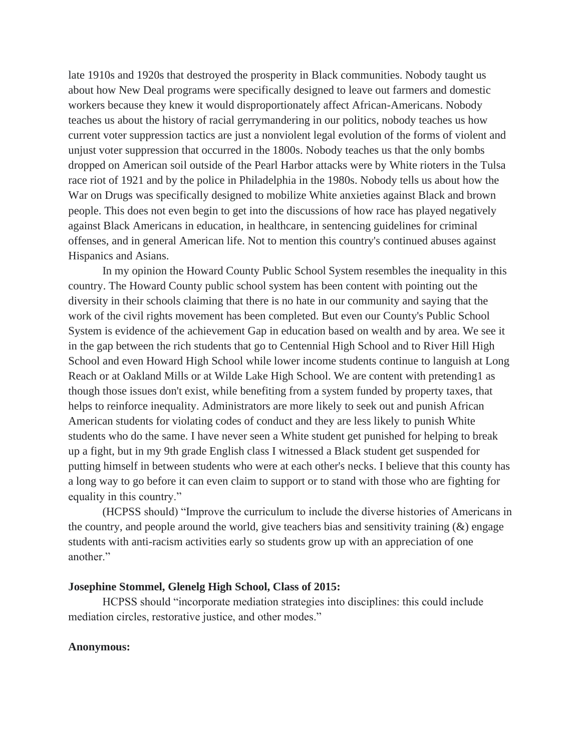late 1910s and 1920s that destroyed the prosperity in Black communities. Nobody taught us about how New Deal programs were specifically designed to leave out farmers and domestic workers because they knew it would disproportionately affect African-Americans. Nobody teaches us about the history of racial gerrymandering in our politics, nobody teaches us how current voter suppression tactics are just a nonviolent legal evolution of the forms of violent and unjust voter suppression that occurred in the 1800s. Nobody teaches us that the only bombs dropped on American soil outside of the Pearl Harbor attacks were by White rioters in the Tulsa race riot of 1921 and by the police in Philadelphia in the 1980s. Nobody tells us about how the War on Drugs was specifically designed to mobilize White anxieties against Black and brown people. This does not even begin to get into the discussions of how race has played negatively against Black Americans in education, in healthcare, in sentencing guidelines for criminal offenses, and in general American life. Not to mention this country's continued abuses against Hispanics and Asians.

In my opinion the Howard County Public School System resembles the inequality in this country. The Howard County public school system has been content with pointing out the diversity in their schools claiming that there is no hate in our community and saying that the work of the civil rights movement has been completed. But even our County's Public School System is evidence of the achievement Gap in education based on wealth and by area. We see it in the gap between the rich students that go to Centennial High School and to River Hill High School and even Howard High School while lower income students continue to languish at Long Reach or at Oakland Mills or at Wilde Lake High School. We are content with pretending1 as though those issues don't exist, while benefiting from a system funded by property taxes, that helps to reinforce inequality. Administrators are more likely to seek out and punish African American students for violating codes of conduct and they are less likely to punish White students who do the same. I have never seen a White student get punished for helping to break up a fight, but in my 9th grade English class I witnessed a Black student get suspended for putting himself in between students who were at each other's necks. I believe that this county has a long way to go before it can even claim to support or to stand with those who are fighting for equality in this country."

(HCPSS should) "Improve the curriculum to include the diverse histories of Americans in the country, and people around the world, give teachers bias and sensitivity training (&) engage students with anti-racism activities early so students grow up with an appreciation of one another."

# **Josephine Stommel, Glenelg High School, Class of 2015:**

HCPSS should "incorporate mediation strategies into disciplines: this could include mediation circles, restorative justice, and other modes."

# **Anonymous:**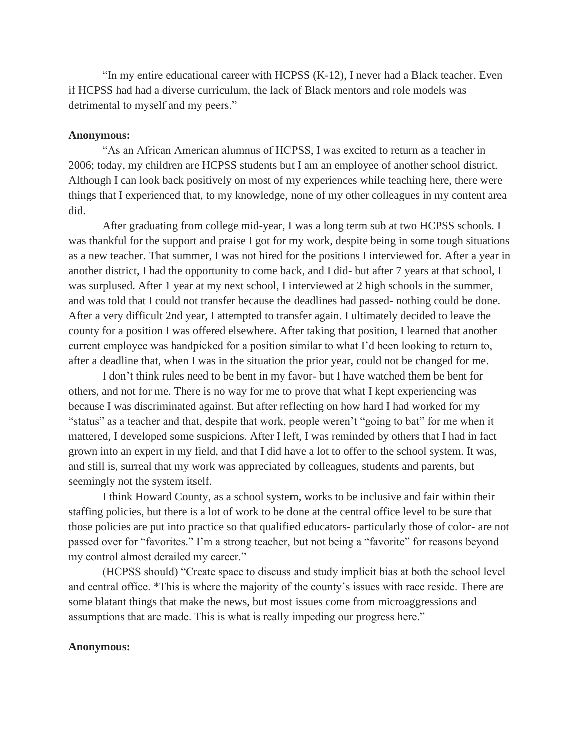"In my entire educational career with HCPSS  $(K-12)$ , I never had a Black teacher. Even if HCPSS had had a diverse curriculum, the lack of Black mentors and role models was detrimental to myself and my peers."

### **Anonymous:**

"As an African American alumnus of HCPSS, I was excited to return as a teacher in 2006; today, my children are HCPSS students but I am an employee of another school district. Although I can look back positively on most of my experiences while teaching here, there were things that I experienced that, to my knowledge, none of my other colleagues in my content area did.

After graduating from college mid-year, I was a long term sub at two HCPSS schools. I was thankful for the support and praise I got for my work, despite being in some tough situations as a new teacher. That summer, I was not hired for the positions I interviewed for. After a year in another district, I had the opportunity to come back, and I did- but after 7 years at that school, I was surplused. After 1 year at my next school, I interviewed at 2 high schools in the summer, and was told that I could not transfer because the deadlines had passed- nothing could be done. After a very difficult 2nd year, I attempted to transfer again. I ultimately decided to leave the county for a position I was offered elsewhere. After taking that position, I learned that another current employee was handpicked for a position similar to what I'd been looking to return to, after a deadline that, when I was in the situation the prior year, could not be changed for me.

I don't think rules need to be bent in my favor- but I have watched them be bent for others, and not for me. There is no way for me to prove that what I kept experiencing was because I was discriminated against. But after reflecting on how hard I had worked for my "status" as a teacher and that, despite that work, people weren't "going to bat" for me when it mattered, I developed some suspicions. After I left, I was reminded by others that I had in fact grown into an expert in my field, and that I did have a lot to offer to the school system. It was, and still is, surreal that my work was appreciated by colleagues, students and parents, but seemingly not the system itself.

I think Howard County, as a school system, works to be inclusive and fair within their staffing policies, but there is a lot of work to be done at the central office level to be sure that those policies are put into practice so that qualified educators- particularly those of color- are not passed over for "favorites." I'm a strong teacher, but not being a "favorite" for reasons beyond my control almost derailed my career."

(HCPSS should) "Create space to discuss and study implicit bias at both the school level and central office. \*This is where the majority of the county's issues with race reside. There are some blatant things that make the news, but most issues come from microaggressions and assumptions that are made. This is what is really impeding our progress here."

## **Anonymous:**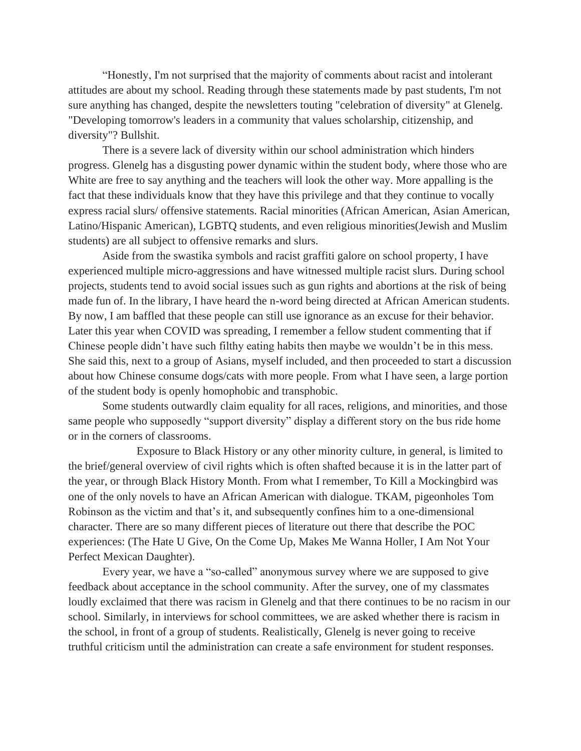"Honestly, I'm not surprised that the majority of comments about racist and intolerant attitudes are about my school. Reading through these statements made by past students, I'm not sure anything has changed, despite the newsletters touting "celebration of diversity" at Glenelg. "Developing tomorrow's leaders in a community that values scholarship, citizenship, and diversity"? Bullshit.

There is a severe lack of diversity within our school administration which hinders progress. Glenelg has a disgusting power dynamic within the student body, where those who are White are free to say anything and the teachers will look the other way. More appalling is the fact that these individuals know that they have this privilege and that they continue to vocally express racial slurs/ offensive statements. Racial minorities (African American, Asian American, Latino/Hispanic American), LGBTQ students, and even religious minorities(Jewish and Muslim students) are all subject to offensive remarks and slurs.

Aside from the swastika symbols and racist graffiti galore on school property, I have experienced multiple micro-aggressions and have witnessed multiple racist slurs. During school projects, students tend to avoid social issues such as gun rights and abortions at the risk of being made fun of. In the library, I have heard the n-word being directed at African American students. By now, I am baffled that these people can still use ignorance as an excuse for their behavior. Later this year when COVID was spreading, I remember a fellow student commenting that if Chinese people didn't have such filthy eating habits then maybe we wouldn't be in this mess. She said this, next to a group of Asians, myself included, and then proceeded to start a discussion about how Chinese consume dogs/cats with more people. From what I have seen, a large portion of the student body is openly homophobic and transphobic.

Some students outwardly claim equality for all races, religions, and minorities, and those same people who supposedly "support diversity" display a different story on the bus ride home or in the corners of classrooms.

Exposure to Black History or any other minority culture, in general, is limited to the brief/general overview of civil rights which is often shafted because it is in the latter part of the year, or through Black History Month. From what I remember, To Kill a Mockingbird was one of the only novels to have an African American with dialogue. TKAM, pigeonholes Tom Robinson as the victim and that's it, and subsequently confines him to a one-dimensional character. There are so many different pieces of literature out there that describe the POC experiences: (The Hate U Give, On the Come Up, Makes Me Wanna Holler, I Am Not Your Perfect Mexican Daughter).

Every year, we have a "so-called" anonymous survey where we are supposed to give feedback about acceptance in the school community. After the survey, one of my classmates loudly exclaimed that there was racism in Glenelg and that there continues to be no racism in our school. Similarly, in interviews for school committees, we are asked whether there is racism in the school, in front of a group of students. Realistically, Glenelg is never going to receive truthful criticism until the administration can create a safe environment for student responses.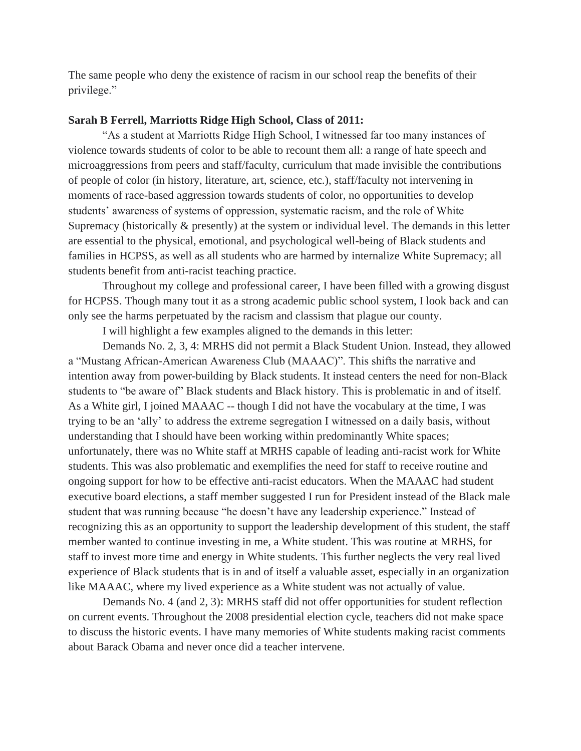The same people who deny the existence of racism in our school reap the benefits of their privilege."

## **Sarah B Ferrell, Marriotts Ridge High School, Class of 2011:**

"As a student at Marriotts Ridge High School, I witnessed far too many instances of violence towards students of color to be able to recount them all: a range of hate speech and microaggressions from peers and staff/faculty, curriculum that made invisible the contributions of people of color (in history, literature, art, science, etc.), staff/faculty not intervening in moments of race-based aggression towards students of color, no opportunities to develop students' awareness of systems of oppression, systematic racism, and the role of White Supremacy (historically & presently) at the system or individual level. The demands in this letter are essential to the physical, emotional, and psychological well-being of Black students and families in HCPSS, as well as all students who are harmed by internalize White Supremacy; all students benefit from anti-racist teaching practice.

Throughout my college and professional career, I have been filled with a growing disgust for HCPSS. Though many tout it as a strong academic public school system, I look back and can only see the harms perpetuated by the racism and classism that plague our county.

I will highlight a few examples aligned to the demands in this letter:

Demands No. 2, 3, 4: MRHS did not permit a Black Student Union. Instead, they allowed a "Mustang African-American Awareness Club (MAAAC)". This shifts the narrative and intention away from power-building by Black students. It instead centers the need for non-Black students to "be aware of" Black students and Black history. This is problematic in and of itself. As a White girl, I joined MAAAC -- though I did not have the vocabulary at the time, I was trying to be an 'ally' to address the extreme segregation I witnessed on a daily basis, without understanding that I should have been working within predominantly White spaces; unfortunately, there was no White staff at MRHS capable of leading anti-racist work for White students. This was also problematic and exemplifies the need for staff to receive routine and ongoing support for how to be effective anti-racist educators. When the MAAAC had student executive board elections, a staff member suggested I run for President instead of the Black male student that was running because "he doesn't have any leadership experience." Instead of recognizing this as an opportunity to support the leadership development of this student, the staff member wanted to continue investing in me, a White student. This was routine at MRHS, for staff to invest more time and energy in White students. This further neglects the very real lived experience of Black students that is in and of itself a valuable asset, especially in an organization like MAAAC, where my lived experience as a White student was not actually of value.

Demands No. 4 (and 2, 3): MRHS staff did not offer opportunities for student reflection on current events. Throughout the 2008 presidential election cycle, teachers did not make space to discuss the historic events. I have many memories of White students making racist comments about Barack Obama and never once did a teacher intervene.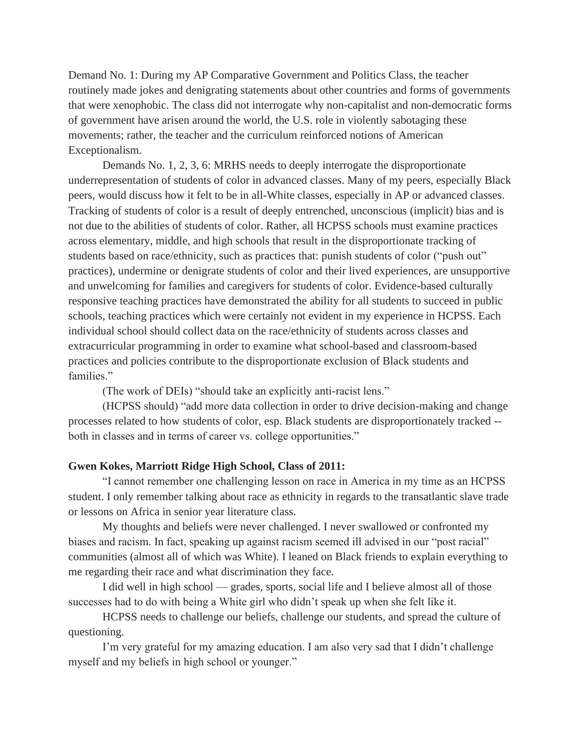Demand No. 1: During my AP Comparative Government and Politics Class, the teacher routinely made jokes and denigrating statements about other countries and forms of governments that were xenophobic. The class did not interrogate why non-capitalist and non-democratic forms of government have arisen around the world, the U.S. role in violently sabotaging these movements; rather, the teacher and the curriculum reinforced notions of American Exceptionalism.

Demands No. 1, 2, 3, 6: MRHS needs to deeply interrogate the disproportionate underrepresentation of students of color in advanced classes. Many of my peers, especially Black peers, would discuss how it felt to be in all-White classes, especially in AP or advanced classes. Tracking of students of color is a result of deeply entrenched, unconscious (implicit) bias and is not due to the abilities of students of color. Rather, all HCPSS schools must examine practices across elementary, middle, and high schools that result in the disproportionate tracking of students based on race/ethnicity, such as practices that: punish students of color ("push out" practices), undermine or denigrate students of color and their lived experiences, are unsupportive and unwelcoming for families and caregivers for students of color. Evidence-based culturally responsive teaching practices have demonstrated the ability for all students to succeed in public schools, teaching practices which were certainly not evident in my experience in HCPSS. Each individual school should collect data on the race/ethnicity of students across classes and extracurricular programming in order to examine what school-based and classroom-based practices and policies contribute to the disproportionate exclusion of Black students and families."

(The work of DEIs) "should take an explicitly anti-racist lens."

(HCPSS should) "add more data collection in order to drive decision-making and change processes related to how students of color, esp. Black students are disproportionately tracked - both in classes and in terms of career vs. college opportunities."

# **Gwen Kokes, Marriott Ridge High School, Class of 2011:**

"I cannot remember one challenging lesson on race in America in my time as an HCPSS student. I only remember talking about race as ethnicity in regards to the transatlantic slave trade or lessons on Africa in senior year literature class.

My thoughts and beliefs were never challenged. I never swallowed or confronted my biases and racism. In fact, speaking up against racism seemed ill advised in our "post racial" communities (almost all of which was White). I leaned on Black friends to explain everything to me regarding their race and what discrimination they face.

I did well in high school — grades, sports, social life and I believe almost all of those successes had to do with being a White girl who didn't speak up when she felt like it.

HCPSS needs to challenge our beliefs, challenge our students, and spread the culture of questioning.

I'm very grateful for my amazing education. I am also very sad that I didn't challenge myself and my beliefs in high school or younger."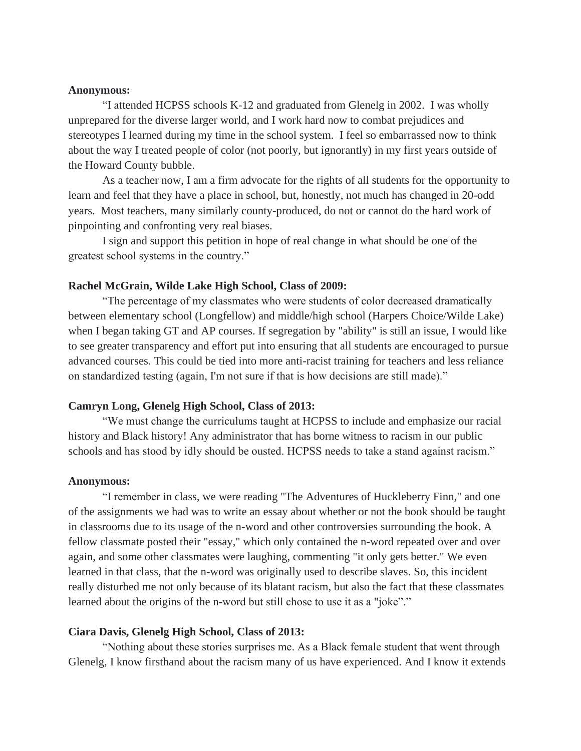#### **Anonymous:**

"I attended HCPSS schools K-12 and graduated from Glenelg in 2002. I was wholly unprepared for the diverse larger world, and I work hard now to combat prejudices and stereotypes I learned during my time in the school system. I feel so embarrassed now to think about the way I treated people of color (not poorly, but ignorantly) in my first years outside of the Howard County bubble.

As a teacher now, I am a firm advocate for the rights of all students for the opportunity to learn and feel that they have a place in school, but, honestly, not much has changed in 20-odd years. Most teachers, many similarly county-produced, do not or cannot do the hard work of pinpointing and confronting very real biases.

I sign and support this petition in hope of real change in what should be one of the greatest school systems in the country."

#### **Rachel McGrain, Wilde Lake High School, Class of 2009:**

"The percentage of my classmates who were students of color decreased dramatically between elementary school (Longfellow) and middle/high school (Harpers Choice/Wilde Lake) when I began taking GT and AP courses. If segregation by "ability" is still an issue, I would like to see greater transparency and effort put into ensuring that all students are encouraged to pursue advanced courses. This could be tied into more anti-racist training for teachers and less reliance on standardized testing (again, I'm not sure if that is how decisions are still made)."

### **Camryn Long, Glenelg High School, Class of 2013:**

"We must change the curriculums taught at HCPSS to include and emphasize our racial history and Black history! Any administrator that has borne witness to racism in our public schools and has stood by idly should be ousted. HCPSS needs to take a stand against racism."

#### **Anonymous:**

"I remember in class, we were reading "The Adventures of Huckleberry Finn," and one of the assignments we had was to write an essay about whether or not the book should be taught in classrooms due to its usage of the n-word and other controversies surrounding the book. A fellow classmate posted their "essay," which only contained the n-word repeated over and over again, and some other classmates were laughing, commenting "it only gets better." We even learned in that class, that the n-word was originally used to describe slaves. So, this incident really disturbed me not only because of its blatant racism, but also the fact that these classmates learned about the origins of the n-word but still chose to use it as a "joke"."

#### **Ciara Davis, Glenelg High School, Class of 2013:**

"Nothing about these stories surprises me. As a Black female student that went through Glenelg, I know firsthand about the racism many of us have experienced. And I know it extends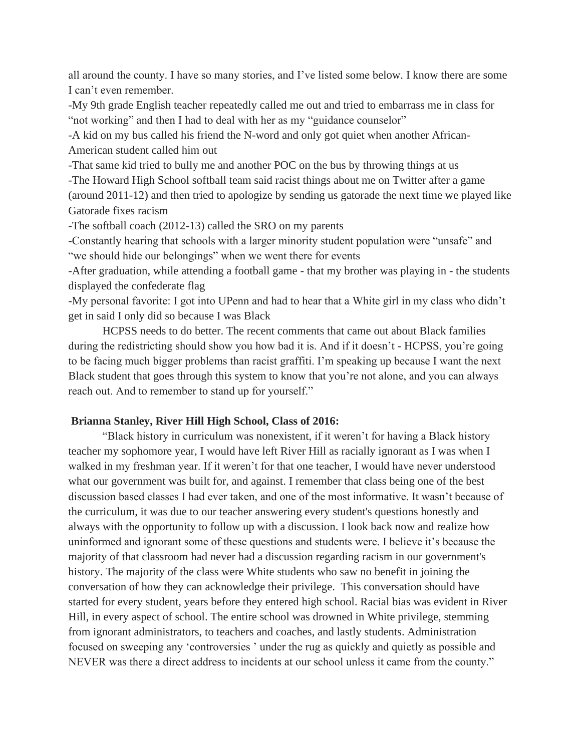all around the county. I have so many stories, and I've listed some below. I know there are some I can't even remember.

-My 9th grade English teacher repeatedly called me out and tried to embarrass me in class for "not working" and then I had to deal with her as my "guidance counselor"

-A kid on my bus called his friend the N-word and only got quiet when another African-American student called him out

-That same kid tried to bully me and another POC on the bus by throwing things at us -The Howard High School softball team said racist things about me on Twitter after a game (around 2011-12) and then tried to apologize by sending us gatorade the next time we played like

Gatorade fixes racism

-The softball coach (2012-13) called the SRO on my parents

-Constantly hearing that schools with a larger minority student population were "unsafe" and "we should hide our belongings" when we went there for events

-After graduation, while attending a football game - that my brother was playing in - the students displayed the confederate flag

-My personal favorite: I got into UPenn and had to hear that a White girl in my class who didn't get in said I only did so because I was Black

HCPSS needs to do better. The recent comments that came out about Black families during the redistricting should show you how bad it is. And if it doesn't - HCPSS, you're going to be facing much bigger problems than racist graffiti. I'm speaking up because I want the next Black student that goes through this system to know that you're not alone, and you can always reach out. And to remember to stand up for yourself."

# **Brianna Stanley, River Hill High School, Class of 2016:**

"Black history in curriculum was nonexistent, if it weren't for having a Black history teacher my sophomore year, I would have left River Hill as racially ignorant as I was when I walked in my freshman year. If it weren't for that one teacher, I would have never understood what our government was built for, and against. I remember that class being one of the best discussion based classes I had ever taken, and one of the most informative. It wasn't because of the curriculum, it was due to our teacher answering every student's questions honestly and always with the opportunity to follow up with a discussion. I look back now and realize how uninformed and ignorant some of these questions and students were. I believe it's because the majority of that classroom had never had a discussion regarding racism in our government's history. The majority of the class were White students who saw no benefit in joining the conversation of how they can acknowledge their privilege. This conversation should have started for every student, years before they entered high school. Racial bias was evident in River Hill, in every aspect of school. The entire school was drowned in White privilege, stemming from ignorant administrators, to teachers and coaches, and lastly students. Administration focused on sweeping any 'controversies ' under the rug as quickly and quietly as possible and NEVER was there a direct address to incidents at our school unless it came from the county."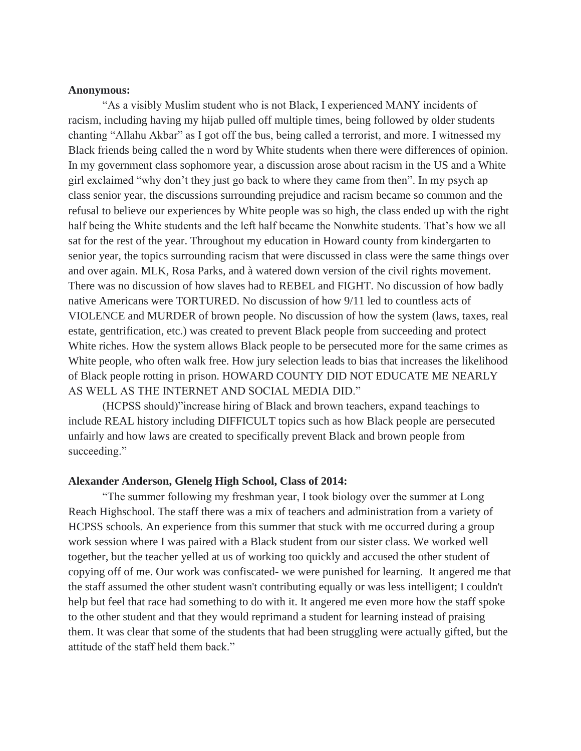# **Anonymous:**

"As a visibly Muslim student who is not Black, I experienced MANY incidents of racism, including having my hijab pulled off multiple times, being followed by older students chanting "Allahu Akbar" as I got off the bus, being called a terrorist, and more. I witnessed my Black friends being called the n word by White students when there were differences of opinion. In my government class sophomore year, a discussion arose about racism in the US and a White girl exclaimed "why don't they just go back to where they came from then". In my psych ap class senior year, the discussions surrounding prejudice and racism became so common and the refusal to believe our experiences by White people was so high, the class ended up with the right half being the White students and the left half became the Nonwhite students. That's how we all sat for the rest of the year. Throughout my education in Howard county from kindergarten to senior year, the topics surrounding racism that were discussed in class were the same things over and over again. MLK, Rosa Parks, and à watered down version of the civil rights movement. There was no discussion of how slaves had to REBEL and FIGHT. No discussion of how badly native Americans were TORTURED. No discussion of how 9/11 led to countless acts of VIOLENCE and MURDER of brown people. No discussion of how the system (laws, taxes, real estate, gentrification, etc.) was created to prevent Black people from succeeding and protect White riches. How the system allows Black people to be persecuted more for the same crimes as White people, who often walk free. How jury selection leads to bias that increases the likelihood of Black people rotting in prison. HOWARD COUNTY DID NOT EDUCATE ME NEARLY AS WELL AS THE INTERNET AND SOCIAL MEDIA DID."

(HCPSS should)"increase hiring of Black and brown teachers, expand teachings to include REAL history including DIFFICULT topics such as how Black people are persecuted unfairly and how laws are created to specifically prevent Black and brown people from succeeding."

## **Alexander Anderson, Glenelg High School, Class of 2014:**

"The summer following my freshman year, I took biology over the summer at Long Reach Highschool. The staff there was a mix of teachers and administration from a variety of HCPSS schools. An experience from this summer that stuck with me occurred during a group work session where I was paired with a Black student from our sister class. We worked well together, but the teacher yelled at us of working too quickly and accused the other student of copying off of me. Our work was confiscated- we were punished for learning. It angered me that the staff assumed the other student wasn't contributing equally or was less intelligent; I couldn't help but feel that race had something to do with it. It angered me even more how the staff spoke to the other student and that they would reprimand a student for learning instead of praising them. It was clear that some of the students that had been struggling were actually gifted, but the attitude of the staff held them back."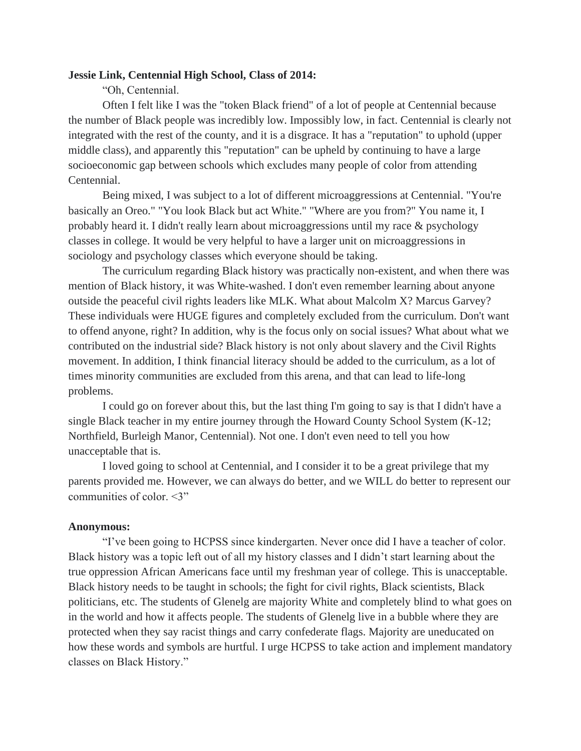# **Jessie Link, Centennial High School, Class of 2014:**

"Oh, Centennial.

Often I felt like I was the "token Black friend" of a lot of people at Centennial because the number of Black people was incredibly low. Impossibly low, in fact. Centennial is clearly not integrated with the rest of the county, and it is a disgrace. It has a "reputation" to uphold (upper middle class), and apparently this "reputation" can be upheld by continuing to have a large socioeconomic gap between schools which excludes many people of color from attending Centennial.

Being mixed, I was subject to a lot of different microaggressions at Centennial. "You're basically an Oreo." "You look Black but act White." "Where are you from?" You name it, I probably heard it. I didn't really learn about microaggressions until my race & psychology classes in college. It would be very helpful to have a larger unit on microaggressions in sociology and psychology classes which everyone should be taking.

The curriculum regarding Black history was practically non-existent, and when there was mention of Black history, it was White-washed. I don't even remember learning about anyone outside the peaceful civil rights leaders like MLK. What about Malcolm X? Marcus Garvey? These individuals were HUGE figures and completely excluded from the curriculum. Don't want to offend anyone, right? In addition, why is the focus only on social issues? What about what we contributed on the industrial side? Black history is not only about slavery and the Civil Rights movement. In addition, I think financial literacy should be added to the curriculum, as a lot of times minority communities are excluded from this arena, and that can lead to life-long problems.

I could go on forever about this, but the last thing I'm going to say is that I didn't have a single Black teacher in my entire journey through the Howard County School System (K-12; Northfield, Burleigh Manor, Centennial). Not one. I don't even need to tell you how unacceptable that is.

I loved going to school at Centennial, and I consider it to be a great privilege that my parents provided me. However, we can always do better, and we WILL do better to represent our communities of color. <3"

## **Anonymous:**

"I've been going to HCPSS since kindergarten. Never once did I have a teacher of color. Black history was a topic left out of all my history classes and I didn't start learning about the true oppression African Americans face until my freshman year of college. This is unacceptable. Black history needs to be taught in schools; the fight for civil rights, Black scientists, Black politicians, etc. The students of Glenelg are majority White and completely blind to what goes on in the world and how it affects people. The students of Glenelg live in a bubble where they are protected when they say racist things and carry confederate flags. Majority are uneducated on how these words and symbols are hurtful. I urge HCPSS to take action and implement mandatory classes on Black History."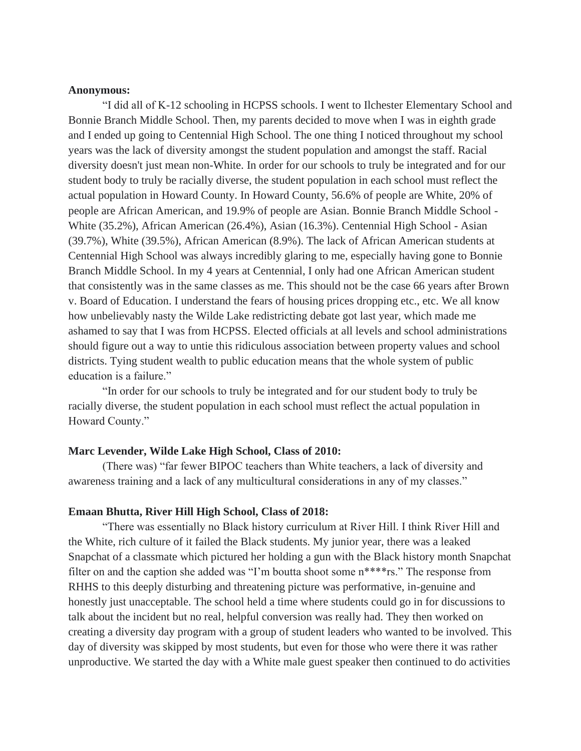# **Anonymous:**

"I did all of K-12 schooling in HCPSS schools. I went to Ilchester Elementary School and Bonnie Branch Middle School. Then, my parents decided to move when I was in eighth grade and I ended up going to Centennial High School. The one thing I noticed throughout my school years was the lack of diversity amongst the student population and amongst the staff. Racial diversity doesn't just mean non-White. In order for our schools to truly be integrated and for our student body to truly be racially diverse, the student population in each school must reflect the actual population in Howard County. In Howard County, 56.6% of people are White, 20% of people are African American, and 19.9% of people are Asian. Bonnie Branch Middle School - White (35.2%), African American (26.4%), Asian (16.3%). Centennial High School - Asian (39.7%), White (39.5%), African American (8.9%). The lack of African American students at Centennial High School was always incredibly glaring to me, especially having gone to Bonnie Branch Middle School. In my 4 years at Centennial, I only had one African American student that consistently was in the same classes as me. This should not be the case 66 years after Brown v. Board of Education. I understand the fears of housing prices dropping etc., etc. We all know how unbelievably nasty the Wilde Lake redistricting debate got last year, which made me ashamed to say that I was from HCPSS. Elected officials at all levels and school administrations should figure out a way to untie this ridiculous association between property values and school districts. Tying student wealth to public education means that the whole system of public education is a failure."

"In order for our schools to truly be integrated and for our student body to truly be racially diverse, the student population in each school must reflect the actual population in Howard County."

### **Marc Levender, Wilde Lake High School, Class of 2010:**

(There was) "far fewer BIPOC teachers than White teachers, a lack of diversity and awareness training and a lack of any multicultural considerations in any of my classes."

#### **Emaan Bhutta, River Hill High School, Class of 2018:**

"There was essentially no Black history curriculum at River Hill. I think River Hill and the White, rich culture of it failed the Black students. My junior year, there was a leaked Snapchat of a classmate which pictured her holding a gun with the Black history month Snapchat filter on and the caption she added was "I'm boutta shoot some n\*\*\*\*rs." The response from RHHS to this deeply disturbing and threatening picture was performative, in-genuine and honestly just unacceptable. The school held a time where students could go in for discussions to talk about the incident but no real, helpful conversion was really had. They then worked on creating a diversity day program with a group of student leaders who wanted to be involved. This day of diversity was skipped by most students, but even for those who were there it was rather unproductive. We started the day with a White male guest speaker then continued to do activities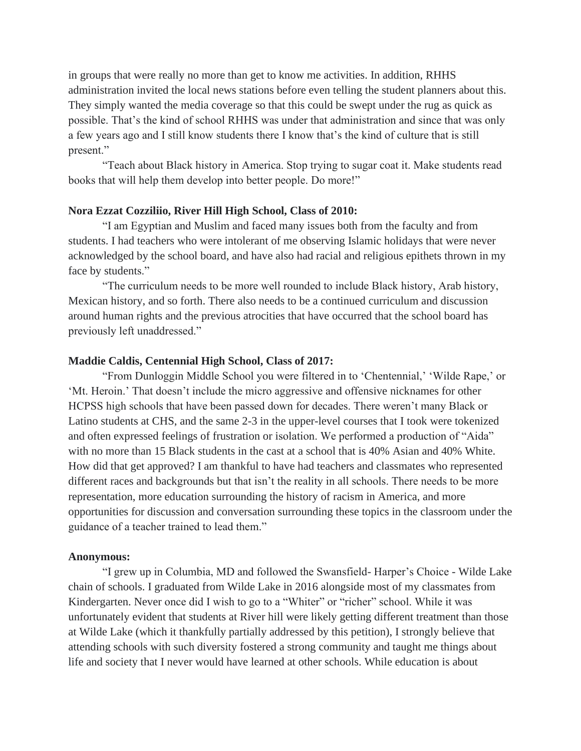in groups that were really no more than get to know me activities. In addition, RHHS administration invited the local news stations before even telling the student planners about this. They simply wanted the media coverage so that this could be swept under the rug as quick as possible. That's the kind of school RHHS was under that administration and since that was only a few years ago and I still know students there I know that's the kind of culture that is still present."

"Teach about Black history in America. Stop trying to sugar coat it. Make students read books that will help them develop into better people. Do more!"

# **Nora Ezzat Cozziliio, River Hill High School, Class of 2010:**

"I am Egyptian and Muslim and faced many issues both from the faculty and from students. I had teachers who were intolerant of me observing Islamic holidays that were never acknowledged by the school board, and have also had racial and religious epithets thrown in my face by students."

"The curriculum needs to be more well rounded to include Black history, Arab history, Mexican history, and so forth. There also needs to be a continued curriculum and discussion around human rights and the previous atrocities that have occurred that the school board has previously left unaddressed."

# **Maddie Caldis, Centennial High School, Class of 2017:**

"From Dunloggin Middle School you were filtered in to 'Chentennial,' 'Wilde Rape,' or 'Mt. Heroin.' That doesn't include the micro aggressive and offensive nicknames for other HCPSS high schools that have been passed down for decades. There weren't many Black or Latino students at CHS, and the same 2-3 in the upper-level courses that I took were tokenized and often expressed feelings of frustration or isolation. We performed a production of "Aida" with no more than 15 Black students in the cast at a school that is 40% Asian and 40% White. How did that get approved? I am thankful to have had teachers and classmates who represented different races and backgrounds but that isn't the reality in all schools. There needs to be more representation, more education surrounding the history of racism in America, and more opportunities for discussion and conversation surrounding these topics in the classroom under the guidance of a teacher trained to lead them."

## **Anonymous:**

"I grew up in Columbia, MD and followed the Swansfield- Harper's Choice - Wilde Lake chain of schools. I graduated from Wilde Lake in 2016 alongside most of my classmates from Kindergarten. Never once did I wish to go to a "Whiter" or "richer" school. While it was unfortunately evident that students at River hill were likely getting different treatment than those at Wilde Lake (which it thankfully partially addressed by this petition), I strongly believe that attending schools with such diversity fostered a strong community and taught me things about life and society that I never would have learned at other schools. While education is about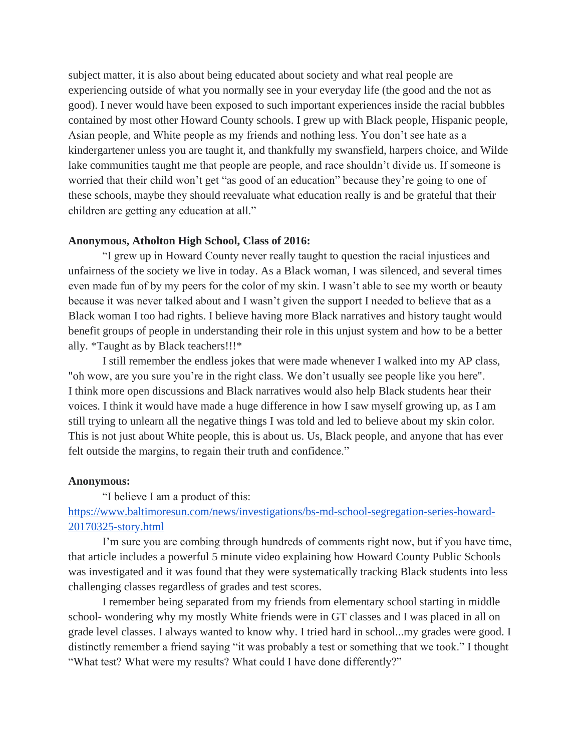subject matter, it is also about being educated about society and what real people are experiencing outside of what you normally see in your everyday life (the good and the not as good). I never would have been exposed to such important experiences inside the racial bubbles contained by most other Howard County schools. I grew up with Black people, Hispanic people, Asian people, and White people as my friends and nothing less. You don't see hate as a kindergartener unless you are taught it, and thankfully my swansfield, harpers choice, and Wilde lake communities taught me that people are people, and race shouldn't divide us. If someone is worried that their child won't get "as good of an education" because they're going to one of these schools, maybe they should reevaluate what education really is and be grateful that their children are getting any education at all."

## **Anonymous, Atholton High School, Class of 2016:**

"I grew up in Howard County never really taught to question the racial injustices and unfairness of the society we live in today. As a Black woman, I was silenced, and several times even made fun of by my peers for the color of my skin. I wasn't able to see my worth or beauty because it was never talked about and I wasn't given the support I needed to believe that as a Black woman I too had rights. I believe having more Black narratives and history taught would benefit groups of people in understanding their role in this unjust system and how to be a better ally. \*Taught as by Black teachers!!!\*

I still remember the endless jokes that were made whenever I walked into my AP class, "oh wow, are you sure you're in the right class. We don't usually see people like you here". I think more open discussions and Black narratives would also help Black students hear their voices. I think it would have made a huge difference in how I saw myself growing up, as I am still trying to unlearn all the negative things I was told and led to believe about my skin color. This is not just about White people, this is about us. Us, Black people, and anyone that has ever felt outside the margins, to regain their truth and confidence."

#### **Anonymous:**

"I believe I am a product of this:

[https://www.baltimoresun.com/news/investigations/bs-md-school-segregation-series-howard-](https://www.baltimoresun.com/news/investigations/bs-md-school-segregation-series-howard-20170325-story.html)[20170325-story.html](https://www.baltimoresun.com/news/investigations/bs-md-school-segregation-series-howard-20170325-story.html)

I'm sure you are combing through hundreds of comments right now, but if you have time, that article includes a powerful 5 minute video explaining how Howard County Public Schools was investigated and it was found that they were systematically tracking Black students into less challenging classes regardless of grades and test scores.

I remember being separated from my friends from elementary school starting in middle school- wondering why my mostly White friends were in GT classes and I was placed in all on grade level classes. I always wanted to know why. I tried hard in school...my grades were good. I distinctly remember a friend saying "it was probably a test or something that we took." I thought "What test? What were my results? What could I have done differently?"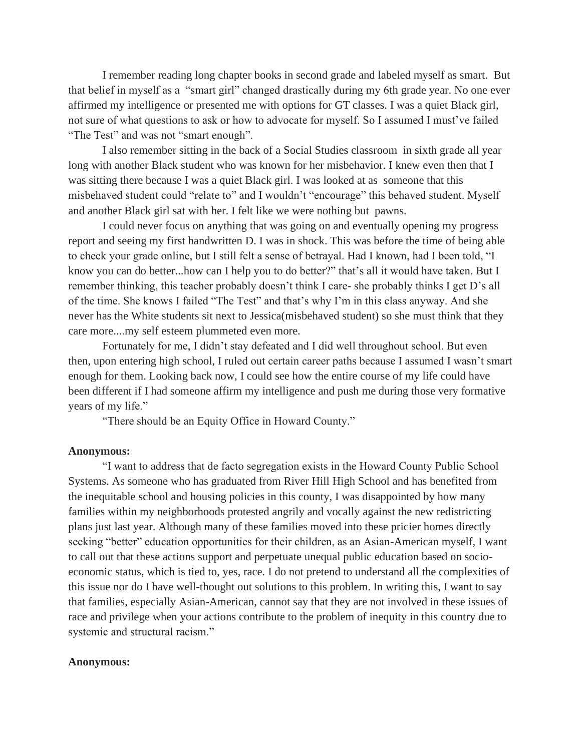I remember reading long chapter books in second grade and labeled myself as smart. But that belief in myself as a "smart girl" changed drastically during my 6th grade year. No one ever affirmed my intelligence or presented me with options for GT classes. I was a quiet Black girl, not sure of what questions to ask or how to advocate for myself. So I assumed I must've failed "The Test" and was not "smart enough".

I also remember sitting in the back of a Social Studies classroom in sixth grade all year long with another Black student who was known for her misbehavior. I knew even then that I was sitting there because I was a quiet Black girl. I was looked at as someone that this misbehaved student could "relate to" and I wouldn't "encourage" this behaved student. Myself and another Black girl sat with her. I felt like we were nothing but pawns.

I could never focus on anything that was going on and eventually opening my progress report and seeing my first handwritten D. I was in shock. This was before the time of being able to check your grade online, but I still felt a sense of betrayal. Had I known, had I been told, "I know you can do better...how can I help you to do better?" that's all it would have taken. But I remember thinking, this teacher probably doesn't think I care- she probably thinks I get D's all of the time. She knows I failed "The Test" and that's why I'm in this class anyway. And she never has the White students sit next to Jessica(misbehaved student) so she must think that they care more....my self esteem plummeted even more.

Fortunately for me, I didn't stay defeated and I did well throughout school. But even then, upon entering high school, I ruled out certain career paths because I assumed I wasn't smart enough for them. Looking back now, I could see how the entire course of my life could have been different if I had someone affirm my intelligence and push me during those very formative years of my life."

"There should be an Equity Office in Howard County."

#### **Anonymous:**

"I want to address that de facto segregation exists in the Howard County Public School Systems. As someone who has graduated from River Hill High School and has benefited from the inequitable school and housing policies in this county, I was disappointed by how many families within my neighborhoods protested angrily and vocally against the new redistricting plans just last year. Although many of these families moved into these pricier homes directly seeking "better" education opportunities for their children, as an Asian-American myself, I want to call out that these actions support and perpetuate unequal public education based on socioeconomic status, which is tied to, yes, race. I do not pretend to understand all the complexities of this issue nor do I have well-thought out solutions to this problem. In writing this, I want to say that families, especially Asian-American, cannot say that they are not involved in these issues of race and privilege when your actions contribute to the problem of inequity in this country due to systemic and structural racism."

## **Anonymous:**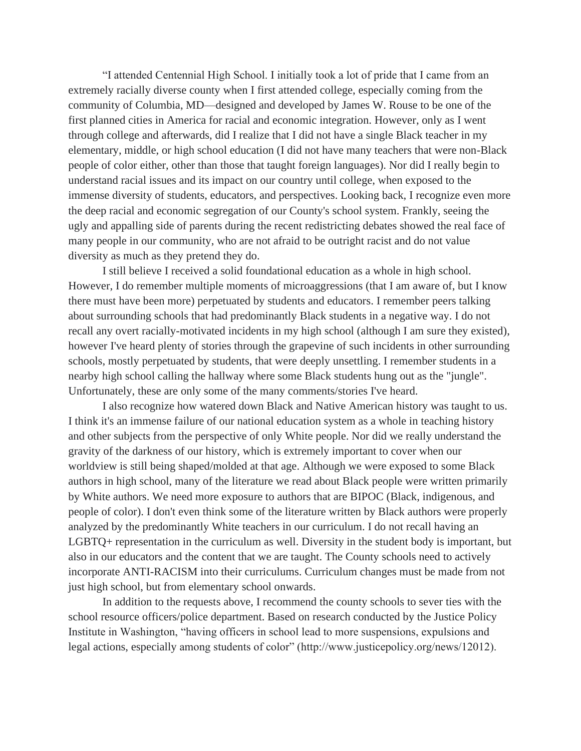"I attended Centennial High School. I initially took a lot of pride that I came from an extremely racially diverse county when I first attended college, especially coming from the community of Columbia, MD—designed and developed by James W. Rouse to be one of the first planned cities in America for racial and economic integration. However, only as I went through college and afterwards, did I realize that I did not have a single Black teacher in my elementary, middle, or high school education (I did not have many teachers that were non-Black people of color either, other than those that taught foreign languages). Nor did I really begin to understand racial issues and its impact on our country until college, when exposed to the immense diversity of students, educators, and perspectives. Looking back, I recognize even more the deep racial and economic segregation of our County's school system. Frankly, seeing the ugly and appalling side of parents during the recent redistricting debates showed the real face of many people in our community, who are not afraid to be outright racist and do not value diversity as much as they pretend they do.

I still believe I received a solid foundational education as a whole in high school. However, I do remember multiple moments of microaggressions (that I am aware of, but I know there must have been more) perpetuated by students and educators. I remember peers talking about surrounding schools that had predominantly Black students in a negative way. I do not recall any overt racially-motivated incidents in my high school (although I am sure they existed), however I've heard plenty of stories through the grapevine of such incidents in other surrounding schools, mostly perpetuated by students, that were deeply unsettling. I remember students in a nearby high school calling the hallway where some Black students hung out as the "jungle". Unfortunately, these are only some of the many comments/stories I've heard.

I also recognize how watered down Black and Native American history was taught to us. I think it's an immense failure of our national education system as a whole in teaching history and other subjects from the perspective of only White people. Nor did we really understand the gravity of the darkness of our history, which is extremely important to cover when our worldview is still being shaped/molded at that age. Although we were exposed to some Black authors in high school, many of the literature we read about Black people were written primarily by White authors. We need more exposure to authors that are BIPOC (Black, indigenous, and people of color). I don't even think some of the literature written by Black authors were properly analyzed by the predominantly White teachers in our curriculum. I do not recall having an LGBTQ+ representation in the curriculum as well. Diversity in the student body is important, but also in our educators and the content that we are taught. The County schools need to actively incorporate ANTI-RACISM into their curriculums. Curriculum changes must be made from not just high school, but from elementary school onwards.

In addition to the requests above, I recommend the county schools to sever ties with the school resource officers/police department. Based on research conducted by the Justice Policy Institute in Washington, "having officers in school lead to more suspensions, expulsions and legal actions, especially among students of color" (http://www.justicepolicy.org/news/12012).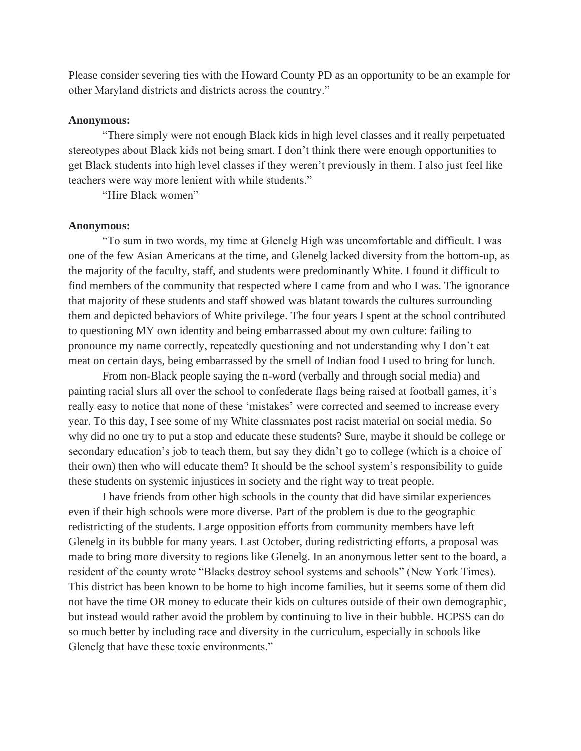Please consider severing ties with the Howard County PD as an opportunity to be an example for other Maryland districts and districts across the country."

#### **Anonymous:**

"There simply were not enough Black kids in high level classes and it really perpetuated stereotypes about Black kids not being smart. I don't think there were enough opportunities to get Black students into high level classes if they weren't previously in them. I also just feel like teachers were way more lenient with while students."

"Hire Black women"

#### **Anonymous:**

"To sum in two words, my time at Glenelg High was uncomfortable and difficult. I was one of the few Asian Americans at the time, and Glenelg lacked diversity from the bottom-up, as the majority of the faculty, staff, and students were predominantly White. I found it difficult to find members of the community that respected where I came from and who I was. The ignorance that majority of these students and staff showed was blatant towards the cultures surrounding them and depicted behaviors of White privilege. The four years I spent at the school contributed to questioning MY own identity and being embarrassed about my own culture: failing to pronounce my name correctly, repeatedly questioning and not understanding why I don't eat meat on certain days, being embarrassed by the smell of Indian food I used to bring for lunch.

From non-Black people saying the n-word (verbally and through social media) and painting racial slurs all over the school to confederate flags being raised at football games, it's really easy to notice that none of these 'mistakes' were corrected and seemed to increase every year. To this day, I see some of my White classmates post racist material on social media. So why did no one try to put a stop and educate these students? Sure, maybe it should be college or secondary education's job to teach them, but say they didn't go to college (which is a choice of their own) then who will educate them? It should be the school system's responsibility to guide these students on systemic injustices in society and the right way to treat people.

I have friends from other high schools in the county that did have similar experiences even if their high schools were more diverse. Part of the problem is due to the geographic redistricting of the students. Large opposition efforts from community members have left Glenelg in its bubble for many years. Last October, during redistricting efforts, a proposal was made to bring more diversity to regions like Glenelg. In an anonymous letter sent to the board, a resident of the county wrote "Blacks destroy school systems and schools" (New York Times). This district has been known to be home to high income families, but it seems some of them did not have the time OR money to educate their kids on cultures outside of their own demographic, but instead would rather avoid the problem by continuing to live in their bubble. HCPSS can do so much better by including race and diversity in the curriculum, especially in schools like Glenelg that have these toxic environments."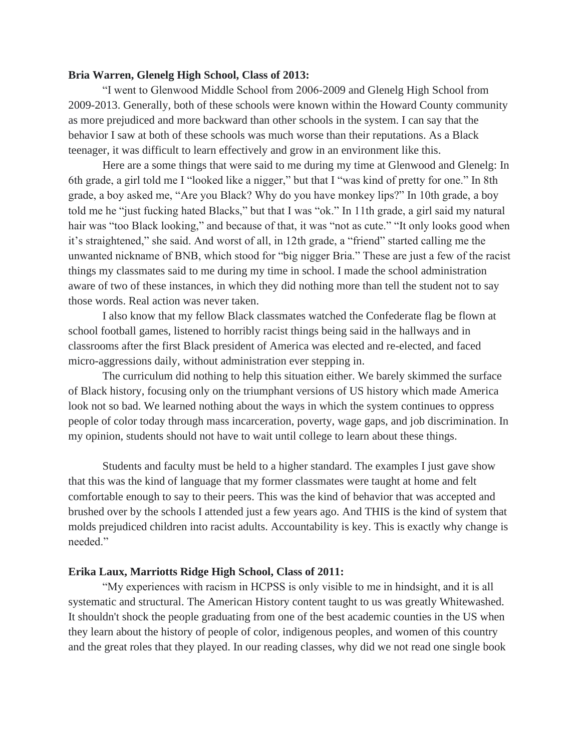# **Bria Warren, Glenelg High School, Class of 2013:**

"I went to Glenwood Middle School from 2006-2009 and Glenelg High School from 2009-2013. Generally, both of these schools were known within the Howard County community as more prejudiced and more backward than other schools in the system. I can say that the behavior I saw at both of these schools was much worse than their reputations. As a Black teenager, it was difficult to learn effectively and grow in an environment like this.

Here are a some things that were said to me during my time at Glenwood and Glenelg: In 6th grade, a girl told me I "looked like a nigger," but that I "was kind of pretty for one." In 8th grade, a boy asked me, "Are you Black? Why do you have monkey lips?" In 10th grade, a boy told me he "just fucking hated Blacks," but that I was "ok." In 11th grade, a girl said my natural hair was "too Black looking," and because of that, it was "not as cute." "It only looks good when it's straightened," she said. And worst of all, in 12th grade, a "friend" started calling me the unwanted nickname of BNB, which stood for "big nigger Bria." These are just a few of the racist things my classmates said to me during my time in school. I made the school administration aware of two of these instances, in which they did nothing more than tell the student not to say those words. Real action was never taken.

I also know that my fellow Black classmates watched the Confederate flag be flown at school football games, listened to horribly racist things being said in the hallways and in classrooms after the first Black president of America was elected and re-elected, and faced micro-aggressions daily, without administration ever stepping in.

The curriculum did nothing to help this situation either. We barely skimmed the surface of Black history, focusing only on the triumphant versions of US history which made America look not so bad. We learned nothing about the ways in which the system continues to oppress people of color today through mass incarceration, poverty, wage gaps, and job discrimination. In my opinion, students should not have to wait until college to learn about these things.

Students and faculty must be held to a higher standard. The examples I just gave show that this was the kind of language that my former classmates were taught at home and felt comfortable enough to say to their peers. This was the kind of behavior that was accepted and brushed over by the schools I attended just a few years ago. And THIS is the kind of system that molds prejudiced children into racist adults. Accountability is key. This is exactly why change is needed."

### **Erika Laux, Marriotts Ridge High School, Class of 2011:**

"My experiences with racism in HCPSS is only visible to me in hindsight, and it is all systematic and structural. The American History content taught to us was greatly Whitewashed. It shouldn't shock the people graduating from one of the best academic counties in the US when they learn about the history of people of color, indigenous peoples, and women of this country and the great roles that they played. In our reading classes, why did we not read one single book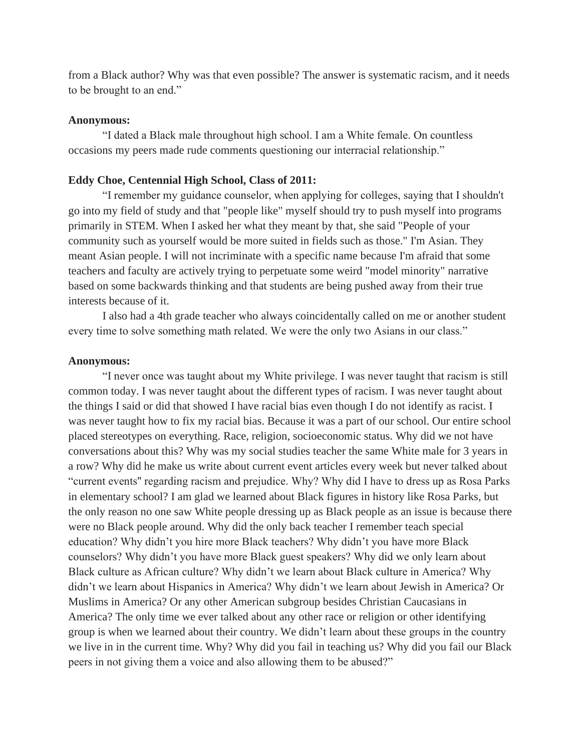from a Black author? Why was that even possible? The answer is systematic racism, and it needs to be brought to an end."

#### **Anonymous:**

"I dated a Black male throughout high school. I am a White female. On countless occasions my peers made rude comments questioning our interracial relationship."

### **Eddy Choe, Centennial High School, Class of 2011:**

"I remember my guidance counselor, when applying for colleges, saying that I shouldn't go into my field of study and that "people like" myself should try to push myself into programs primarily in STEM. When I asked her what they meant by that, she said "People of your community such as yourself would be more suited in fields such as those." I'm Asian. They meant Asian people. I will not incriminate with a specific name because I'm afraid that some teachers and faculty are actively trying to perpetuate some weird "model minority" narrative based on some backwards thinking and that students are being pushed away from their true interests because of it.

I also had a 4th grade teacher who always coincidentally called on me or another student every time to solve something math related. We were the only two Asians in our class."

#### **Anonymous:**

"I never once was taught about my White privilege. I was never taught that racism is still common today. I was never taught about the different types of racism. I was never taught about the things I said or did that showed I have racial bias even though I do not identify as racist. I was never taught how to fix my racial bias. Because it was a part of our school. Our entire school placed stereotypes on everything. Race, religion, socioeconomic status. Why did we not have conversations about this? Why was my social studies teacher the same White male for 3 years in a row? Why did he make us write about current event articles every week but never talked about "current events'' regarding racism and prejudice. Why? Why did I have to dress up as Rosa Parks in elementary school? I am glad we learned about Black figures in history like Rosa Parks, but the only reason no one saw White people dressing up as Black people as an issue is because there were no Black people around. Why did the only back teacher I remember teach special education? Why didn't you hire more Black teachers? Why didn't you have more Black counselors? Why didn't you have more Black guest speakers? Why did we only learn about Black culture as African culture? Why didn't we learn about Black culture in America? Why didn't we learn about Hispanics in America? Why didn't we learn about Jewish in America? Or Muslims in America? Or any other American subgroup besides Christian Caucasians in America? The only time we ever talked about any other race or religion or other identifying group is when we learned about their country. We didn't learn about these groups in the country we live in in the current time. Why? Why did you fail in teaching us? Why did you fail our Black peers in not giving them a voice and also allowing them to be abused?"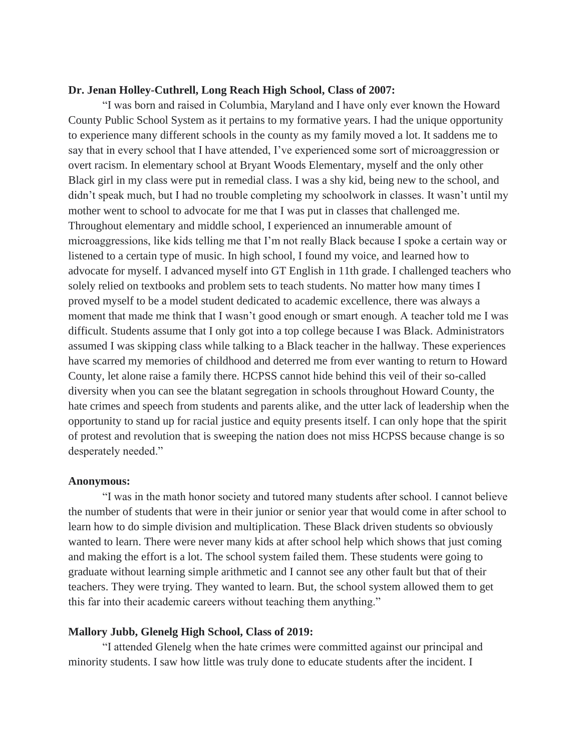### **Dr. Jenan Holley-Cuthrell, Long Reach High School, Class of 2007:**

"I was born and raised in Columbia, Maryland and I have only ever known the Howard County Public School System as it pertains to my formative years. I had the unique opportunity to experience many different schools in the county as my family moved a lot. It saddens me to say that in every school that I have attended, I've experienced some sort of microaggression or overt racism. In elementary school at Bryant Woods Elementary, myself and the only other Black girl in my class were put in remedial class. I was a shy kid, being new to the school, and didn't speak much, but I had no trouble completing my schoolwork in classes. It wasn't until my mother went to school to advocate for me that I was put in classes that challenged me. Throughout elementary and middle school, I experienced an innumerable amount of microaggressions, like kids telling me that I'm not really Black because I spoke a certain way or listened to a certain type of music. In high school, I found my voice, and learned how to advocate for myself. I advanced myself into GT English in 11th grade. I challenged teachers who solely relied on textbooks and problem sets to teach students. No matter how many times I proved myself to be a model student dedicated to academic excellence, there was always a moment that made me think that I wasn't good enough or smart enough. A teacher told me I was difficult. Students assume that I only got into a top college because I was Black. Administrators assumed I was skipping class while talking to a Black teacher in the hallway. These experiences have scarred my memories of childhood and deterred me from ever wanting to return to Howard County, let alone raise a family there. HCPSS cannot hide behind this veil of their so-called diversity when you can see the blatant segregation in schools throughout Howard County, the hate crimes and speech from students and parents alike, and the utter lack of leadership when the opportunity to stand up for racial justice and equity presents itself. I can only hope that the spirit of protest and revolution that is sweeping the nation does not miss HCPSS because change is so desperately needed."

#### **Anonymous:**

"I was in the math honor society and tutored many students after school. I cannot believe the number of students that were in their junior or senior year that would come in after school to learn how to do simple division and multiplication. These Black driven students so obviously wanted to learn. There were never many kids at after school help which shows that just coming and making the effort is a lot. The school system failed them. These students were going to graduate without learning simple arithmetic and I cannot see any other fault but that of their teachers. They were trying. They wanted to learn. But, the school system allowed them to get this far into their academic careers without teaching them anything."

## **Mallory Jubb, Glenelg High School, Class of 2019:**

"I attended Glenelg when the hate crimes were committed against our principal and minority students. I saw how little was truly done to educate students after the incident. I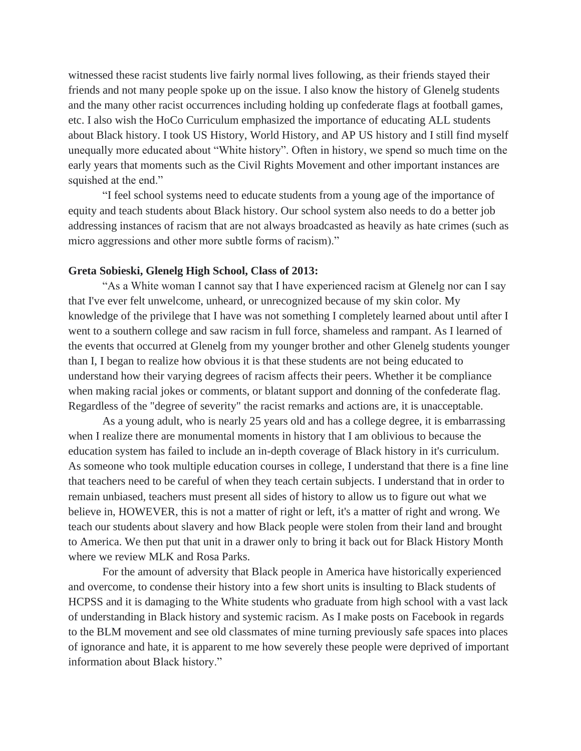witnessed these racist students live fairly normal lives following, as their friends stayed their friends and not many people spoke up on the issue. I also know the history of Glenelg students and the many other racist occurrences including holding up confederate flags at football games, etc. I also wish the HoCo Curriculum emphasized the importance of educating ALL students about Black history. I took US History, World History, and AP US history and I still find myself unequally more educated about "White history". Often in history, we spend so much time on the early years that moments such as the Civil Rights Movement and other important instances are squished at the end."

"I feel school systems need to educate students from a young age of the importance of equity and teach students about Black history. Our school system also needs to do a better job addressing instances of racism that are not always broadcasted as heavily as hate crimes (such as micro aggressions and other more subtle forms of racism)."

## **Greta Sobieski, Glenelg High School, Class of 2013:**

"As a White woman I cannot say that I have experienced racism at Glenelg nor can I say that I've ever felt unwelcome, unheard, or unrecognized because of my skin color. My knowledge of the privilege that I have was not something I completely learned about until after I went to a southern college and saw racism in full force, shameless and rampant. As I learned of the events that occurred at Glenelg from my younger brother and other Glenelg students younger than I, I began to realize how obvious it is that these students are not being educated to understand how their varying degrees of racism affects their peers. Whether it be compliance when making racial jokes or comments, or blatant support and donning of the confederate flag. Regardless of the "degree of severity" the racist remarks and actions are, it is unacceptable.

As a young adult, who is nearly 25 years old and has a college degree, it is embarrassing when I realize there are monumental moments in history that I am oblivious to because the education system has failed to include an in-depth coverage of Black history in it's curriculum. As someone who took multiple education courses in college, I understand that there is a fine line that teachers need to be careful of when they teach certain subjects. I understand that in order to remain unbiased, teachers must present all sides of history to allow us to figure out what we believe in, HOWEVER, this is not a matter of right or left, it's a matter of right and wrong. We teach our students about slavery and how Black people were stolen from their land and brought to America. We then put that unit in a drawer only to bring it back out for Black History Month where we review MLK and Rosa Parks.

For the amount of adversity that Black people in America have historically experienced and overcome, to condense their history into a few short units is insulting to Black students of HCPSS and it is damaging to the White students who graduate from high school with a vast lack of understanding in Black history and systemic racism. As I make posts on Facebook in regards to the BLM movement and see old classmates of mine turning previously safe spaces into places of ignorance and hate, it is apparent to me how severely these people were deprived of important information about Black history."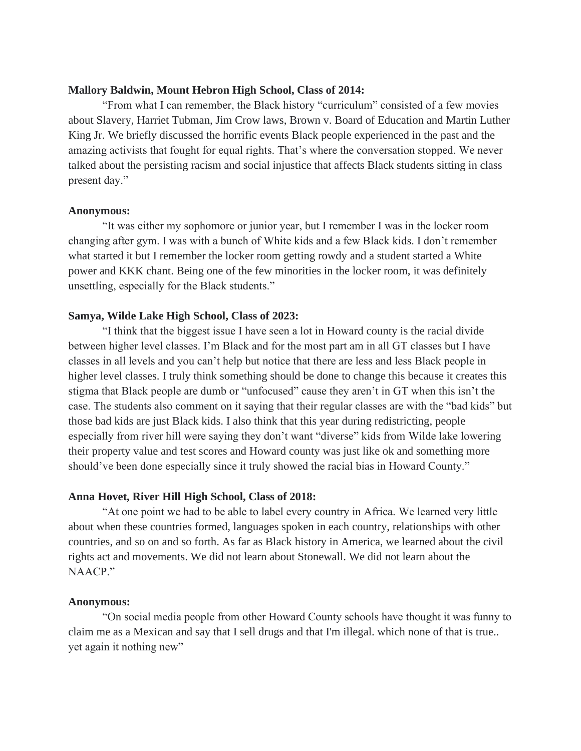## **Mallory Baldwin, Mount Hebron High School, Class of 2014:**

"From what I can remember, the Black history "curriculum" consisted of a few movies about Slavery, Harriet Tubman, Jim Crow laws, Brown v. Board of Education and Martin Luther King Jr. We briefly discussed the horrific events Black people experienced in the past and the amazing activists that fought for equal rights. That's where the conversation stopped. We never talked about the persisting racism and social injustice that affects Black students sitting in class present day."

#### **Anonymous:**

"It was either my sophomore or junior year, but I remember I was in the locker room changing after gym. I was with a bunch of White kids and a few Black kids. I don't remember what started it but I remember the locker room getting rowdy and a student started a White power and KKK chant. Being one of the few minorities in the locker room, it was definitely unsettling, especially for the Black students."

## **Samya, Wilde Lake High School, Class of 2023:**

"I think that the biggest issue I have seen a lot in Howard county is the racial divide between higher level classes. I'm Black and for the most part am in all GT classes but I have classes in all levels and you can't help but notice that there are less and less Black people in higher level classes. I truly think something should be done to change this because it creates this stigma that Black people are dumb or "unfocused" cause they aren't in GT when this isn't the case. The students also comment on it saying that their regular classes are with the "bad kids" but those bad kids are just Black kids. I also think that this year during redistricting, people especially from river hill were saying they don't want "diverse" kids from Wilde lake lowering their property value and test scores and Howard county was just like ok and something more should've been done especially since it truly showed the racial bias in Howard County."

## **Anna Hovet, River Hill High School, Class of 2018:**

"At one point we had to be able to label every country in Africa. We learned very little about when these countries formed, languages spoken in each country, relationships with other countries, and so on and so forth. As far as Black history in America, we learned about the civil rights act and movements. We did not learn about Stonewall. We did not learn about the NAACP."

#### **Anonymous:**

"On social media people from other Howard County schools have thought it was funny to claim me as a Mexican and say that I sell drugs and that I'm illegal. which none of that is true.. yet again it nothing new"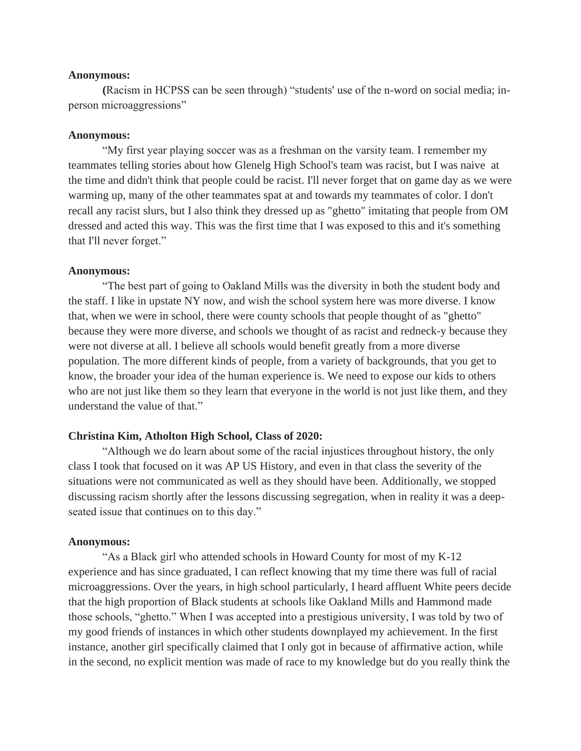#### **Anonymous:**

**(**Racism in HCPSS can be seen through) "students' use of the n-word on social media; inperson microaggressions"

## **Anonymous:**

"My first year playing soccer was as a freshman on the varsity team. I remember my teammates telling stories about how Glenelg High School's team was racist, but I was naive at the time and didn't think that people could be racist. I'll never forget that on game day as we were warming up, many of the other teammates spat at and towards my teammates of color. I don't recall any racist slurs, but I also think they dressed up as "ghetto" imitating that people from OM dressed and acted this way. This was the first time that I was exposed to this and it's something that I'll never forget."

### **Anonymous:**

"The best part of going to Oakland Mills was the diversity in both the student body and the staff. I like in upstate NY now, and wish the school system here was more diverse. I know that, when we were in school, there were county schools that people thought of as "ghetto" because they were more diverse, and schools we thought of as racist and redneck-y because they were not diverse at all. I believe all schools would benefit greatly from a more diverse population. The more different kinds of people, from a variety of backgrounds, that you get to know, the broader your idea of the human experience is. We need to expose our kids to others who are not just like them so they learn that everyone in the world is not just like them, and they understand the value of that."

# **Christina Kim, Atholton High School, Class of 2020:**

"Although we do learn about some of the racial injustices throughout history, the only class I took that focused on it was AP US History, and even in that class the severity of the situations were not communicated as well as they should have been. Additionally, we stopped discussing racism shortly after the lessons discussing segregation, when in reality it was a deepseated issue that continues on to this day."

#### **Anonymous:**

"As a Black girl who attended schools in Howard County for most of my K-12 experience and has since graduated, I can reflect knowing that my time there was full of racial microaggressions. Over the years, in high school particularly, I heard affluent White peers decide that the high proportion of Black students at schools like Oakland Mills and Hammond made those schools, "ghetto." When I was accepted into a prestigious university, I was told by two of my good friends of instances in which other students downplayed my achievement. In the first instance, another girl specifically claimed that I only got in because of affirmative action, while in the second, no explicit mention was made of race to my knowledge but do you really think the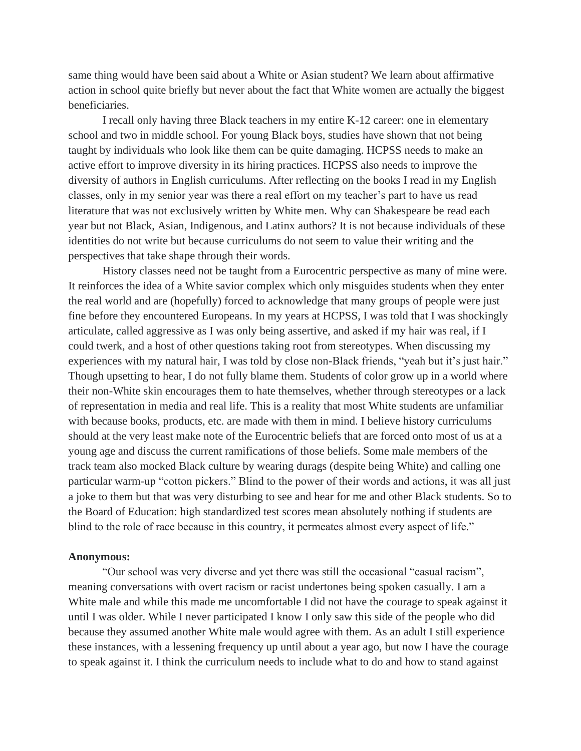same thing would have been said about a White or Asian student? We learn about affirmative action in school quite briefly but never about the fact that White women are actually the biggest beneficiaries.

I recall only having three Black teachers in my entire K-12 career: one in elementary school and two in middle school. For young Black boys, studies have shown that not being taught by individuals who look like them can be quite damaging. HCPSS needs to make an active effort to improve diversity in its hiring practices. HCPSS also needs to improve the diversity of authors in English curriculums. After reflecting on the books I read in my English classes, only in my senior year was there a real effort on my teacher's part to have us read literature that was not exclusively written by White men. Why can Shakespeare be read each year but not Black, Asian, Indigenous, and Latinx authors? It is not because individuals of these identities do not write but because curriculums do not seem to value their writing and the perspectives that take shape through their words.

History classes need not be taught from a Eurocentric perspective as many of mine were. It reinforces the idea of a White savior complex which only misguides students when they enter the real world and are (hopefully) forced to acknowledge that many groups of people were just fine before they encountered Europeans. In my years at HCPSS, I was told that I was shockingly articulate, called aggressive as I was only being assertive, and asked if my hair was real, if I could twerk, and a host of other questions taking root from stereotypes. When discussing my experiences with my natural hair, I was told by close non-Black friends, "yeah but it's just hair." Though upsetting to hear, I do not fully blame them. Students of color grow up in a world where their non-White skin encourages them to hate themselves, whether through stereotypes or a lack of representation in media and real life. This is a reality that most White students are unfamiliar with because books, products, etc. are made with them in mind. I believe history curriculums should at the very least make note of the Eurocentric beliefs that are forced onto most of us at a young age and discuss the current ramifications of those beliefs. Some male members of the track team also mocked Black culture by wearing durags (despite being White) and calling one particular warm-up "cotton pickers." Blind to the power of their words and actions, it was all just a joke to them but that was very disturbing to see and hear for me and other Black students. So to the Board of Education: high standardized test scores mean absolutely nothing if students are blind to the role of race because in this country, it permeates almost every aspect of life."

#### **Anonymous:**

"Our school was very diverse and yet there was still the occasional "casual racism", meaning conversations with overt racism or racist undertones being spoken casually. I am a White male and while this made me uncomfortable I did not have the courage to speak against it until I was older. While I never participated I know I only saw this side of the people who did because they assumed another White male would agree with them. As an adult I still experience these instances, with a lessening frequency up until about a year ago, but now I have the courage to speak against it. I think the curriculum needs to include what to do and how to stand against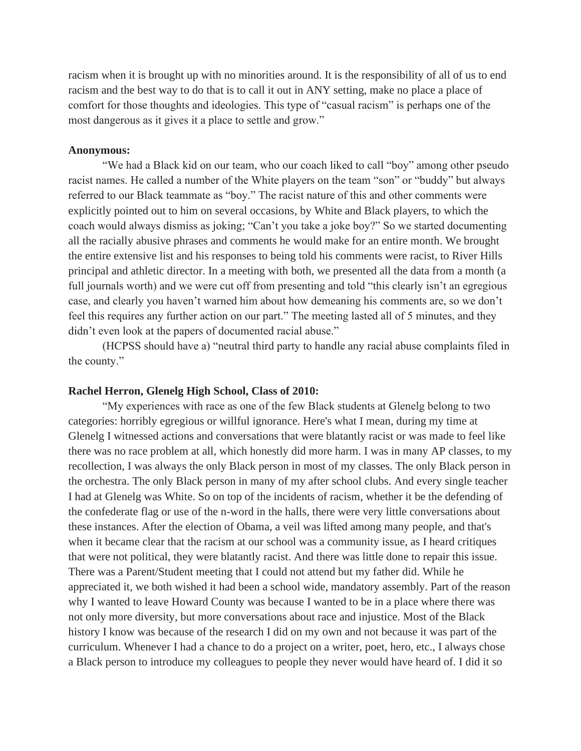racism when it is brought up with no minorities around. It is the responsibility of all of us to end racism and the best way to do that is to call it out in ANY setting, make no place a place of comfort for those thoughts and ideologies. This type of "casual racism" is perhaps one of the most dangerous as it gives it a place to settle and grow."

## **Anonymous:**

"We had a Black kid on our team, who our coach liked to call "boy" among other pseudo racist names. He called a number of the White players on the team "son" or "buddy" but always referred to our Black teammate as "boy." The racist nature of this and other comments were explicitly pointed out to him on several occasions, by White and Black players, to which the coach would always dismiss as joking; "Can't you take a joke boy?" So we started documenting all the racially abusive phrases and comments he would make for an entire month. We brought the entire extensive list and his responses to being told his comments were racist, to River Hills principal and athletic director. In a meeting with both, we presented all the data from a month (a full journals worth) and we were cut off from presenting and told "this clearly isn't an egregious case, and clearly you haven't warned him about how demeaning his comments are, so we don't feel this requires any further action on our part." The meeting lasted all of 5 minutes, and they didn't even look at the papers of documented racial abuse."

(HCPSS should have a) "neutral third party to handle any racial abuse complaints filed in the county."

## **Rachel Herron, Glenelg High School, Class of 2010:**

"My experiences with race as one of the few Black students at Glenelg belong to two categories: horribly egregious or willful ignorance. Here's what I mean, during my time at Glenelg I witnessed actions and conversations that were blatantly racist or was made to feel like there was no race problem at all, which honestly did more harm. I was in many AP classes, to my recollection, I was always the only Black person in most of my classes. The only Black person in the orchestra. The only Black person in many of my after school clubs. And every single teacher I had at Glenelg was White. So on top of the incidents of racism, whether it be the defending of the confederate flag or use of the n-word in the halls, there were very little conversations about these instances. After the election of Obama, a veil was lifted among many people, and that's when it became clear that the racism at our school was a community issue, as I heard critiques that were not political, they were blatantly racist. And there was little done to repair this issue. There was a Parent/Student meeting that I could not attend but my father did. While he appreciated it, we both wished it had been a school wide, mandatory assembly. Part of the reason why I wanted to leave Howard County was because I wanted to be in a place where there was not only more diversity, but more conversations about race and injustice. Most of the Black history I know was because of the research I did on my own and not because it was part of the curriculum. Whenever I had a chance to do a project on a writer, poet, hero, etc., I always chose a Black person to introduce my colleagues to people they never would have heard of. I did it so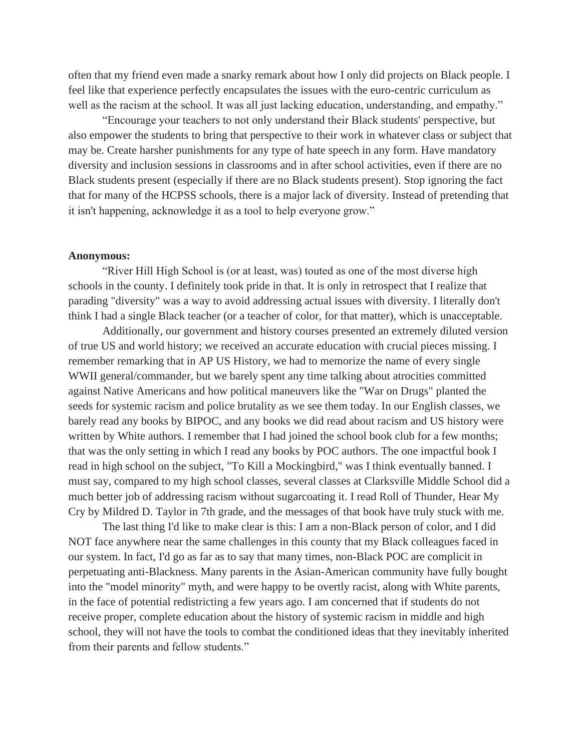often that my friend even made a snarky remark about how I only did projects on Black people. I feel like that experience perfectly encapsulates the issues with the euro-centric curriculum as well as the racism at the school. It was all just lacking education, understanding, and empathy."

"Encourage your teachers to not only understand their Black students' perspective, but also empower the students to bring that perspective to their work in whatever class or subject that may be. Create harsher punishments for any type of hate speech in any form. Have mandatory diversity and inclusion sessions in classrooms and in after school activities, even if there are no Black students present (especially if there are no Black students present). Stop ignoring the fact that for many of the HCPSS schools, there is a major lack of diversity. Instead of pretending that it isn't happening, acknowledge it as a tool to help everyone grow."

#### **Anonymous:**

"River Hill High School is (or at least, was) touted as one of the most diverse high schools in the county. I definitely took pride in that. It is only in retrospect that I realize that parading "diversity" was a way to avoid addressing actual issues with diversity. I literally don't think I had a single Black teacher (or a teacher of color, for that matter), which is unacceptable.

Additionally, our government and history courses presented an extremely diluted version of true US and world history; we received an accurate education with crucial pieces missing. I remember remarking that in AP US History, we had to memorize the name of every single WWII general/commander, but we barely spent any time talking about atrocities committed against Native Americans and how political maneuvers like the "War on Drugs" planted the seeds for systemic racism and police brutality as we see them today. In our English classes, we barely read any books by BIPOC, and any books we did read about racism and US history were written by White authors. I remember that I had joined the school book club for a few months; that was the only setting in which I read any books by POC authors. The one impactful book I read in high school on the subject, "To Kill a Mockingbird," was I think eventually banned. I must say, compared to my high school classes, several classes at Clarksville Middle School did a much better job of addressing racism without sugarcoating it. I read Roll of Thunder, Hear My Cry by Mildred D. Taylor in 7th grade, and the messages of that book have truly stuck with me.

The last thing I'd like to make clear is this: I am a non-Black person of color, and I did NOT face anywhere near the same challenges in this county that my Black colleagues faced in our system. In fact, I'd go as far as to say that many times, non-Black POC are complicit in perpetuating anti-Blackness. Many parents in the Asian-American community have fully bought into the "model minority" myth, and were happy to be overtly racist, along with White parents, in the face of potential redistricting a few years ago. I am concerned that if students do not receive proper, complete education about the history of systemic racism in middle and high school, they will not have the tools to combat the conditioned ideas that they inevitably inherited from their parents and fellow students."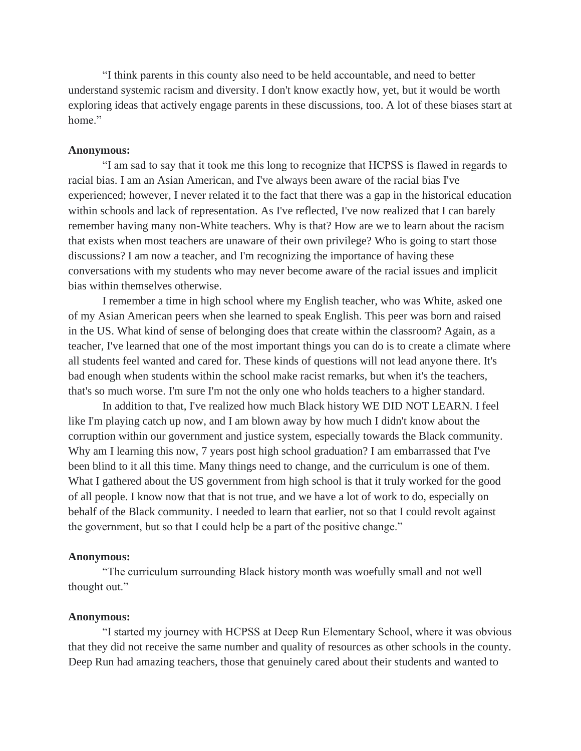"I think parents in this county also need to be held accountable, and need to better understand systemic racism and diversity. I don't know exactly how, yet, but it would be worth exploring ideas that actively engage parents in these discussions, too. A lot of these biases start at home."

## **Anonymous:**

"I am sad to say that it took me this long to recognize that HCPSS is flawed in regards to racial bias. I am an Asian American, and I've always been aware of the racial bias I've experienced; however, I never related it to the fact that there was a gap in the historical education within schools and lack of representation. As I've reflected, I've now realized that I can barely remember having many non-White teachers. Why is that? How are we to learn about the racism that exists when most teachers are unaware of their own privilege? Who is going to start those discussions? I am now a teacher, and I'm recognizing the importance of having these conversations with my students who may never become aware of the racial issues and implicit bias within themselves otherwise.

I remember a time in high school where my English teacher, who was White, asked one of my Asian American peers when she learned to speak English. This peer was born and raised in the US. What kind of sense of belonging does that create within the classroom? Again, as a teacher, I've learned that one of the most important things you can do is to create a climate where all students feel wanted and cared for. These kinds of questions will not lead anyone there. It's bad enough when students within the school make racist remarks, but when it's the teachers, that's so much worse. I'm sure I'm not the only one who holds teachers to a higher standard.

In addition to that, I've realized how much Black history WE DID NOT LEARN. I feel like I'm playing catch up now, and I am blown away by how much I didn't know about the corruption within our government and justice system, especially towards the Black community. Why am I learning this now, 7 years post high school graduation? I am embarrassed that I've been blind to it all this time. Many things need to change, and the curriculum is one of them. What I gathered about the US government from high school is that it truly worked for the good of all people. I know now that that is not true, and we have a lot of work to do, especially on behalf of the Black community. I needed to learn that earlier, not so that I could revolt against the government, but so that I could help be a part of the positive change."

#### **Anonymous:**

"The curriculum surrounding Black history month was woefully small and not well thought out."

### **Anonymous:**

"I started my journey with HCPSS at Deep Run Elementary School, where it was obvious that they did not receive the same number and quality of resources as other schools in the county. Deep Run had amazing teachers, those that genuinely cared about their students and wanted to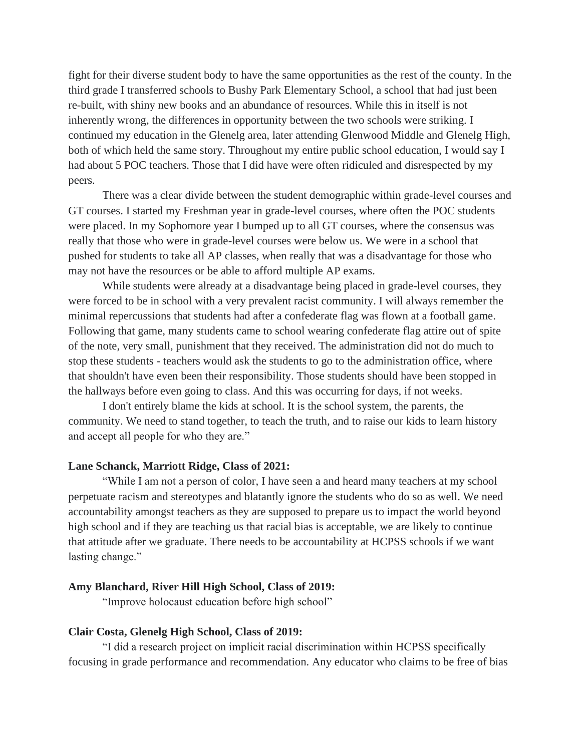fight for their diverse student body to have the same opportunities as the rest of the county. In the third grade I transferred schools to Bushy Park Elementary School, a school that had just been re-built, with shiny new books and an abundance of resources. While this in itself is not inherently wrong, the differences in opportunity between the two schools were striking. I continued my education in the Glenelg area, later attending Glenwood Middle and Glenelg High, both of which held the same story. Throughout my entire public school education, I would say I had about 5 POC teachers. Those that I did have were often ridiculed and disrespected by my peers.

There was a clear divide between the student demographic within grade-level courses and GT courses. I started my Freshman year in grade-level courses, where often the POC students were placed. In my Sophomore year I bumped up to all GT courses, where the consensus was really that those who were in grade-level courses were below us. We were in a school that pushed for students to take all AP classes, when really that was a disadvantage for those who may not have the resources or be able to afford multiple AP exams.

While students were already at a disadvantage being placed in grade-level courses, they were forced to be in school with a very prevalent racist community. I will always remember the minimal repercussions that students had after a confederate flag was flown at a football game. Following that game, many students came to school wearing confederate flag attire out of spite of the note, very small, punishment that they received. The administration did not do much to stop these students - teachers would ask the students to go to the administration office, where that shouldn't have even been their responsibility. Those students should have been stopped in the hallways before even going to class. And this was occurring for days, if not weeks.

I don't entirely blame the kids at school. It is the school system, the parents, the community. We need to stand together, to teach the truth, and to raise our kids to learn history and accept all people for who they are."

### **Lane Schanck, Marriott Ridge, Class of 2021:**

"While I am not a person of color, I have seen a and heard many teachers at my school perpetuate racism and stereotypes and blatantly ignore the students who do so as well. We need accountability amongst teachers as they are supposed to prepare us to impact the world beyond high school and if they are teaching us that racial bias is acceptable, we are likely to continue that attitude after we graduate. There needs to be accountability at HCPSS schools if we want lasting change."

## **Amy Blanchard, River Hill High School, Class of 2019:**

"Improve holocaust education before high school"

## **Clair Costa, Glenelg High School, Class of 2019:**

"I did a research project on implicit racial discrimination within HCPSS specifically focusing in grade performance and recommendation. Any educator who claims to be free of bias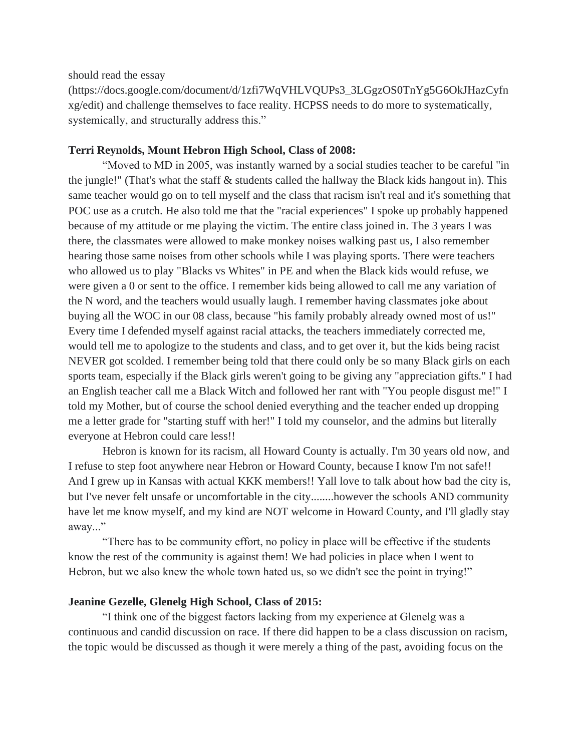should read the essay

(https://docs.google.com/document/d/1zfi7WqVHLVQUPs3\_3LGgzOS0TnYg5G6OkJHazCyfn xg/edit) and challenge themselves to face reality. HCPSS needs to do more to systematically, systemically, and structurally address this."

## **Terri Reynolds, Mount Hebron High School, Class of 2008:**

"Moved to MD in 2005, was instantly warned by a social studies teacher to be careful "in the jungle!" (That's what the staff & students called the hallway the Black kids hangout in). This same teacher would go on to tell myself and the class that racism isn't real and it's something that POC use as a crutch. He also told me that the "racial experiences" I spoke up probably happened because of my attitude or me playing the victim. The entire class joined in. The 3 years I was there, the classmates were allowed to make monkey noises walking past us, I also remember hearing those same noises from other schools while I was playing sports. There were teachers who allowed us to play "Blacks vs Whites" in PE and when the Black kids would refuse, we were given a 0 or sent to the office. I remember kids being allowed to call me any variation of the N word, and the teachers would usually laugh. I remember having classmates joke about buying all the WOC in our 08 class, because "his family probably already owned most of us!" Every time I defended myself against racial attacks, the teachers immediately corrected me, would tell me to apologize to the students and class, and to get over it, but the kids being racist NEVER got scolded. I remember being told that there could only be so many Black girls on each sports team, especially if the Black girls weren't going to be giving any "appreciation gifts." I had an English teacher call me a Black Witch and followed her rant with "You people disgust me!" I told my Mother, but of course the school denied everything and the teacher ended up dropping me a letter grade for "starting stuff with her!" I told my counselor, and the admins but literally everyone at Hebron could care less!!

Hebron is known for its racism, all Howard County is actually. I'm 30 years old now, and I refuse to step foot anywhere near Hebron or Howard County, because I know I'm not safe!! And I grew up in Kansas with actual KKK members!! Yall love to talk about how bad the city is, but I've never felt unsafe or uncomfortable in the city........however the schools AND community have let me know myself, and my kind are NOT welcome in Howard County, and I'll gladly stay away..."

"There has to be community effort, no policy in place will be effective if the students know the rest of the community is against them! We had policies in place when I went to Hebron, but we also knew the whole town hated us, so we didn't see the point in trying!"

# **Jeanine Gezelle, Glenelg High School, Class of 2015:**

"I think one of the biggest factors lacking from my experience at Glenelg was a continuous and candid discussion on race. If there did happen to be a class discussion on racism, the topic would be discussed as though it were merely a thing of the past, avoiding focus on the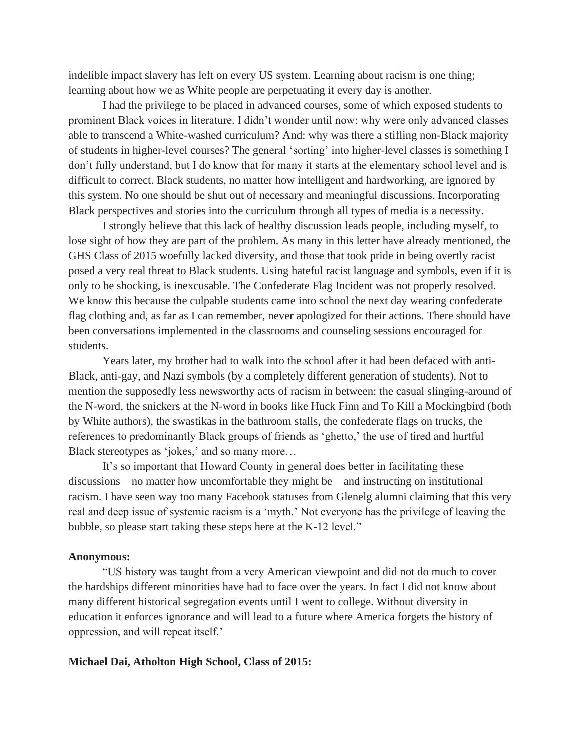indelible impact slavery has left on every US system. Learning about racism is one thing; learning about how we as White people are perpetuating it every day is another.

I had the privilege to be placed in advanced courses, some of which exposed students to prominent Black voices in literature. I didn't wonder until now: why were only advanced classes able to transcend a White-washed curriculum? And: why was there a stifling non-Black majority of students in higher-level courses? The general 'sorting' into higher-level classes is something I don't fully understand, but I do know that for many it starts at the elementary school level and is difficult to correct. Black students, no matter how intelligent and hardworking, are ignored by this system. No one should be shut out of necessary and meaningful discussions. Incorporating Black perspectives and stories into the curriculum through all types of media is a necessity.

I strongly believe that this lack of healthy discussion leads people, including myself, to lose sight of how they are part of the problem. As many in this letter have already mentioned, the GHS Class of 2015 woefully lacked diversity, and those that took pride in being overtly racist posed a very real threat to Black students. Using hateful racist language and symbols, even if it is only to be shocking, is inexcusable. The Confederate Flag Incident was not properly resolved. We know this because the culpable students came into school the next day wearing confederate flag clothing and, as far as I can remember, never apologized for their actions. There should have been conversations implemented in the classrooms and counseling sessions encouraged for students.

Years later, my brother had to walk into the school after it had been defaced with anti-Black, anti-gay, and Nazi symbols (by a completely different generation of students). Not to mention the supposedly less newsworthy acts of racism in between: the casual slinging-around of the N-word, the snickers at the N-word in books like Huck Finn and To Kill a Mockingbird (both by White authors), the swastikas in the bathroom stalls, the confederate flags on trucks, the references to predominantly Black groups of friends as 'ghetto,' the use of tired and hurtful Black stereotypes as 'jokes,' and so many more...

It's so important that Howard County in general does better in facilitating these discussions – no matter how uncomfortable they might be – and instructing on institutional racism. I have seen way too many Facebook statuses from Glenelg alumni claiming that this very real and deep issue of systemic racism is a 'myth.' Not everyone has the privilege of leaving the bubble, so please start taking these steps here at the K-12 level."

#### **Anonymous:**

"US history was taught from a very American viewpoint and did not do much to cover the hardships different minorities have had to face over the years. In fact I did not know about many different historical segregation events until I went to college. Without diversity in education it enforces ignorance and will lead to a future where America forgets the history of oppression, and will repeat itself.'

#### **Michael Dai, Atholton High School, Class of 2015:**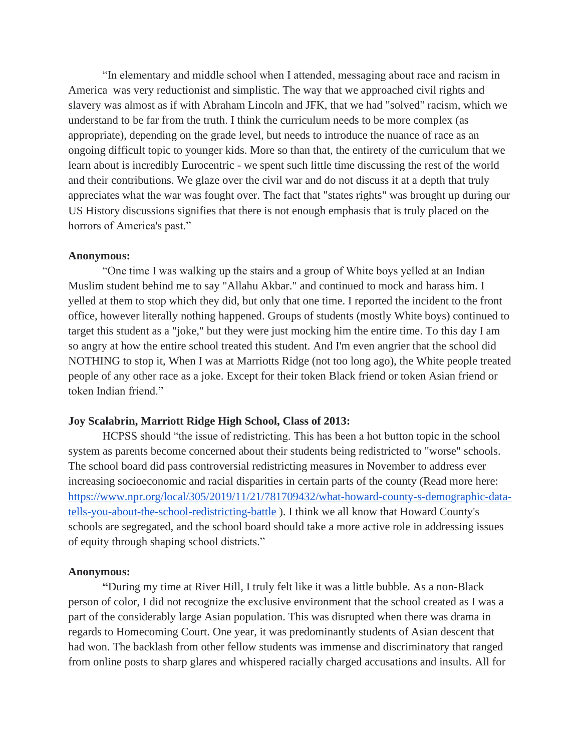"In elementary and middle school when I attended, messaging about race and racism in America was very reductionist and simplistic. The way that we approached civil rights and slavery was almost as if with Abraham Lincoln and JFK, that we had "solved" racism, which we understand to be far from the truth. I think the curriculum needs to be more complex (as appropriate), depending on the grade level, but needs to introduce the nuance of race as an ongoing difficult topic to younger kids. More so than that, the entirety of the curriculum that we learn about is incredibly Eurocentric - we spent such little time discussing the rest of the world and their contributions. We glaze over the civil war and do not discuss it at a depth that truly appreciates what the war was fought over. The fact that "states rights" was brought up during our US History discussions signifies that there is not enough emphasis that is truly placed on the horrors of America's past."

#### **Anonymous:**

"One time I was walking up the stairs and a group of White boys yelled at an Indian Muslim student behind me to say "Allahu Akbar." and continued to mock and harass him. I yelled at them to stop which they did, but only that one time. I reported the incident to the front office, however literally nothing happened. Groups of students (mostly White boys) continued to target this student as a "joke," but they were just mocking him the entire time. To this day I am so angry at how the entire school treated this student. And I'm even angrier that the school did NOTHING to stop it, When I was at Marriotts Ridge (not too long ago), the White people treated people of any other race as a joke. Except for their token Black friend or token Asian friend or token Indian friend."

## **Joy Scalabrin, Marriott Ridge High School, Class of 2013:**

HCPSS should "the issue of redistricting. This has been a hot button topic in the school system as parents become concerned about their students being redistricted to "worse" schools. The school board did pass controversial redistricting measures in November to address ever increasing socioeconomic and racial disparities in certain parts of the county (Read more here: [https://www.npr.org/local/305/2019/11/21/781709432/what-howard-county-s-demographic-data](https://www.npr.org/local/305/2019/11/21/781709432/what-howard-county-s-demographic-data-tells-you-about-the-school-redistricting-battle)[tells-you-about-the-school-redistricting-battle](https://www.npr.org/local/305/2019/11/21/781709432/what-howard-county-s-demographic-data-tells-you-about-the-school-redistricting-battle) ). I think we all know that Howard County's schools are segregated, and the school board should take a more active role in addressing issues of equity through shaping school districts."

### **Anonymous:**

**"**During my time at River Hill, I truly felt like it was a little bubble. As a non-Black person of color, I did not recognize the exclusive environment that the school created as I was a part of the considerably large Asian population. This was disrupted when there was drama in regards to Homecoming Court. One year, it was predominantly students of Asian descent that had won. The backlash from other fellow students was immense and discriminatory that ranged from online posts to sharp glares and whispered racially charged accusations and insults. All for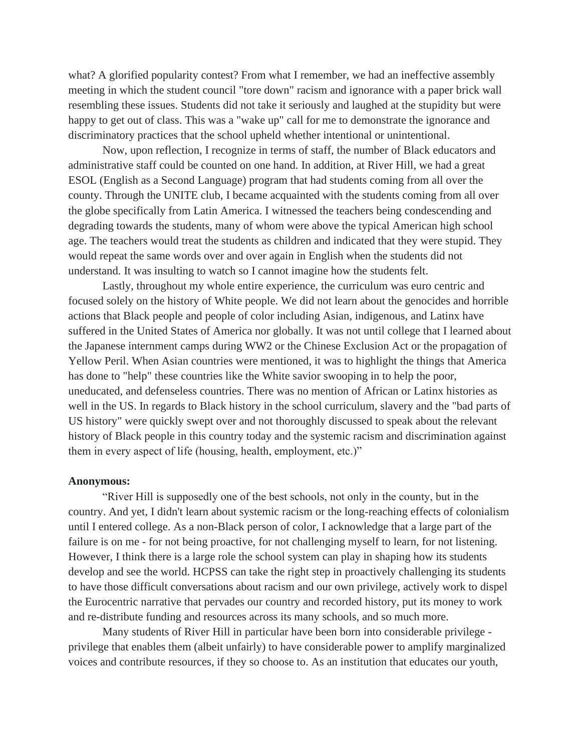what? A glorified popularity contest? From what I remember, we had an ineffective assembly meeting in which the student council "tore down" racism and ignorance with a paper brick wall resembling these issues. Students did not take it seriously and laughed at the stupidity but were happy to get out of class. This was a "wake up" call for me to demonstrate the ignorance and discriminatory practices that the school upheld whether intentional or unintentional.

Now, upon reflection, I recognize in terms of staff, the number of Black educators and administrative staff could be counted on one hand. In addition, at River Hill, we had a great ESOL (English as a Second Language) program that had students coming from all over the county. Through the UNITE club, I became acquainted with the students coming from all over the globe specifically from Latin America. I witnessed the teachers being condescending and degrading towards the students, many of whom were above the typical American high school age. The teachers would treat the students as children and indicated that they were stupid. They would repeat the same words over and over again in English when the students did not understand. It was insulting to watch so I cannot imagine how the students felt.

Lastly, throughout my whole entire experience, the curriculum was euro centric and focused solely on the history of White people. We did not learn about the genocides and horrible actions that Black people and people of color including Asian, indigenous, and Latinx have suffered in the United States of America nor globally. It was not until college that I learned about the Japanese internment camps during WW2 or the Chinese Exclusion Act or the propagation of Yellow Peril. When Asian countries were mentioned, it was to highlight the things that America has done to "help" these countries like the White savior swooping in to help the poor, uneducated, and defenseless countries. There was no mention of African or Latinx histories as well in the US. In regards to Black history in the school curriculum, slavery and the "bad parts of US history" were quickly swept over and not thoroughly discussed to speak about the relevant history of Black people in this country today and the systemic racism and discrimination against them in every aspect of life (housing, health, employment, etc.)"

#### **Anonymous:**

"River Hill is supposedly one of the best schools, not only in the county, but in the country. And yet, I didn't learn about systemic racism or the long-reaching effects of colonialism until I entered college. As a non-Black person of color, I acknowledge that a large part of the failure is on me - for not being proactive, for not challenging myself to learn, for not listening. However, I think there is a large role the school system can play in shaping how its students develop and see the world. HCPSS can take the right step in proactively challenging its students to have those difficult conversations about racism and our own privilege, actively work to dispel the Eurocentric narrative that pervades our country and recorded history, put its money to work and re-distribute funding and resources across its many schools, and so much more.

Many students of River Hill in particular have been born into considerable privilege privilege that enables them (albeit unfairly) to have considerable power to amplify marginalized voices and contribute resources, if they so choose to. As an institution that educates our youth,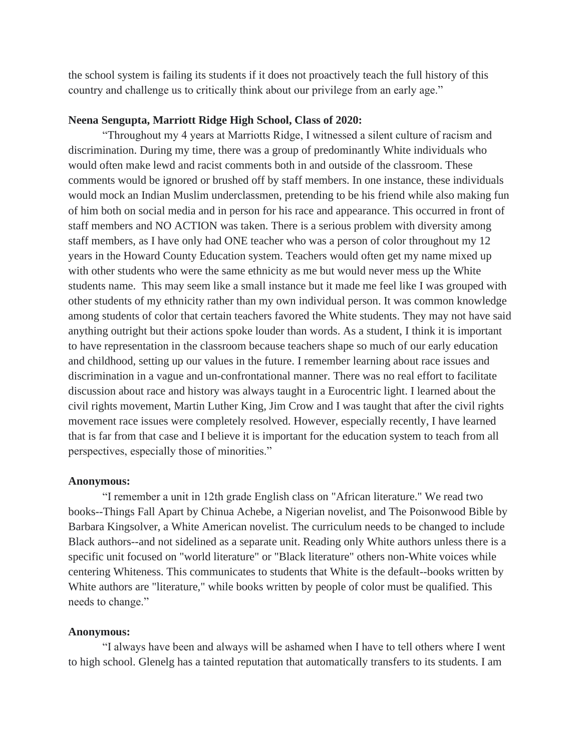the school system is failing its students if it does not proactively teach the full history of this country and challenge us to critically think about our privilege from an early age."

## **Neena Sengupta, Marriott Ridge High School, Class of 2020:**

"Throughout my 4 years at Marriotts Ridge, I witnessed a silent culture of racism and discrimination. During my time, there was a group of predominantly White individuals who would often make lewd and racist comments both in and outside of the classroom. These comments would be ignored or brushed off by staff members. In one instance, these individuals would mock an Indian Muslim underclassmen, pretending to be his friend while also making fun of him both on social media and in person for his race and appearance. This occurred in front of staff members and NO ACTION was taken. There is a serious problem with diversity among staff members, as I have only had ONE teacher who was a person of color throughout my 12 years in the Howard County Education system. Teachers would often get my name mixed up with other students who were the same ethnicity as me but would never mess up the White students name. This may seem like a small instance but it made me feel like I was grouped with other students of my ethnicity rather than my own individual person. It was common knowledge among students of color that certain teachers favored the White students. They may not have said anything outright but their actions spoke louder than words. As a student, I think it is important to have representation in the classroom because teachers shape so much of our early education and childhood, setting up our values in the future. I remember learning about race issues and discrimination in a vague and un-confrontational manner. There was no real effort to facilitate discussion about race and history was always taught in a Eurocentric light. I learned about the civil rights movement, Martin Luther King, Jim Crow and I was taught that after the civil rights movement race issues were completely resolved. However, especially recently, I have learned that is far from that case and I believe it is important for the education system to teach from all perspectives, especially those of minorities."

#### **Anonymous:**

"I remember a unit in 12th grade English class on "African literature." We read two books--Things Fall Apart by Chinua Achebe, a Nigerian novelist, and The Poisonwood Bible by Barbara Kingsolver, a White American novelist. The curriculum needs to be changed to include Black authors--and not sidelined as a separate unit. Reading only White authors unless there is a specific unit focused on "world literature" or "Black literature" others non-White voices while centering Whiteness. This communicates to students that White is the default--books written by White authors are "literature," while books written by people of color must be qualified. This needs to change."

#### **Anonymous:**

"I always have been and always will be ashamed when I have to tell others where I went to high school. Glenelg has a tainted reputation that automatically transfers to its students. I am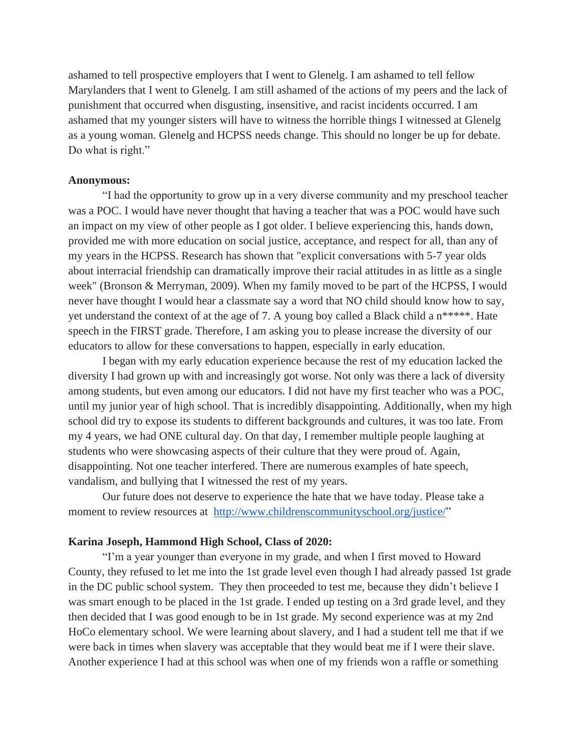ashamed to tell prospective employers that I went to Glenelg. I am ashamed to tell fellow Marylanders that I went to Glenelg. I am still ashamed of the actions of my peers and the lack of punishment that occurred when disgusting, insensitive, and racist incidents occurred. I am ashamed that my younger sisters will have to witness the horrible things I witnessed at Glenelg as a young woman. Glenelg and HCPSS needs change. This should no longer be up for debate. Do what is right."

#### **Anonymous:**

"I had the opportunity to grow up in a very diverse community and my preschool teacher was a POC. I would have never thought that having a teacher that was a POC would have such an impact on my view of other people as I got older. I believe experiencing this, hands down, provided me with more education on social justice, acceptance, and respect for all, than any of my years in the HCPSS. Research has shown that "explicit conversations with 5-7 year olds about interracial friendship can dramatically improve their racial attitudes in as little as a single week" (Bronson & Merryman, 2009). When my family moved to be part of the HCPSS, I would never have thought I would hear a classmate say a word that NO child should know how to say, yet understand the context of at the age of 7. A young boy called a Black child a n\*\*\*\*\*. Hate speech in the FIRST grade. Therefore, I am asking you to please increase the diversity of our educators to allow for these conversations to happen, especially in early education.

I began with my early education experience because the rest of my education lacked the diversity I had grown up with and increasingly got worse. Not only was there a lack of diversity among students, but even among our educators. I did not have my first teacher who was a POC, until my junior year of high school. That is incredibly disappointing. Additionally, when my high school did try to expose its students to different backgrounds and cultures, it was too late. From my 4 years, we had ONE cultural day. On that day, I remember multiple people laughing at students who were showcasing aspects of their culture that they were proud of. Again, disappointing. Not one teacher interfered. There are numerous examples of hate speech, vandalism, and bullying that I witnessed the rest of my years.

Our future does not deserve to experience the hate that we have today. Please take a moment to review resources at [http://www.childrenscommunityschool.org/justice/"](http://www.childrenscommunityschool.org/justice/)

## **Karina Joseph, Hammond High School, Class of 2020:**

"I'm a year younger than everyone in my grade, and when I first moved to Howard County, they refused to let me into the 1st grade level even though I had already passed 1st grade in the DC public school system. They then proceeded to test me, because they didn't believe I was smart enough to be placed in the 1st grade. I ended up testing on a 3rd grade level, and they then decided that I was good enough to be in 1st grade. My second experience was at my 2nd HoCo elementary school. We were learning about slavery, and I had a student tell me that if we were back in times when slavery was acceptable that they would beat me if I were their slave. Another experience I had at this school was when one of my friends won a raffle or something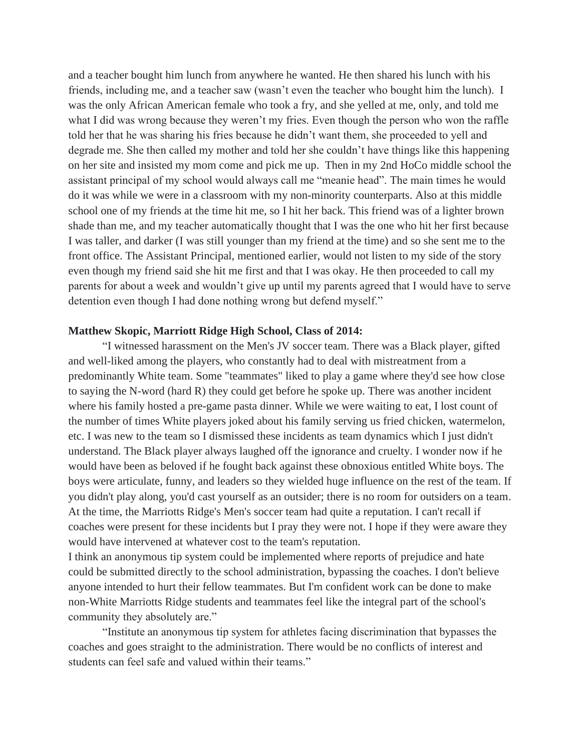and a teacher bought him lunch from anywhere he wanted. He then shared his lunch with his friends, including me, and a teacher saw (wasn't even the teacher who bought him the lunch). I was the only African American female who took a fry, and she yelled at me, only, and told me what I did was wrong because they weren't my fries. Even though the person who won the raffle told her that he was sharing his fries because he didn't want them, she proceeded to yell and degrade me. She then called my mother and told her she couldn't have things like this happening on her site and insisted my mom come and pick me up. Then in my 2nd HoCo middle school the assistant principal of my school would always call me "meanie head". The main times he would do it was while we were in a classroom with my non-minority counterparts. Also at this middle school one of my friends at the time hit me, so I hit her back. This friend was of a lighter brown shade than me, and my teacher automatically thought that I was the one who hit her first because I was taller, and darker (I was still younger than my friend at the time) and so she sent me to the front office. The Assistant Principal, mentioned earlier, would not listen to my side of the story even though my friend said she hit me first and that I was okay. He then proceeded to call my parents for about a week and wouldn't give up until my parents agreed that I would have to serve detention even though I had done nothing wrong but defend myself."

## **Matthew Skopic, Marriott Ridge High School, Class of 2014:**

"I witnessed harassment on the Men's JV soccer team. There was a Black player, gifted and well-liked among the players, who constantly had to deal with mistreatment from a predominantly White team. Some "teammates" liked to play a game where they'd see how close to saying the N-word (hard R) they could get before he spoke up. There was another incident where his family hosted a pre-game pasta dinner. While we were waiting to eat, I lost count of the number of times White players joked about his family serving us fried chicken, watermelon, etc. I was new to the team so I dismissed these incidents as team dynamics which I just didn't understand. The Black player always laughed off the ignorance and cruelty. I wonder now if he would have been as beloved if he fought back against these obnoxious entitled White boys. The boys were articulate, funny, and leaders so they wielded huge influence on the rest of the team. If you didn't play along, you'd cast yourself as an outsider; there is no room for outsiders on a team. At the time, the Marriotts Ridge's Men's soccer team had quite a reputation. I can't recall if coaches were present for these incidents but I pray they were not. I hope if they were aware they would have intervened at whatever cost to the team's reputation.

I think an anonymous tip system could be implemented where reports of prejudice and hate could be submitted directly to the school administration, bypassing the coaches. I don't believe anyone intended to hurt their fellow teammates. But I'm confident work can be done to make non-White Marriotts Ridge students and teammates feel like the integral part of the school's community they absolutely are."

"Institute an anonymous tip system for athletes facing discrimination that bypasses the coaches and goes straight to the administration. There would be no conflicts of interest and students can feel safe and valued within their teams."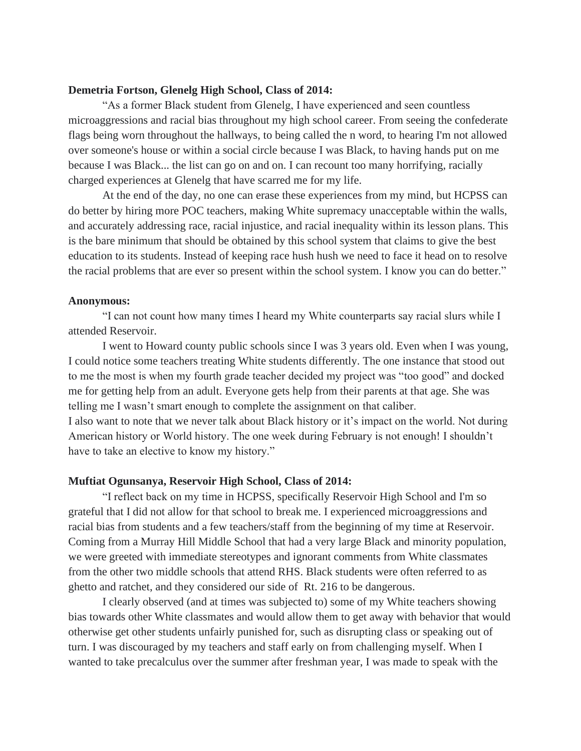## **Demetria Fortson, Glenelg High School, Class of 2014:**

"As a former Black student from Glenelg, I have experienced and seen countless microaggressions and racial bias throughout my high school career. From seeing the confederate flags being worn throughout the hallways, to being called the n word, to hearing I'm not allowed over someone's house or within a social circle because I was Black, to having hands put on me because I was Black... the list can go on and on. I can recount too many horrifying, racially charged experiences at Glenelg that have scarred me for my life.

At the end of the day, no one can erase these experiences from my mind, but HCPSS can do better by hiring more POC teachers, making White supremacy unacceptable within the walls, and accurately addressing race, racial injustice, and racial inequality within its lesson plans. This is the bare minimum that should be obtained by this school system that claims to give the best education to its students. Instead of keeping race hush hush we need to face it head on to resolve the racial problems that are ever so present within the school system. I know you can do better."

#### **Anonymous:**

"I can not count how many times I heard my White counterparts say racial slurs while I attended Reservoir.

I went to Howard county public schools since I was 3 years old. Even when I was young, I could notice some teachers treating White students differently. The one instance that stood out to me the most is when my fourth grade teacher decided my project was "too good" and docked me for getting help from an adult. Everyone gets help from their parents at that age. She was telling me I wasn't smart enough to complete the assignment on that caliber.

I also want to note that we never talk about Black history or it's impact on the world. Not during American history or World history. The one week during February is not enough! I shouldn't have to take an elective to know my history."

## **Muftiat Ogunsanya, Reservoir High School, Class of 2014:**

"I reflect back on my time in HCPSS, specifically Reservoir High School and I'm so grateful that I did not allow for that school to break me. I experienced microaggressions and racial bias from students and a few teachers/staff from the beginning of my time at Reservoir. Coming from a Murray Hill Middle School that had a very large Black and minority population, we were greeted with immediate stereotypes and ignorant comments from White classmates from the other two middle schools that attend RHS. Black students were often referred to as ghetto and ratchet, and they considered our side of Rt. 216 to be dangerous.

I clearly observed (and at times was subjected to) some of my White teachers showing bias towards other White classmates and would allow them to get away with behavior that would otherwise get other students unfairly punished for, such as disrupting class or speaking out of turn. I was discouraged by my teachers and staff early on from challenging myself. When I wanted to take precalculus over the summer after freshman year, I was made to speak with the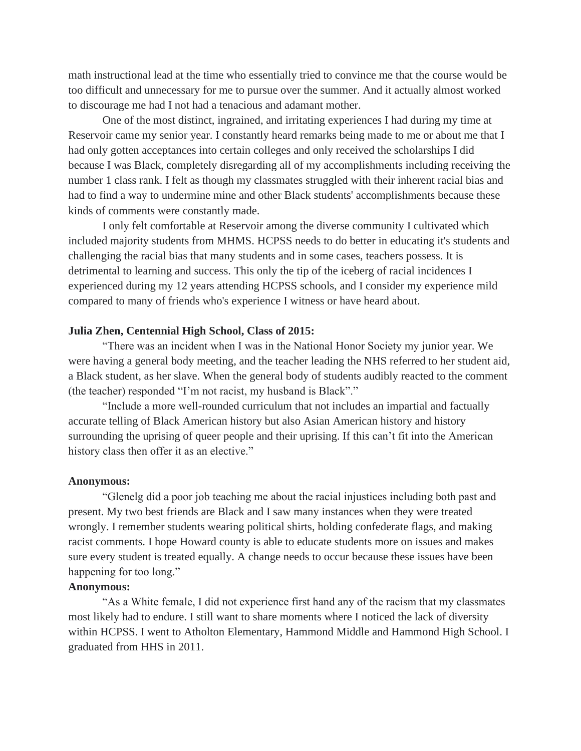math instructional lead at the time who essentially tried to convince me that the course would be too difficult and unnecessary for me to pursue over the summer. And it actually almost worked to discourage me had I not had a tenacious and adamant mother.

One of the most distinct, ingrained, and irritating experiences I had during my time at Reservoir came my senior year. I constantly heard remarks being made to me or about me that I had only gotten acceptances into certain colleges and only received the scholarships I did because I was Black, completely disregarding all of my accomplishments including receiving the number 1 class rank. I felt as though my classmates struggled with their inherent racial bias and had to find a way to undermine mine and other Black students' accomplishments because these kinds of comments were constantly made.

I only felt comfortable at Reservoir among the diverse community I cultivated which included majority students from MHMS. HCPSS needs to do better in educating it's students and challenging the racial bias that many students and in some cases, teachers possess. It is detrimental to learning and success. This only the tip of the iceberg of racial incidences I experienced during my 12 years attending HCPSS schools, and I consider my experience mild compared to many of friends who's experience I witness or have heard about.

### **Julia Zhen, Centennial High School, Class of 2015:**

"There was an incident when I was in the National Honor Society my junior year. We were having a general body meeting, and the teacher leading the NHS referred to her student aid, a Black student, as her slave. When the general body of students audibly reacted to the comment (the teacher) responded "I'm not racist, my husband is Black"."

"Include a more well-rounded curriculum that not includes an impartial and factually accurate telling of Black American history but also Asian American history and history surrounding the uprising of queer people and their uprising. If this can't fit into the American history class then offer it as an elective."

#### **Anonymous:**

"Glenelg did a poor job teaching me about the racial injustices including both past and present. My two best friends are Black and I saw many instances when they were treated wrongly. I remember students wearing political shirts, holding confederate flags, and making racist comments. I hope Howard county is able to educate students more on issues and makes sure every student is treated equally. A change needs to occur because these issues have been happening for too long."

# **Anonymous:**

"As a White female, I did not experience first hand any of the racism that my classmates most likely had to endure. I still want to share moments where I noticed the lack of diversity within HCPSS. I went to Atholton Elementary, Hammond Middle and Hammond High School. I graduated from HHS in 2011.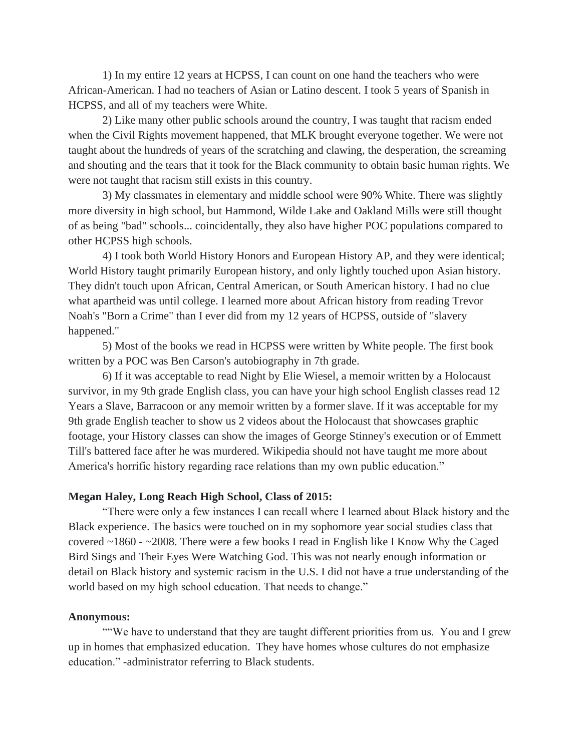1) In my entire 12 years at HCPSS, I can count on one hand the teachers who were African-American. I had no teachers of Asian or Latino descent. I took 5 years of Spanish in HCPSS, and all of my teachers were White.

2) Like many other public schools around the country, I was taught that racism ended when the Civil Rights movement happened, that MLK brought everyone together. We were not taught about the hundreds of years of the scratching and clawing, the desperation, the screaming and shouting and the tears that it took for the Black community to obtain basic human rights. We were not taught that racism still exists in this country.

3) My classmates in elementary and middle school were 90% White. There was slightly more diversity in high school, but Hammond, Wilde Lake and Oakland Mills were still thought of as being "bad" schools... coincidentally, they also have higher POC populations compared to other HCPSS high schools.

4) I took both World History Honors and European History AP, and they were identical; World History taught primarily European history, and only lightly touched upon Asian history. They didn't touch upon African, Central American, or South American history. I had no clue what apartheid was until college. I learned more about African history from reading Trevor Noah's "Born a Crime" than I ever did from my 12 years of HCPSS, outside of "slavery happened."

5) Most of the books we read in HCPSS were written by White people. The first book written by a POC was Ben Carson's autobiography in 7th grade.

6) If it was acceptable to read Night by Elie Wiesel, a memoir written by a Holocaust survivor, in my 9th grade English class, you can have your high school English classes read 12 Years a Slave, Barracoon or any memoir written by a former slave. If it was acceptable for my 9th grade English teacher to show us 2 videos about the Holocaust that showcases graphic footage, your History classes can show the images of George Stinney's execution or of Emmett Till's battered face after he was murdered. Wikipedia should not have taught me more about America's horrific history regarding race relations than my own public education."

## **Megan Haley, Long Reach High School, Class of 2015:**

"There were only a few instances I can recall where I learned about Black history and the Black experience. The basics were touched on in my sophomore year social studies class that covered ~1860 - ~2008. There were a few books I read in English like I Know Why the Caged Bird Sings and Their Eyes Were Watching God. This was not nearly enough information or detail on Black history and systemic racism in the U.S. I did not have a true understanding of the world based on my high school education. That needs to change."

### **Anonymous:**

""We have to understand that they are taught different priorities from us. You and I grew up in homes that emphasized education. They have homes whose cultures do not emphasize education." -administrator referring to Black students.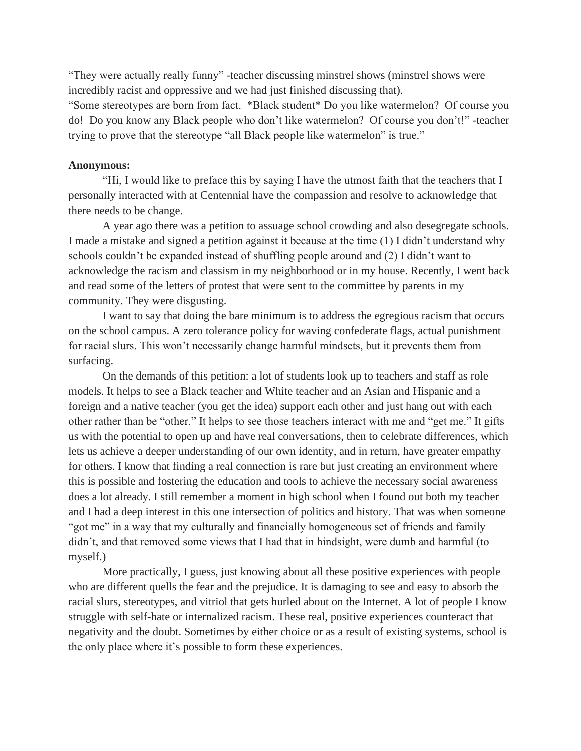"They were actually really funny" -teacher discussing minstrel shows (minstrel shows were incredibly racist and oppressive and we had just finished discussing that).

"Some stereotypes are born from fact. \*Black student\* Do you like watermelon? Of course you do! Do you know any Black people who don't like watermelon? Of course you don't!" -teacher trying to prove that the stereotype "all Black people like watermelon" is true."

#### **Anonymous:**

"Hi, I would like to preface this by saying I have the utmost faith that the teachers that I personally interacted with at Centennial have the compassion and resolve to acknowledge that there needs to be change.

A year ago there was a petition to assuage school crowding and also desegregate schools. I made a mistake and signed a petition against it because at the time (1) I didn't understand why schools couldn't be expanded instead of shuffling people around and (2) I didn't want to acknowledge the racism and classism in my neighborhood or in my house. Recently, I went back and read some of the letters of protest that were sent to the committee by parents in my community. They were disgusting.

I want to say that doing the bare minimum is to address the egregious racism that occurs on the school campus. A zero tolerance policy for waving confederate flags, actual punishment for racial slurs. This won't necessarily change harmful mindsets, but it prevents them from surfacing.

On the demands of this petition: a lot of students look up to teachers and staff as role models. It helps to see a Black teacher and White teacher and an Asian and Hispanic and a foreign and a native teacher (you get the idea) support each other and just hang out with each other rather than be "other." It helps to see those teachers interact with me and "get me." It gifts us with the potential to open up and have real conversations, then to celebrate differences, which lets us achieve a deeper understanding of our own identity, and in return, have greater empathy for others. I know that finding a real connection is rare but just creating an environment where this is possible and fostering the education and tools to achieve the necessary social awareness does a lot already. I still remember a moment in high school when I found out both my teacher and I had a deep interest in this one intersection of politics and history. That was when someone "got me" in a way that my culturally and financially homogeneous set of friends and family didn't, and that removed some views that I had that in hindsight, were dumb and harmful (to myself.)

More practically, I guess, just knowing about all these positive experiences with people who are different quells the fear and the prejudice. It is damaging to see and easy to absorb the racial slurs, stereotypes, and vitriol that gets hurled about on the Internet. A lot of people I know struggle with self-hate or internalized racism. These real, positive experiences counteract that negativity and the doubt. Sometimes by either choice or as a result of existing systems, school is the only place where it's possible to form these experiences.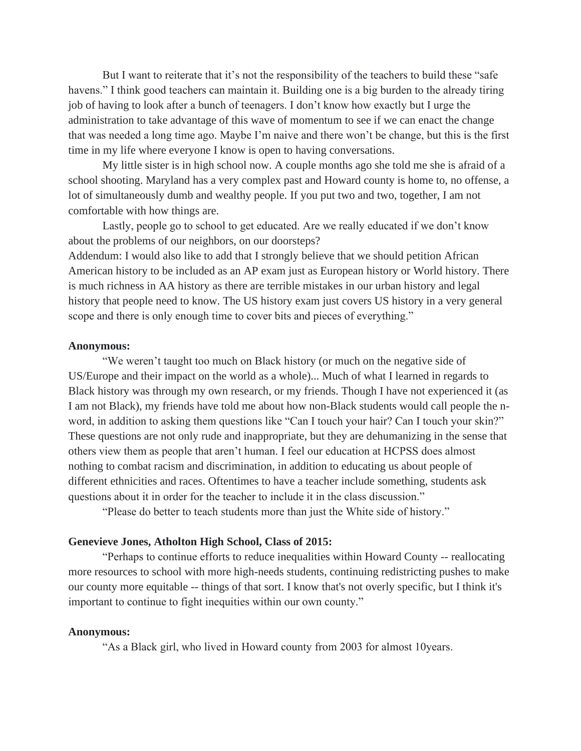But I want to reiterate that it's not the responsibility of the teachers to build these "safe havens." I think good teachers can maintain it. Building one is a big burden to the already tiring job of having to look after a bunch of teenagers. I don't know how exactly but I urge the administration to take advantage of this wave of momentum to see if we can enact the change that was needed a long time ago. Maybe I'm naive and there won't be change, but this is the first time in my life where everyone I know is open to having conversations.

My little sister is in high school now. A couple months ago she told me she is afraid of a school shooting. Maryland has a very complex past and Howard county is home to, no offense, a lot of simultaneously dumb and wealthy people. If you put two and two, together, I am not comfortable with how things are.

Lastly, people go to school to get educated. Are we really educated if we don't know about the problems of our neighbors, on our doorsteps?

Addendum: I would also like to add that I strongly believe that we should petition African American history to be included as an AP exam just as European history or World history. There is much richness in AA history as there are terrible mistakes in our urban history and legal history that people need to know. The US history exam just covers US history in a very general scope and there is only enough time to cover bits and pieces of everything."

#### **Anonymous:**

"We weren't taught too much on Black history (or much on the negative side of US/Europe and their impact on the world as a whole)... Much of what I learned in regards to Black history was through my own research, or my friends. Though I have not experienced it (as I am not Black), my friends have told me about how non-Black students would call people the nword, in addition to asking them questions like "Can I touch your hair? Can I touch your skin?" These questions are not only rude and inappropriate, but they are dehumanizing in the sense that others view them as people that aren't human. I feel our education at HCPSS does almost nothing to combat racism and discrimination, in addition to educating us about people of different ethnicities and races. Oftentimes to have a teacher include something, students ask questions about it in order for the teacher to include it in the class discussion."

"Please do better to teach students more than just the White side of history."

## **Genevieve Jones, Atholton High School, Class of 2015:**

"Perhaps to continue efforts to reduce inequalities within Howard County -- reallocating more resources to school with more high-needs students, continuing redistricting pushes to make our county more equitable -- things of that sort. I know that's not overly specific, but I think it's important to continue to fight inequities within our own county."

### **Anonymous:**

"As a Black girl, who lived in Howard county from 2003 for almost 10years.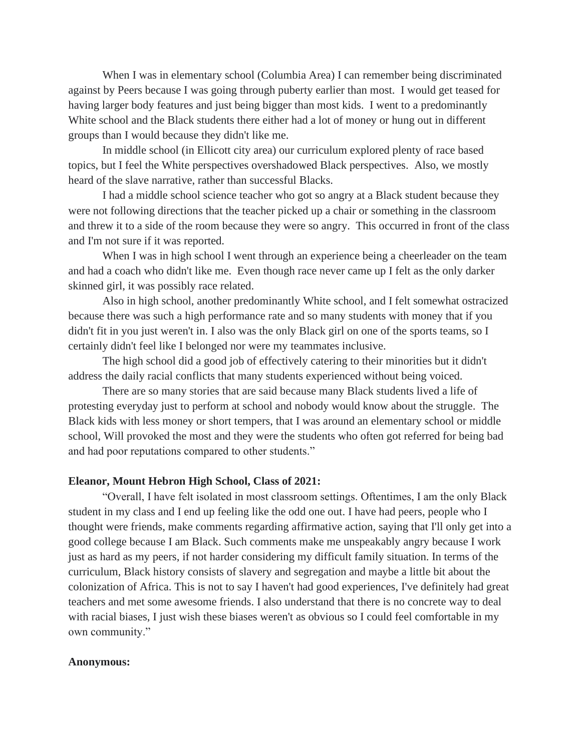When I was in elementary school (Columbia Area) I can remember being discriminated against by Peers because I was going through puberty earlier than most. I would get teased for having larger body features and just being bigger than most kids. I went to a predominantly White school and the Black students there either had a lot of money or hung out in different groups than I would because they didn't like me.

In middle school (in Ellicott city area) our curriculum explored plenty of race based topics, but I feel the White perspectives overshadowed Black perspectives. Also, we mostly heard of the slave narrative, rather than successful Blacks.

I had a middle school science teacher who got so angry at a Black student because they were not following directions that the teacher picked up a chair or something in the classroom and threw it to a side of the room because they were so angry. This occurred in front of the class and I'm not sure if it was reported.

When I was in high school I went through an experience being a cheerleader on the team and had a coach who didn't like me. Even though race never came up I felt as the only darker skinned girl, it was possibly race related.

Also in high school, another predominantly White school, and I felt somewhat ostracized because there was such a high performance rate and so many students with money that if you didn't fit in you just weren't in. I also was the only Black girl on one of the sports teams, so I certainly didn't feel like I belonged nor were my teammates inclusive.

The high school did a good job of effectively catering to their minorities but it didn't address the daily racial conflicts that many students experienced without being voiced.

There are so many stories that are said because many Black students lived a life of protesting everyday just to perform at school and nobody would know about the struggle. The Black kids with less money or short tempers, that I was around an elementary school or middle school, Will provoked the most and they were the students who often got referred for being bad and had poor reputations compared to other students."

## **Eleanor, Mount Hebron High School, Class of 2021:**

"Overall, I have felt isolated in most classroom settings. Oftentimes, I am the only Black student in my class and I end up feeling like the odd one out. I have had peers, people who I thought were friends, make comments regarding affirmative action, saying that I'll only get into a good college because I am Black. Such comments make me unspeakably angry because I work just as hard as my peers, if not harder considering my difficult family situation. In terms of the curriculum, Black history consists of slavery and segregation and maybe a little bit about the colonization of Africa. This is not to say I haven't had good experiences, I've definitely had great teachers and met some awesome friends. I also understand that there is no concrete way to deal with racial biases, I just wish these biases weren't as obvious so I could feel comfortable in my own community."

## **Anonymous:**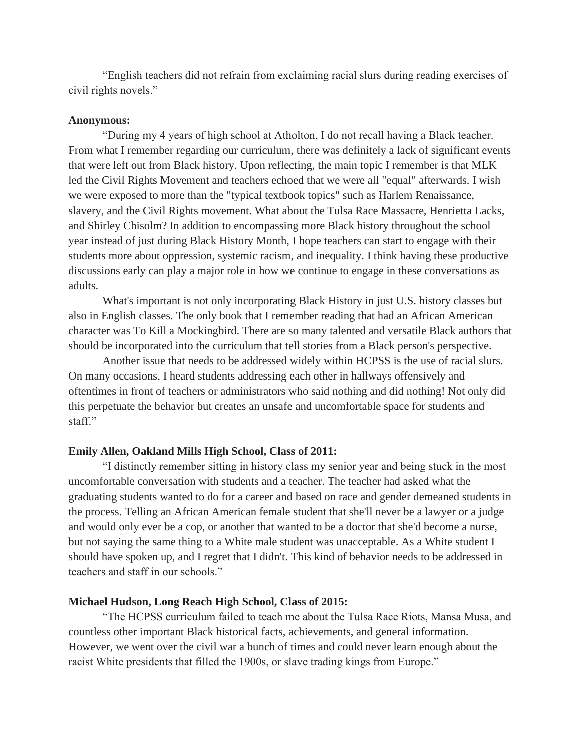"English teachers did not refrain from exclaiming racial slurs during reading exercises of civil rights novels."

#### **Anonymous:**

"During my 4 years of high school at Atholton, I do not recall having a Black teacher. From what I remember regarding our curriculum, there was definitely a lack of significant events that were left out from Black history. Upon reflecting, the main topic I remember is that MLK led the Civil Rights Movement and teachers echoed that we were all "equal" afterwards. I wish we were exposed to more than the "typical textbook topics" such as Harlem Renaissance, slavery, and the Civil Rights movement. What about the Tulsa Race Massacre, Henrietta Lacks, and Shirley Chisolm? In addition to encompassing more Black history throughout the school year instead of just during Black History Month, I hope teachers can start to engage with their students more about oppression, systemic racism, and inequality. I think having these productive discussions early can play a major role in how we continue to engage in these conversations as adults.

What's important is not only incorporating Black History in just U.S. history classes but also in English classes. The only book that I remember reading that had an African American character was To Kill a Mockingbird. There are so many talented and versatile Black authors that should be incorporated into the curriculum that tell stories from a Black person's perspective.

Another issue that needs to be addressed widely within HCPSS is the use of racial slurs. On many occasions, I heard students addressing each other in hallways offensively and oftentimes in front of teachers or administrators who said nothing and did nothing! Not only did this perpetuate the behavior but creates an unsafe and uncomfortable space for students and staff."

### **Emily Allen, Oakland Mills High School, Class of 2011:**

"I distinctly remember sitting in history class my senior year and being stuck in the most uncomfortable conversation with students and a teacher. The teacher had asked what the graduating students wanted to do for a career and based on race and gender demeaned students in the process. Telling an African American female student that she'll never be a lawyer or a judge and would only ever be a cop, or another that wanted to be a doctor that she'd become a nurse, but not saying the same thing to a White male student was unacceptable. As a White student I should have spoken up, and I regret that I didn't. This kind of behavior needs to be addressed in teachers and staff in our schools."

## **Michael Hudson, Long Reach High School, Class of 2015:**

"The HCPSS curriculum failed to teach me about the Tulsa Race Riots, Mansa Musa, and countless other important Black historical facts, achievements, and general information. However, we went over the civil war a bunch of times and could never learn enough about the racist White presidents that filled the 1900s, or slave trading kings from Europe."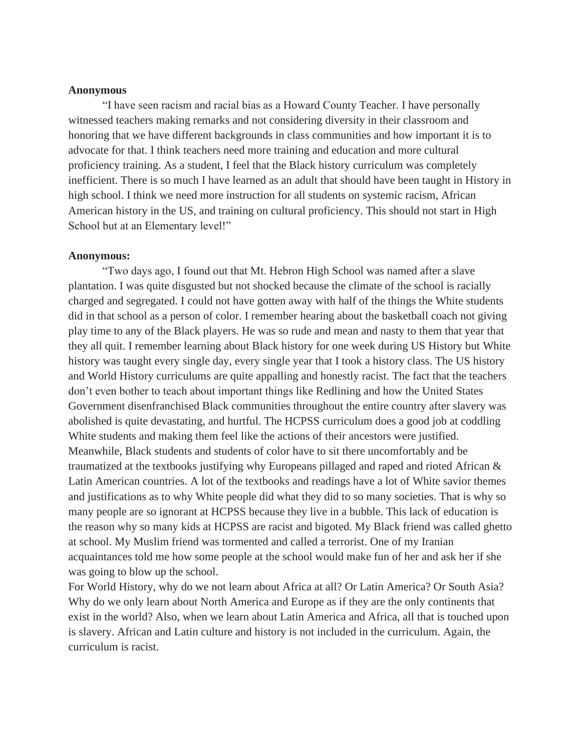## **Anonymous**

"I have seen racism and racial bias as a Howard County Teacher. I have personally witnessed teachers making remarks and not considering diversity in their classroom and honoring that we have different backgrounds in class communities and how important it is to advocate for that. I think teachers need more training and education and more cultural proficiency training. As a student, I feel that the Black history curriculum was completely inefficient. There is so much I have learned as an adult that should have been taught in History in high school. I think we need more instruction for all students on systemic racism, African American history in the US, and training on cultural proficiency. This should not start in High School but at an Elementary level!"

## **Anonymous:**

"Two days ago, I found out that Mt. Hebron High School was named after a slave plantation. I was quite disgusted but not shocked because the climate of the school is racially charged and segregated. I could not have gotten away with half of the things the White students did in that school as a person of color. I remember hearing about the basketball coach not giving play time to any of the Black players. He was so rude and mean and nasty to them that year that they all quit. I remember learning about Black history for one week during US History but White history was taught every single day, every single year that I took a history class. The US history and World History curriculums are quite appalling and honestly racist. The fact that the teachers don't even bother to teach about important things like Redlining and how the United States Government disenfranchised Black communities throughout the entire country after slavery was abolished is quite devastating, and hurtful. The HCPSS curriculum does a good job at coddling White students and making them feel like the actions of their ancestors were justified. Meanwhile, Black students and students of color have to sit there uncomfortably and be traumatized at the textbooks justifying why Europeans pillaged and raped and rioted African & Latin American countries. A lot of the textbooks and readings have a lot of White savior themes and justifications as to why White people did what they did to so many societies. That is why so many people are so ignorant at HCPSS because they live in a bubble. This lack of education is the reason why so many kids at HCPSS are racist and bigoted. My Black friend was called ghetto at school. My Muslim friend was tormented and called a terrorist. One of my Iranian acquaintances told me how some people at the school would make fun of her and ask her if she was going to blow up the school.

For World History, why do we not learn about Africa at all? Or Latin America? Or South Asia? Why do we only learn about North America and Europe as if they are the only continents that exist in the world? Also, when we learn about Latin America and Africa, all that is touched upon is slavery. African and Latin culture and history is not included in the curriculum. Again, the curriculum is racist.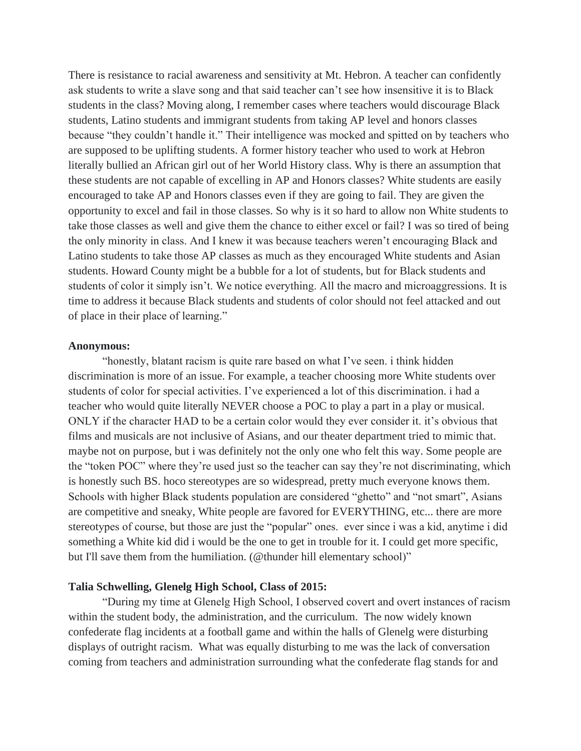There is resistance to racial awareness and sensitivity at Mt. Hebron. A teacher can confidently ask students to write a slave song and that said teacher can't see how insensitive it is to Black students in the class? Moving along, I remember cases where teachers would discourage Black students, Latino students and immigrant students from taking AP level and honors classes because "they couldn't handle it." Their intelligence was mocked and spitted on by teachers who are supposed to be uplifting students. A former history teacher who used to work at Hebron literally bullied an African girl out of her World History class. Why is there an assumption that these students are not capable of excelling in AP and Honors classes? White students are easily encouraged to take AP and Honors classes even if they are going to fail. They are given the opportunity to excel and fail in those classes. So why is it so hard to allow non White students to take those classes as well and give them the chance to either excel or fail? I was so tired of being the only minority in class. And I knew it was because teachers weren't encouraging Black and Latino students to take those AP classes as much as they encouraged White students and Asian students. Howard County might be a bubble for a lot of students, but for Black students and students of color it simply isn't. We notice everything. All the macro and microaggressions. It is time to address it because Black students and students of color should not feel attacked and out of place in their place of learning."

### **Anonymous:**

"honestly, blatant racism is quite rare based on what I've seen. i think hidden discrimination is more of an issue. For example, a teacher choosing more White students over students of color for special activities. I've experienced a lot of this discrimination. i had a teacher who would quite literally NEVER choose a POC to play a part in a play or musical. ONLY if the character HAD to be a certain color would they ever consider it. it's obvious that films and musicals are not inclusive of Asians, and our theater department tried to mimic that. maybe not on purpose, but i was definitely not the only one who felt this way. Some people are the "token POC" where they're used just so the teacher can say they're not discriminating, which is honestly such BS. hoco stereotypes are so widespread, pretty much everyone knows them. Schools with higher Black students population are considered "ghetto" and "not smart", Asians are competitive and sneaky, White people are favored for EVERYTHING, etc... there are more stereotypes of course, but those are just the "popular" ones. ever since i was a kid, anytime i did something a White kid did i would be the one to get in trouble for it. I could get more specific, but I'll save them from the humiliation. (@thunder hill elementary school)"

# **Talia Schwelling, Glenelg High School, Class of 2015:**

"During my time at Glenelg High School, I observed covert and overt instances of racism within the student body, the administration, and the curriculum. The now widely known confederate flag incidents at a football game and within the halls of Glenelg were disturbing displays of outright racism. What was equally disturbing to me was the lack of conversation coming from teachers and administration surrounding what the confederate flag stands for and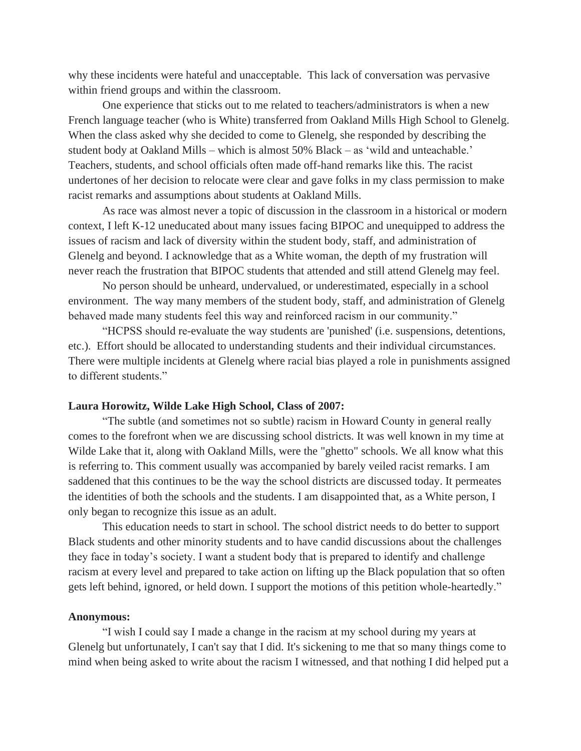why these incidents were hateful and unacceptable. This lack of conversation was pervasive within friend groups and within the classroom.

One experience that sticks out to me related to teachers/administrators is when a new French language teacher (who is White) transferred from Oakland Mills High School to Glenelg. When the class asked why she decided to come to Glenelg, she responded by describing the student body at Oakland Mills – which is almost 50% Black – as 'wild and unteachable.' Teachers, students, and school officials often made off-hand remarks like this. The racist undertones of her decision to relocate were clear and gave folks in my class permission to make racist remarks and assumptions about students at Oakland Mills.

As race was almost never a topic of discussion in the classroom in a historical or modern context, I left K-12 uneducated about many issues facing BIPOC and unequipped to address the issues of racism and lack of diversity within the student body, staff, and administration of Glenelg and beyond. I acknowledge that as a White woman, the depth of my frustration will never reach the frustration that BIPOC students that attended and still attend Glenelg may feel.

No person should be unheard, undervalued, or underestimated, especially in a school environment. The way many members of the student body, staff, and administration of Glenelg behaved made many students feel this way and reinforced racism in our community."

"HCPSS should re-evaluate the way students are 'punished' (i.e. suspensions, detentions, etc.). Effort should be allocated to understanding students and their individual circumstances. There were multiple incidents at Glenelg where racial bias played a role in punishments assigned to different students."

#### **Laura Horowitz, Wilde Lake High School, Class of 2007:**

"The subtle (and sometimes not so subtle) racism in Howard County in general really comes to the forefront when we are discussing school districts. It was well known in my time at Wilde Lake that it, along with Oakland Mills, were the "ghetto" schools. We all know what this is referring to. This comment usually was accompanied by barely veiled racist remarks. I am saddened that this continues to be the way the school districts are discussed today. It permeates the identities of both the schools and the students. I am disappointed that, as a White person, I only began to recognize this issue as an adult.

This education needs to start in school. The school district needs to do better to support Black students and other minority students and to have candid discussions about the challenges they face in today's society. I want a student body that is prepared to identify and challenge racism at every level and prepared to take action on lifting up the Black population that so often gets left behind, ignored, or held down. I support the motions of this petition whole-heartedly."

#### **Anonymous:**

"I wish I could say I made a change in the racism at my school during my years at Glenelg but unfortunately, I can't say that I did. It's sickening to me that so many things come to mind when being asked to write about the racism I witnessed, and that nothing I did helped put a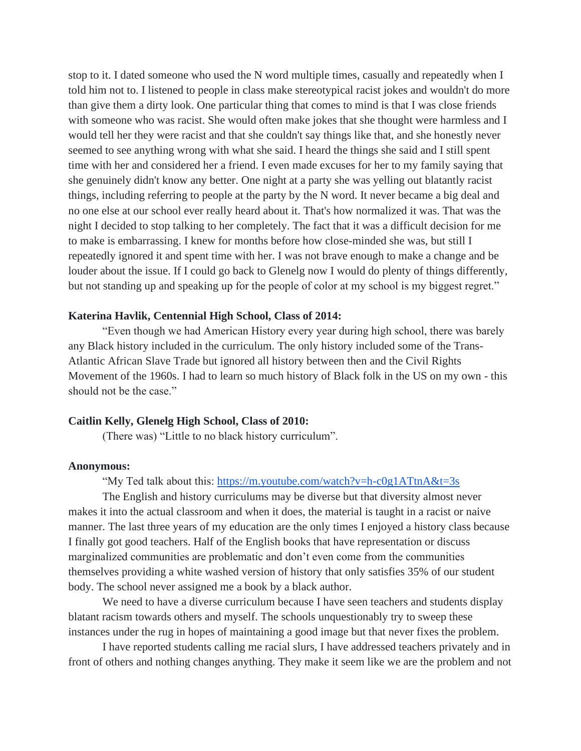stop to it. I dated someone who used the N word multiple times, casually and repeatedly when I told him not to. I listened to people in class make stereotypical racist jokes and wouldn't do more than give them a dirty look. One particular thing that comes to mind is that I was close friends with someone who was racist. She would often make jokes that she thought were harmless and I would tell her they were racist and that she couldn't say things like that, and she honestly never seemed to see anything wrong with what she said. I heard the things she said and I still spent time with her and considered her a friend. I even made excuses for her to my family saying that she genuinely didn't know any better. One night at a party she was yelling out blatantly racist things, including referring to people at the party by the N word. It never became a big deal and no one else at our school ever really heard about it. That's how normalized it was. That was the night I decided to stop talking to her completely. The fact that it was a difficult decision for me to make is embarrassing. I knew for months before how close-minded she was, but still I repeatedly ignored it and spent time with her. I was not brave enough to make a change and be louder about the issue. If I could go back to Glenelg now I would do plenty of things differently, but not standing up and speaking up for the people of color at my school is my biggest regret."

## **Katerina Havlik, Centennial High School, Class of 2014:**

"Even though we had American History every year during high school, there was barely any Black history included in the curriculum. The only history included some of the Trans-Atlantic African Slave Trade but ignored all history between then and the Civil Rights Movement of the 1960s. I had to learn so much history of Black folk in the US on my own - this should not be the case."

### **Caitlin Kelly, Glenelg High School, Class of 2010:**

(There was) "Little to no black history curriculum".

## **Anonymous:**

"My Ted talk about this:<https://m.youtube.com/watch?v=h-c0g1ATtnA&t=3s>

The English and history curriculums may be diverse but that diversity almost never makes it into the actual classroom and when it does, the material is taught in a racist or naive manner. The last three years of my education are the only times I enjoyed a history class because I finally got good teachers. Half of the English books that have representation or discuss marginalized communities are problematic and don't even come from the communities themselves providing a white washed version of history that only satisfies 35% of our student body. The school never assigned me a book by a black author.

We need to have a diverse curriculum because I have seen teachers and students display blatant racism towards others and myself. The schools unquestionably try to sweep these instances under the rug in hopes of maintaining a good image but that never fixes the problem.

I have reported students calling me racial slurs, I have addressed teachers privately and in front of others and nothing changes anything. They make it seem like we are the problem and not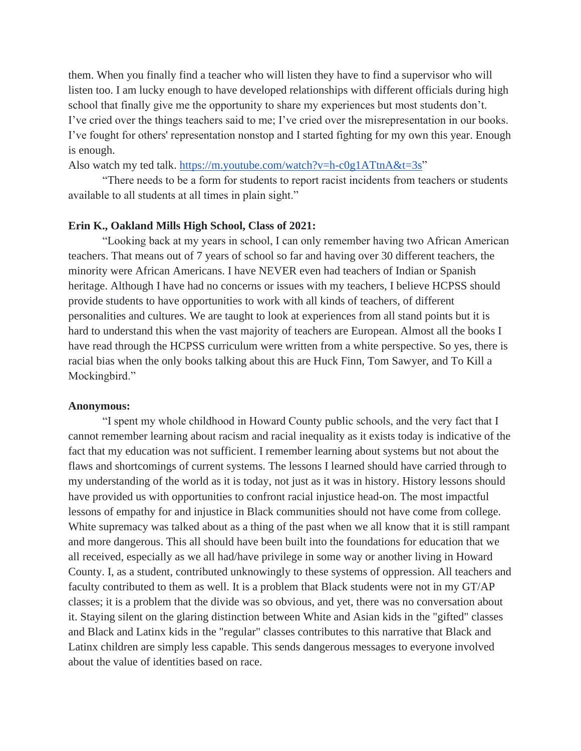them. When you finally find a teacher who will listen they have to find a supervisor who will listen too. I am lucky enough to have developed relationships with different officials during high school that finally give me the opportunity to share my experiences but most students don't. I've cried over the things teachers said to me; I've cried over the misrepresentation in our books. I've fought for others' representation nonstop and I started fighting for my own this year. Enough is enough.

Also watch my ted talk. [https://m.youtube.com/watch?v=h-c0g1ATtnA&t=3s"](https://m.youtube.com/watch?v=h-c0g1ATtnA&t=3s)

"There needs to be a form for students to report racist incidents from teachers or students available to all students at all times in plain sight."

# **Erin K., Oakland Mills High School, Class of 2021:**

"Looking back at my years in school, I can only remember having two African American teachers. That means out of 7 years of school so far and having over 30 different teachers, the minority were African Americans. I have NEVER even had teachers of Indian or Spanish heritage. Although I have had no concerns or issues with my teachers, I believe HCPSS should provide students to have opportunities to work with all kinds of teachers, of different personalities and cultures. We are taught to look at experiences from all stand points but it is hard to understand this when the vast majority of teachers are European. Almost all the books I have read through the HCPSS curriculum were written from a white perspective. So yes, there is racial bias when the only books talking about this are Huck Finn, Tom Sawyer, and To Kill a Mockingbird."

### **Anonymous:**

"I spent my whole childhood in Howard County public schools, and the very fact that I cannot remember learning about racism and racial inequality as it exists today is indicative of the fact that my education was not sufficient. I remember learning about systems but not about the flaws and shortcomings of current systems. The lessons I learned should have carried through to my understanding of the world as it is today, not just as it was in history. History lessons should have provided us with opportunities to confront racial injustice head-on. The most impactful lessons of empathy for and injustice in Black communities should not have come from college. White supremacy was talked about as a thing of the past when we all know that it is still rampant and more dangerous. This all should have been built into the foundations for education that we all received, especially as we all had/have privilege in some way or another living in Howard County. I, as a student, contributed unknowingly to these systems of oppression. All teachers and faculty contributed to them as well. It is a problem that Black students were not in my GT/AP classes; it is a problem that the divide was so obvious, and yet, there was no conversation about it. Staying silent on the glaring distinction between White and Asian kids in the "gifted" classes and Black and Latinx kids in the "regular" classes contributes to this narrative that Black and Latinx children are simply less capable. This sends dangerous messages to everyone involved about the value of identities based on race.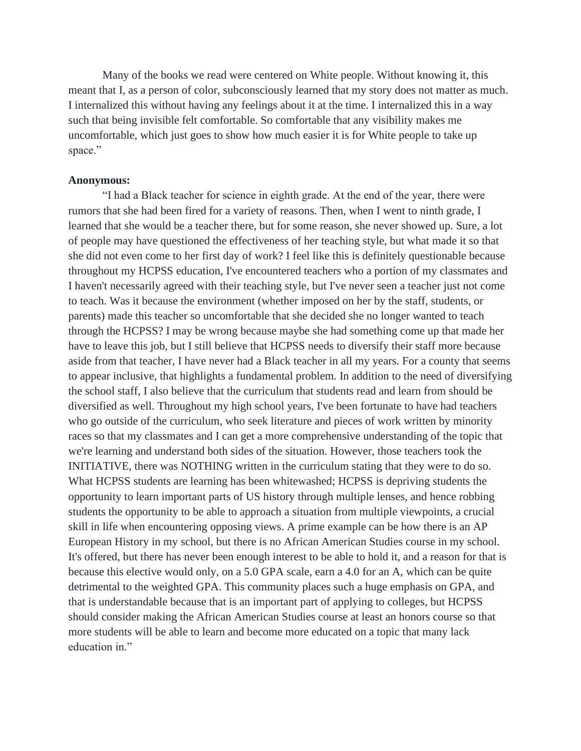Many of the books we read were centered on White people. Without knowing it, this meant that I, as a person of color, subconsciously learned that my story does not matter as much. I internalized this without having any feelings about it at the time. I internalized this in a way such that being invisible felt comfortable. So comfortable that any visibility makes me uncomfortable, which just goes to show how much easier it is for White people to take up space."

### **Anonymous:**

"I had a Black teacher for science in eighth grade. At the end of the year, there were rumors that she had been fired for a variety of reasons. Then, when I went to ninth grade, I learned that she would be a teacher there, but for some reason, she never showed up. Sure, a lot of people may have questioned the effectiveness of her teaching style, but what made it so that she did not even come to her first day of work? I feel like this is definitely questionable because throughout my HCPSS education, I've encountered teachers who a portion of my classmates and I haven't necessarily agreed with their teaching style, but I've never seen a teacher just not come to teach. Was it because the environment (whether imposed on her by the staff, students, or parents) made this teacher so uncomfortable that she decided she no longer wanted to teach through the HCPSS? I may be wrong because maybe she had something come up that made her have to leave this job, but I still believe that HCPSS needs to diversify their staff more because aside from that teacher, I have never had a Black teacher in all my years. For a county that seems to appear inclusive, that highlights a fundamental problem. In addition to the need of diversifying the school staff, I also believe that the curriculum that students read and learn from should be diversified as well. Throughout my high school years, I've been fortunate to have had teachers who go outside of the curriculum, who seek literature and pieces of work written by minority races so that my classmates and I can get a more comprehensive understanding of the topic that we're learning and understand both sides of the situation. However, those teachers took the INITIATIVE, there was NOTHING written in the curriculum stating that they were to do so. What HCPSS students are learning has been whitewashed; HCPSS is depriving students the opportunity to learn important parts of US history through multiple lenses, and hence robbing students the opportunity to be able to approach a situation from multiple viewpoints, a crucial skill in life when encountering opposing views. A prime example can be how there is an AP European History in my school, but there is no African American Studies course in my school. It's offered, but there has never been enough interest to be able to hold it, and a reason for that is because this elective would only, on a 5.0 GPA scale, earn a 4.0 for an A, which can be quite detrimental to the weighted GPA. This community places such a huge emphasis on GPA, and that is understandable because that is an important part of applying to colleges, but HCPSS should consider making the African American Studies course at least an honors course so that more students will be able to learn and become more educated on a topic that many lack education in."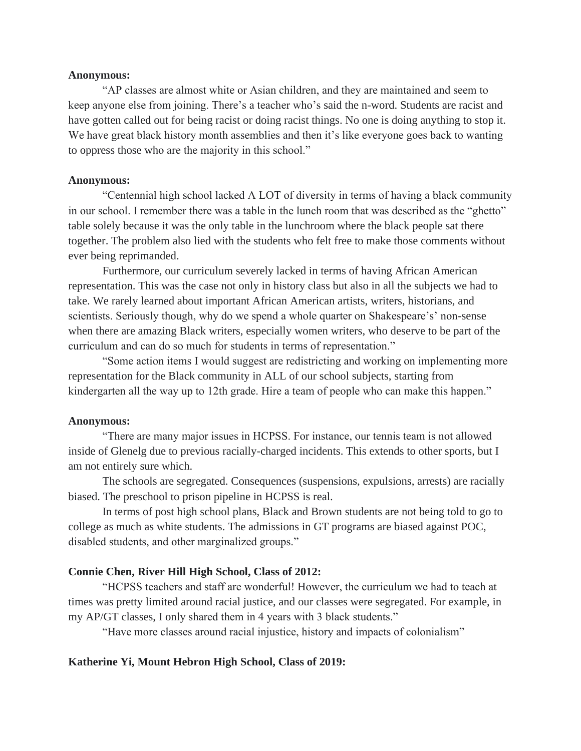### **Anonymous:**

"AP classes are almost white or Asian children, and they are maintained and seem to keep anyone else from joining. There's a teacher who's said the n-word. Students are racist and have gotten called out for being racist or doing racist things. No one is doing anything to stop it. We have great black history month assemblies and then it's like everyone goes back to wanting to oppress those who are the majority in this school."

### **Anonymous:**

"Centennial high school lacked A LOT of diversity in terms of having a black community in our school. I remember there was a table in the lunch room that was described as the "ghetto" table solely because it was the only table in the lunchroom where the black people sat there together. The problem also lied with the students who felt free to make those comments without ever being reprimanded.

Furthermore, our curriculum severely lacked in terms of having African American representation. This was the case not only in history class but also in all the subjects we had to take. We rarely learned about important African American artists, writers, historians, and scientists. Seriously though, why do we spend a whole quarter on Shakespeare's' non-sense when there are amazing Black writers, especially women writers, who deserve to be part of the curriculum and can do so much for students in terms of representation."

"Some action items I would suggest are redistricting and working on implementing more representation for the Black community in ALL of our school subjects, starting from kindergarten all the way up to 12th grade. Hire a team of people who can make this happen."

# **Anonymous:**

"There are many major issues in HCPSS. For instance, our tennis team is not allowed inside of Glenelg due to previous racially-charged incidents. This extends to other sports, but I am not entirely sure which.

The schools are segregated. Consequences (suspensions, expulsions, arrests) are racially biased. The preschool to prison pipeline in HCPSS is real.

In terms of post high school plans, Black and Brown students are not being told to go to college as much as white students. The admissions in GT programs are biased against POC, disabled students, and other marginalized groups."

## **Connie Chen, River Hill High School, Class of 2012:**

"HCPSS teachers and staff are wonderful! However, the curriculum we had to teach at times was pretty limited around racial justice, and our classes were segregated. For example, in my AP/GT classes, I only shared them in 4 years with 3 black students."

"Have more classes around racial injustice, history and impacts of colonialism"

### **Katherine Yi, Mount Hebron High School, Class of 2019:**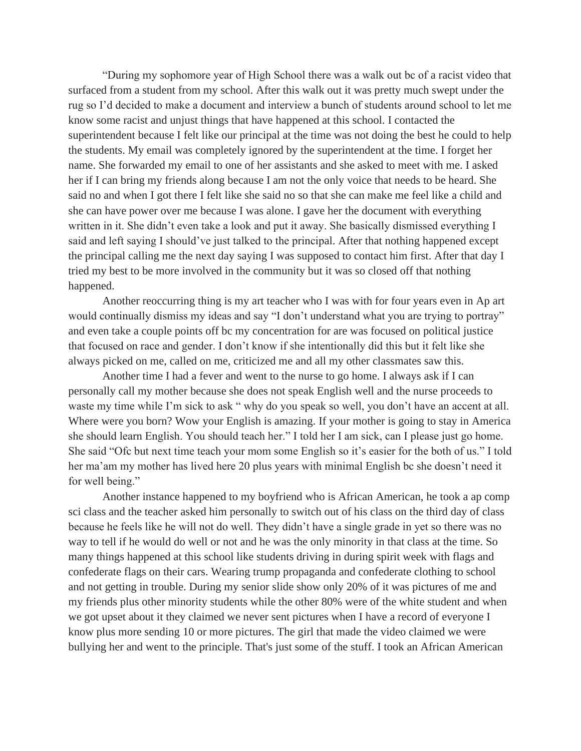"During my sophomore year of High School there was a walk out bc of a racist video that surfaced from a student from my school. After this walk out it was pretty much swept under the rug so I'd decided to make a document and interview a bunch of students around school to let me know some racist and unjust things that have happened at this school. I contacted the superintendent because I felt like our principal at the time was not doing the best he could to help the students. My email was completely ignored by the superintendent at the time. I forget her name. She forwarded my email to one of her assistants and she asked to meet with me. I asked her if I can bring my friends along because I am not the only voice that needs to be heard. She said no and when I got there I felt like she said no so that she can make me feel like a child and she can have power over me because I was alone. I gave her the document with everything written in it. She didn't even take a look and put it away. She basically dismissed everything I said and left saying I should've just talked to the principal. After that nothing happened except the principal calling me the next day saying I was supposed to contact him first. After that day I tried my best to be more involved in the community but it was so closed off that nothing happened.

Another reoccurring thing is my art teacher who I was with for four years even in Ap art would continually dismiss my ideas and say "I don't understand what you are trying to portray" and even take a couple points off bc my concentration for are was focused on political justice that focused on race and gender. I don't know if she intentionally did this but it felt like she always picked on me, called on me, criticized me and all my other classmates saw this.

Another time I had a fever and went to the nurse to go home. I always ask if I can personally call my mother because she does not speak English well and the nurse proceeds to waste my time while I'm sick to ask " why do you speak so well, you don't have an accent at all. Where were you born? Wow your English is amazing. If your mother is going to stay in America she should learn English. You should teach her." I told her I am sick, can I please just go home. She said "Ofc but next time teach your mom some English so it's easier for the both of us." I told her ma'am my mother has lived here 20 plus years with minimal English bc she doesn't need it for well being."

Another instance happened to my boyfriend who is African American, he took a ap comp sci class and the teacher asked him personally to switch out of his class on the third day of class because he feels like he will not do well. They didn't have a single grade in yet so there was no way to tell if he would do well or not and he was the only minority in that class at the time. So many things happened at this school like students driving in during spirit week with flags and confederate flags on their cars. Wearing trump propaganda and confederate clothing to school and not getting in trouble. During my senior slide show only 20% of it was pictures of me and my friends plus other minority students while the other 80% were of the white student and when we got upset about it they claimed we never sent pictures when I have a record of everyone I know plus more sending 10 or more pictures. The girl that made the video claimed we were bullying her and went to the principle. That's just some of the stuff. I took an African American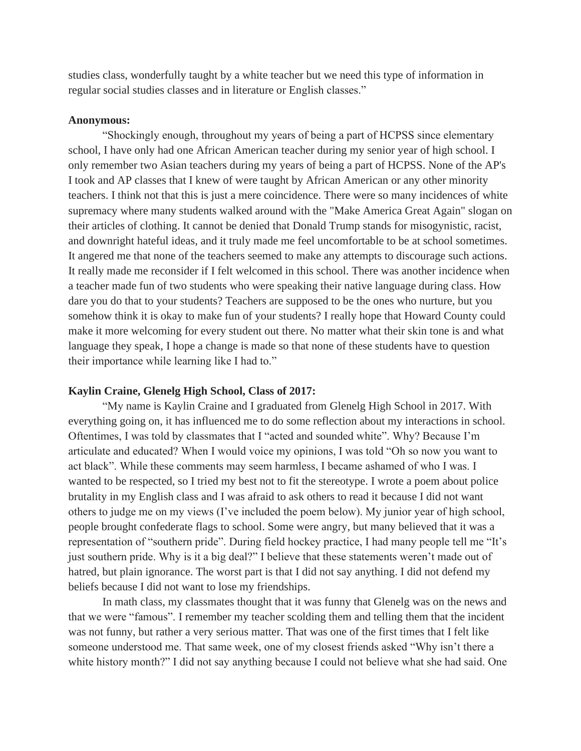studies class, wonderfully taught by a white teacher but we need this type of information in regular social studies classes and in literature or English classes."

## **Anonymous:**

"Shockingly enough, throughout my years of being a part of HCPSS since elementary school, I have only had one African American teacher during my senior year of high school. I only remember two Asian teachers during my years of being a part of HCPSS. None of the AP's I took and AP classes that I knew of were taught by African American or any other minority teachers. I think not that this is just a mere coincidence. There were so many incidences of white supremacy where many students walked around with the "Make America Great Again" slogan on their articles of clothing. It cannot be denied that Donald Trump stands for misogynistic, racist, and downright hateful ideas, and it truly made me feel uncomfortable to be at school sometimes. It angered me that none of the teachers seemed to make any attempts to discourage such actions. It really made me reconsider if I felt welcomed in this school. There was another incidence when a teacher made fun of two students who were speaking their native language during class. How dare you do that to your students? Teachers are supposed to be the ones who nurture, but you somehow think it is okay to make fun of your students? I really hope that Howard County could make it more welcoming for every student out there. No matter what their skin tone is and what language they speak, I hope a change is made so that none of these students have to question their importance while learning like I had to."

## **Kaylin Craine, Glenelg High School, Class of 2017:**

"My name is Kaylin Craine and I graduated from Glenelg High School in 2017. With everything going on, it has influenced me to do some reflection about my interactions in school. Oftentimes, I was told by classmates that I "acted and sounded white". Why? Because I'm articulate and educated? When I would voice my opinions, I was told "Oh so now you want to act black". While these comments may seem harmless, I became ashamed of who I was. I wanted to be respected, so I tried my best not to fit the stereotype. I wrote a poem about police brutality in my English class and I was afraid to ask others to read it because I did not want others to judge me on my views (I've included the poem below). My junior year of high school, people brought confederate flags to school. Some were angry, but many believed that it was a representation of "southern pride". During field hockey practice, I had many people tell me "It's just southern pride. Why is it a big deal?" I believe that these statements weren't made out of hatred, but plain ignorance. The worst part is that I did not say anything. I did not defend my beliefs because I did not want to lose my friendships.

In math class, my classmates thought that it was funny that Glenelg was on the news and that we were "famous". I remember my teacher scolding them and telling them that the incident was not funny, but rather a very serious matter. That was one of the first times that I felt like someone understood me. That same week, one of my closest friends asked "Why isn't there a white history month?" I did not say anything because I could not believe what she had said. One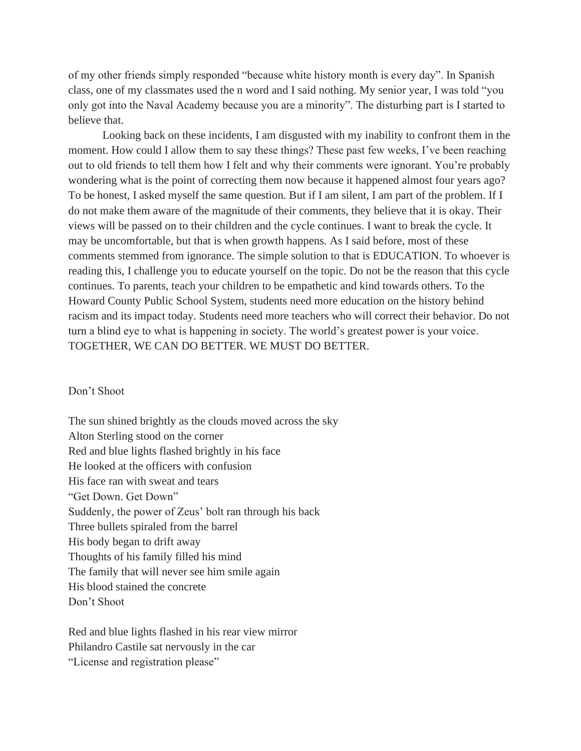of my other friends simply responded "because white history month is every day". In Spanish class, one of my classmates used the n word and I said nothing. My senior year, I was told "you only got into the Naval Academy because you are a minority". The disturbing part is I started to believe that.

Looking back on these incidents, I am disgusted with my inability to confront them in the moment. How could I allow them to say these things? These past few weeks, I've been reaching out to old friends to tell them how I felt and why their comments were ignorant. You're probably wondering what is the point of correcting them now because it happened almost four years ago? To be honest, I asked myself the same question. But if I am silent, I am part of the problem. If I do not make them aware of the magnitude of their comments, they believe that it is okay. Their views will be passed on to their children and the cycle continues. I want to break the cycle. It may be uncomfortable, but that is when growth happens. As I said before, most of these comments stemmed from ignorance. The simple solution to that is EDUCATION. To whoever is reading this, I challenge you to educate yourself on the topic. Do not be the reason that this cycle continues. To parents, teach your children to be empathetic and kind towards others. To the Howard County Public School System, students need more education on the history behind racism and its impact today. Students need more teachers who will correct their behavior. Do not turn a blind eye to what is happening in society. The world's greatest power is your voice. TOGETHER, WE CAN DO BETTER. WE MUST DO BETTER.

## Don't Shoot

The sun shined brightly as the clouds moved across the sky Alton Sterling stood on the corner Red and blue lights flashed brightly in his face He looked at the officers with confusion His face ran with sweat and tears "Get Down. Get Down" Suddenly, the power of Zeus' bolt ran through his back Three bullets spiraled from the barrel His body began to drift away Thoughts of his family filled his mind The family that will never see him smile again His blood stained the concrete Don't Shoot

Red and blue lights flashed in his rear view mirror Philandro Castile sat nervously in the car "License and registration please"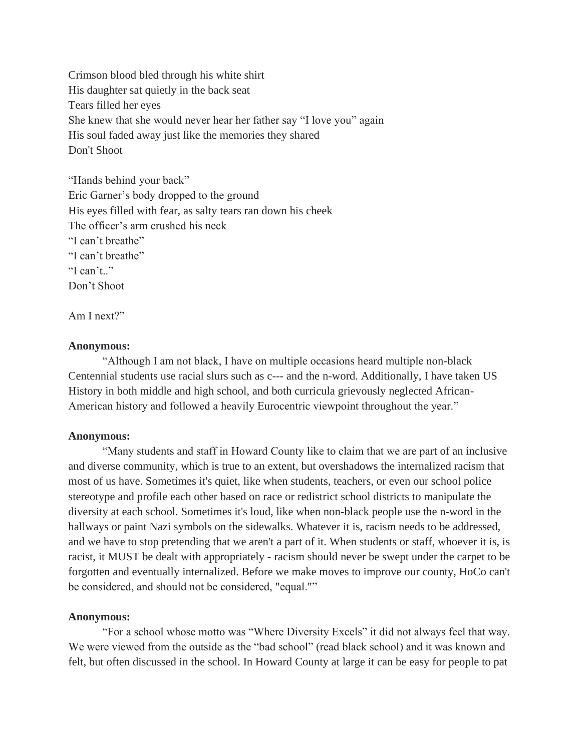Crimson blood bled through his white shirt His daughter sat quietly in the back seat Tears filled her eyes She knew that she would never hear her father say "I love you" again His soul faded away just like the memories they shared Don't Shoot

"Hands behind your back" Eric Garner's body dropped to the ground His eyes filled with fear, as salty tears ran down his cheek The officer's arm crushed his neck "I can't breathe" "I can't breathe" "I can't.." Don't Shoot

Am I next?"

# **Anonymous:**

"Although I am not black, I have on multiple occasions heard multiple non-black Centennial students use racial slurs such as c--- and the n-word. Additionally, I have taken US History in both middle and high school, and both curricula grievously neglected African-American history and followed a heavily Eurocentric viewpoint throughout the year."

# **Anonymous:**

"Many students and staff in Howard County like to claim that we are part of an inclusive and diverse community, which is true to an extent, but overshadows the internalized racism that most of us have. Sometimes it's quiet, like when students, teachers, or even our school police stereotype and profile each other based on race or redistrict school districts to manipulate the diversity at each school. Sometimes it's loud, like when non-black people use the n-word in the hallways or paint Nazi symbols on the sidewalks. Whatever it is, racism needs to be addressed, and we have to stop pretending that we aren't a part of it. When students or staff, whoever it is, is racist, it MUST be dealt with appropriately - racism should never be swept under the carpet to be forgotten and eventually internalized. Before we make moves to improve our county, HoCo can't be considered, and should not be considered, "equal.""

## **Anonymous:**

"For a school whose motto was "Where Diversity Excels" it did not always feel that way. We were viewed from the outside as the "bad school" (read black school) and it was known and felt, but often discussed in the school. In Howard County at large it can be easy for people to pat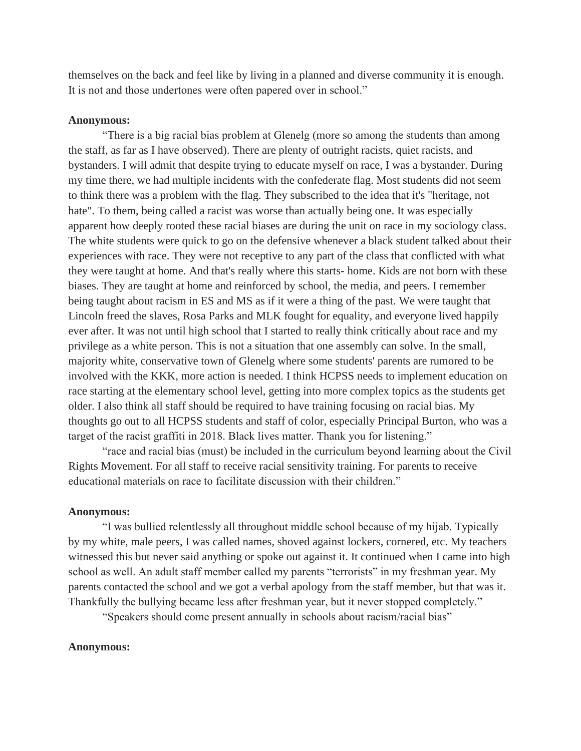themselves on the back and feel like by living in a planned and diverse community it is enough. It is not and those undertones were often papered over in school."

#### **Anonymous:**

"There is a big racial bias problem at Glenelg (more so among the students than among the staff, as far as I have observed). There are plenty of outright racists, quiet racists, and bystanders. I will admit that despite trying to educate myself on race, I was a bystander. During my time there, we had multiple incidents with the confederate flag. Most students did not seem to think there was a problem with the flag. They subscribed to the idea that it's "heritage, not hate". To them, being called a racist was worse than actually being one. It was especially apparent how deeply rooted these racial biases are during the unit on race in my sociology class. The white students were quick to go on the defensive whenever a black student talked about their experiences with race. They were not receptive to any part of the class that conflicted with what they were taught at home. And that's really where this starts- home. Kids are not born with these biases. They are taught at home and reinforced by school, the media, and peers. I remember being taught about racism in ES and MS as if it were a thing of the past. We were taught that Lincoln freed the slaves, Rosa Parks and MLK fought for equality, and everyone lived happily ever after. It was not until high school that I started to really think critically about race and my privilege as a white person. This is not a situation that one assembly can solve. In the small, majority white, conservative town of Glenelg where some students' parents are rumored to be involved with the KKK, more action is needed. I think HCPSS needs to implement education on race starting at the elementary school level, getting into more complex topics as the students get older. I also think all staff should be required to have training focusing on racial bias. My thoughts go out to all HCPSS students and staff of color, especially Principal Burton, who was a target of the racist graffiti in 2018. Black lives matter. Thank you for listening."

"race and racial bias (must) be included in the curriculum beyond learning about the Civil Rights Movement. For all staff to receive racial sensitivity training. For parents to receive educational materials on race to facilitate discussion with their children."

### **Anonymous:**

"I was bullied relentlessly all throughout middle school because of my hijab. Typically by my white, male peers, I was called names, shoved against lockers, cornered, etc. My teachers witnessed this but never said anything or spoke out against it. It continued when I came into high school as well. An adult staff member called my parents "terrorists" in my freshman year. My parents contacted the school and we got a verbal apology from the staff member, but that was it. Thankfully the bullying became less after freshman year, but it never stopped completely."

"Speakers should come present annually in schools about racism/racial bias"

# **Anonymous:**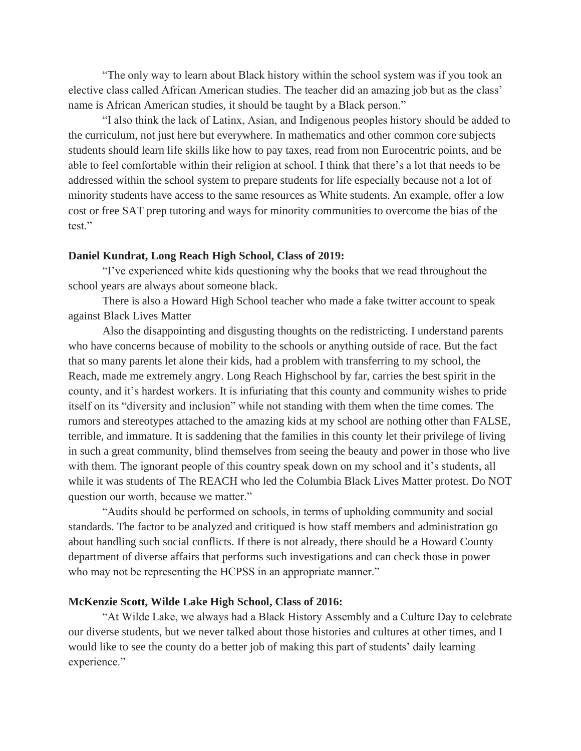"The only way to learn about Black history within the school system was if you took an elective class called African American studies. The teacher did an amazing job but as the class' name is African American studies, it should be taught by a Black person."

"I also think the lack of Latinx, Asian, and Indigenous peoples history should be added to the curriculum, not just here but everywhere. In mathematics and other common core subjects students should learn life skills like how to pay taxes, read from non Eurocentric points, and be able to feel comfortable within their religion at school. I think that there's a lot that needs to be addressed within the school system to prepare students for life especially because not a lot of minority students have access to the same resources as White students. An example, offer a low cost or free SAT prep tutoring and ways for minority communities to overcome the bias of the test."

## **Daniel Kundrat, Long Reach High School, Class of 2019:**

"I've experienced white kids questioning why the books that we read throughout the school years are always about someone black.

There is also a Howard High School teacher who made a fake twitter account to speak against Black Lives Matter

Also the disappointing and disgusting thoughts on the redistricting. I understand parents who have concerns because of mobility to the schools or anything outside of race. But the fact that so many parents let alone their kids, had a problem with transferring to my school, the Reach, made me extremely angry. Long Reach Highschool by far, carries the best spirit in the county, and it's hardest workers. It is infuriating that this county and community wishes to pride itself on its "diversity and inclusion" while not standing with them when the time comes. The rumors and stereotypes attached to the amazing kids at my school are nothing other than FALSE, terrible, and immature. It is saddening that the families in this county let their privilege of living in such a great community, blind themselves from seeing the beauty and power in those who live with them. The ignorant people of this country speak down on my school and it's students, all while it was students of The REACH who led the Columbia Black Lives Matter protest. Do NOT question our worth, because we matter."

"Audits should be performed on schools, in terms of upholding community and social standards. The factor to be analyzed and critiqued is how staff members and administration go about handling such social conflicts. If there is not already, there should be a Howard County department of diverse affairs that performs such investigations and can check those in power who may not be representing the HCPSS in an appropriate manner."

## **McKenzie Scott, Wilde Lake High School, Class of 2016:**

"At Wilde Lake, we always had a Black History Assembly and a Culture Day to celebrate our diverse students, but we never talked about those histories and cultures at other times, and I would like to see the county do a better job of making this part of students' daily learning experience."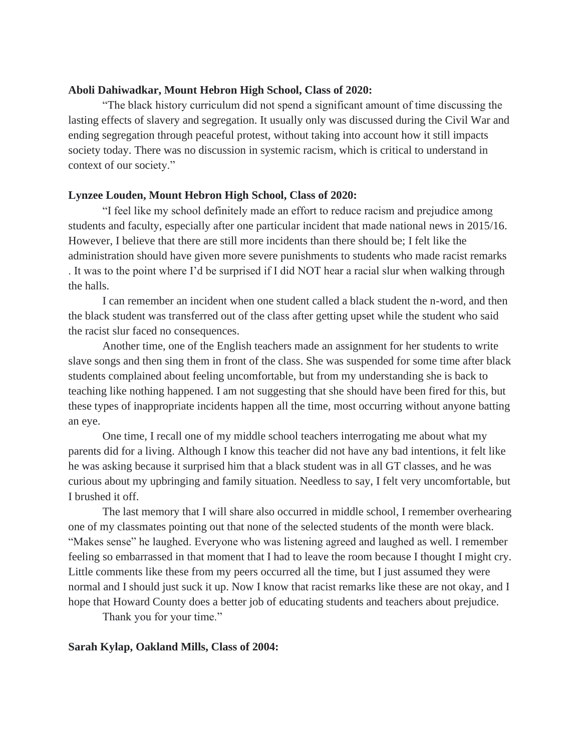# **Aboli Dahiwadkar, Mount Hebron High School, Class of 2020:**

"The black history curriculum did not spend a significant amount of time discussing the lasting effects of slavery and segregation. It usually only was discussed during the Civil War and ending segregation through peaceful protest, without taking into account how it still impacts society today. There was no discussion in systemic racism, which is critical to understand in context of our society."

# **Lynzee Louden, Mount Hebron High School, Class of 2020:**

"I feel like my school definitely made an effort to reduce racism and prejudice among students and faculty, especially after one particular incident that made national news in 2015/16. However, I believe that there are still more incidents than there should be; I felt like the administration should have given more severe punishments to students who made racist remarks . It was to the point where I'd be surprised if I did NOT hear a racial slur when walking through the halls.

I can remember an incident when one student called a black student the n-word, and then the black student was transferred out of the class after getting upset while the student who said the racist slur faced no consequences.

Another time, one of the English teachers made an assignment for her students to write slave songs and then sing them in front of the class. She was suspended for some time after black students complained about feeling uncomfortable, but from my understanding she is back to teaching like nothing happened. I am not suggesting that she should have been fired for this, but these types of inappropriate incidents happen all the time, most occurring without anyone batting an eye.

One time, I recall one of my middle school teachers interrogating me about what my parents did for a living. Although I know this teacher did not have any bad intentions, it felt like he was asking because it surprised him that a black student was in all GT classes, and he was curious about my upbringing and family situation. Needless to say, I felt very uncomfortable, but I brushed it off.

The last memory that I will share also occurred in middle school, I remember overhearing one of my classmates pointing out that none of the selected students of the month were black. "Makes sense" he laughed. Everyone who was listening agreed and laughed as well. I remember feeling so embarrassed in that moment that I had to leave the room because I thought I might cry. Little comments like these from my peers occurred all the time, but I just assumed they were normal and I should just suck it up. Now I know that racist remarks like these are not okay, and I hope that Howard County does a better job of educating students and teachers about prejudice.

Thank you for your time."

## **Sarah Kylap, Oakland Mills, Class of 2004:**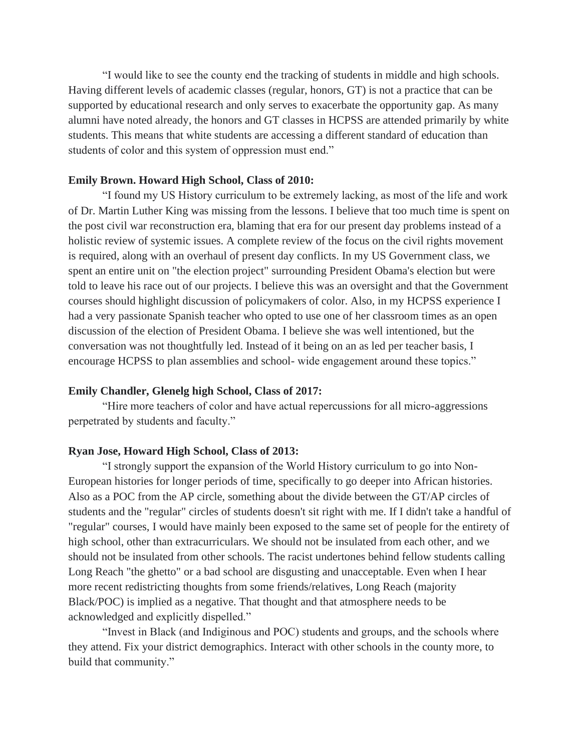"I would like to see the county end the tracking of students in middle and high schools. Having different levels of academic classes (regular, honors, GT) is not a practice that can be supported by educational research and only serves to exacerbate the opportunity gap. As many alumni have noted already, the honors and GT classes in HCPSS are attended primarily by white students. This means that white students are accessing a different standard of education than students of color and this system of oppression must end."

# **Emily Brown. Howard High School, Class of 2010:**

"I found my US History curriculum to be extremely lacking, as most of the life and work of Dr. Martin Luther King was missing from the lessons. I believe that too much time is spent on the post civil war reconstruction era, blaming that era for our present day problems instead of a holistic review of systemic issues. A complete review of the focus on the civil rights movement is required, along with an overhaul of present day conflicts. In my US Government class, we spent an entire unit on "the election project" surrounding President Obama's election but were told to leave his race out of our projects. I believe this was an oversight and that the Government courses should highlight discussion of policymakers of color. Also, in my HCPSS experience I had a very passionate Spanish teacher who opted to use one of her classroom times as an open discussion of the election of President Obama. I believe she was well intentioned, but the conversation was not thoughtfully led. Instead of it being on an as led per teacher basis, I encourage HCPSS to plan assemblies and school- wide engagement around these topics."

# **Emily Chandler, Glenelg high School, Class of 2017:**

"Hire more teachers of color and have actual repercussions for all micro-aggressions perpetrated by students and faculty."

### **Ryan Jose, Howard High School, Class of 2013:**

"I strongly support the expansion of the World History curriculum to go into Non-European histories for longer periods of time, specifically to go deeper into African histories. Also as a POC from the AP circle, something about the divide between the GT/AP circles of students and the "regular" circles of students doesn't sit right with me. If I didn't take a handful of "regular" courses, I would have mainly been exposed to the same set of people for the entirety of high school, other than extracurriculars. We should not be insulated from each other, and we should not be insulated from other schools. The racist undertones behind fellow students calling Long Reach "the ghetto" or a bad school are disgusting and unacceptable. Even when I hear more recent redistricting thoughts from some friends/relatives, Long Reach (majority Black/POC) is implied as a negative. That thought and that atmosphere needs to be acknowledged and explicitly dispelled."

"Invest in Black (and Indiginous and POC) students and groups, and the schools where they attend. Fix your district demographics. Interact with other schools in the county more, to build that community."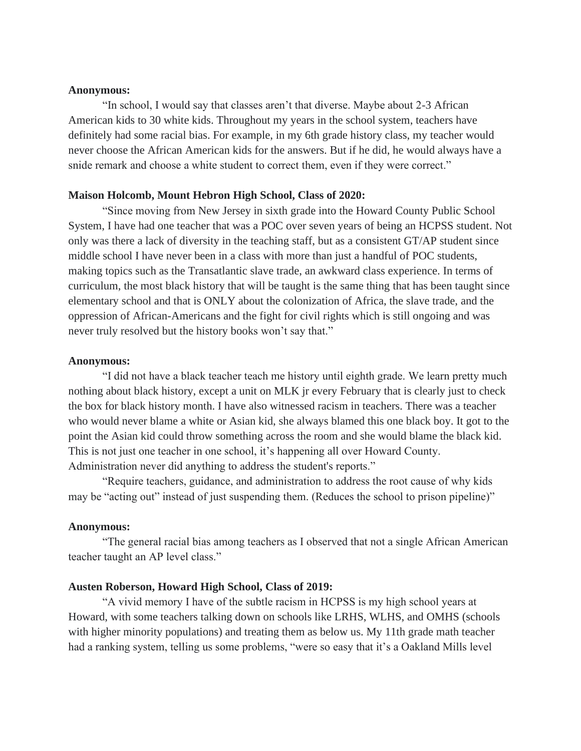## **Anonymous:**

"In school, I would say that classes aren't that diverse. Maybe about 2-3 African American kids to 30 white kids. Throughout my years in the school system, teachers have definitely had some racial bias. For example, in my 6th grade history class, my teacher would never choose the African American kids for the answers. But if he did, he would always have a snide remark and choose a white student to correct them, even if they were correct."

## **Maison Holcomb, Mount Hebron High School, Class of 2020:**

"Since moving from New Jersey in sixth grade into the Howard County Public School System, I have had one teacher that was a POC over seven years of being an HCPSS student. Not only was there a lack of diversity in the teaching staff, but as a consistent GT/AP student since middle school I have never been in a class with more than just a handful of POC students, making topics such as the Transatlantic slave trade, an awkward class experience. In terms of curriculum, the most black history that will be taught is the same thing that has been taught since elementary school and that is ONLY about the colonization of Africa, the slave trade, and the oppression of African-Americans and the fight for civil rights which is still ongoing and was never truly resolved but the history books won't say that."

### **Anonymous:**

"I did not have a black teacher teach me history until eighth grade. We learn pretty much nothing about black history, except a unit on MLK jr every February that is clearly just to check the box for black history month. I have also witnessed racism in teachers. There was a teacher who would never blame a white or Asian kid, she always blamed this one black boy. It got to the point the Asian kid could throw something across the room and she would blame the black kid. This is not just one teacher in one school, it's happening all over Howard County. Administration never did anything to address the student's reports."

"Require teachers, guidance, and administration to address the root cause of why kids may be "acting out" instead of just suspending them. (Reduces the school to prison pipeline)"

### **Anonymous:**

"The general racial bias among teachers as I observed that not a single African American teacher taught an AP level class."

## **Austen Roberson, Howard High School, Class of 2019:**

"A vivid memory I have of the subtle racism in HCPSS is my high school years at Howard, with some teachers talking down on schools like LRHS, WLHS, and OMHS (schools with higher minority populations) and treating them as below us. My 11th grade math teacher had a ranking system, telling us some problems, "were so easy that it's a Oakland Mills level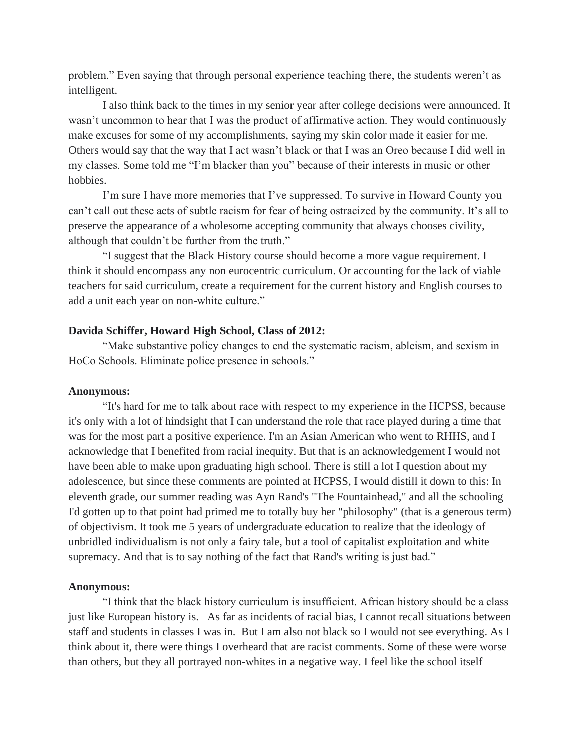problem." Even saying that through personal experience teaching there, the students weren't as intelligent.

I also think back to the times in my senior year after college decisions were announced. It wasn't uncommon to hear that I was the product of affirmative action. They would continuously make excuses for some of my accomplishments, saying my skin color made it easier for me. Others would say that the way that I act wasn't black or that I was an Oreo because I did well in my classes. Some told me "I'm blacker than you" because of their interests in music or other hobbies.

I'm sure I have more memories that I've suppressed. To survive in Howard County you can't call out these acts of subtle racism for fear of being ostracized by the community. It's all to preserve the appearance of a wholesome accepting community that always chooses civility, although that couldn't be further from the truth."

"I suggest that the Black History course should become a more vague requirement. I think it should encompass any non eurocentric curriculum. Or accounting for the lack of viable teachers for said curriculum, create a requirement for the current history and English courses to add a unit each year on non-white culture."

## **Davida Schiffer, Howard High School, Class of 2012:**

"Make substantive policy changes to end the systematic racism, ableism, and sexism in HoCo Schools. Eliminate police presence in schools."

## **Anonymous:**

"It's hard for me to talk about race with respect to my experience in the HCPSS, because it's only with a lot of hindsight that I can understand the role that race played during a time that was for the most part a positive experience. I'm an Asian American who went to RHHS, and I acknowledge that I benefited from racial inequity. But that is an acknowledgement I would not have been able to make upon graduating high school. There is still a lot I question about my adolescence, but since these comments are pointed at HCPSS, I would distill it down to this: In eleventh grade, our summer reading was Ayn Rand's "The Fountainhead," and all the schooling I'd gotten up to that point had primed me to totally buy her "philosophy" (that is a generous term) of objectivism. It took me 5 years of undergraduate education to realize that the ideology of unbridled individualism is not only a fairy tale, but a tool of capitalist exploitation and white supremacy. And that is to say nothing of the fact that Rand's writing is just bad."

## **Anonymous:**

"I think that the black history curriculum is insufficient. African history should be a class just like European history is. As far as incidents of racial bias, I cannot recall situations between staff and students in classes I was in. But I am also not black so I would not see everything. As I think about it, there were things I overheard that are racist comments. Some of these were worse than others, but they all portrayed non-whites in a negative way. I feel like the school itself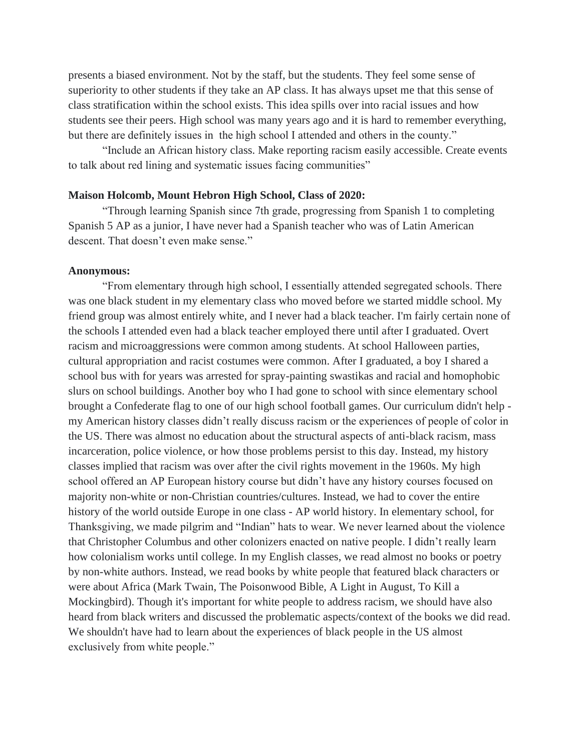presents a biased environment. Not by the staff, but the students. They feel some sense of superiority to other students if they take an AP class. It has always upset me that this sense of class stratification within the school exists. This idea spills over into racial issues and how students see their peers. High school was many years ago and it is hard to remember everything, but there are definitely issues in the high school I attended and others in the county."

"Include an African history class. Make reporting racism easily accessible. Create events to talk about red lining and systematic issues facing communities"

## **Maison Holcomb, Mount Hebron High School, Class of 2020:**

"Through learning Spanish since 7th grade, progressing from Spanish 1 to completing Spanish 5 AP as a junior, I have never had a Spanish teacher who was of Latin American descent. That doesn't even make sense."

## **Anonymous:**

"From elementary through high school, I essentially attended segregated schools. There was one black student in my elementary class who moved before we started middle school. My friend group was almost entirely white, and I never had a black teacher. I'm fairly certain none of the schools I attended even had a black teacher employed there until after I graduated. Overt racism and microaggressions were common among students. At school Halloween parties, cultural appropriation and racist costumes were common. After I graduated, a boy I shared a school bus with for years was arrested for spray-painting swastikas and racial and homophobic slurs on school buildings. Another boy who I had gone to school with since elementary school brought a Confederate flag to one of our high school football games. Our curriculum didn't help my American history classes didn't really discuss racism or the experiences of people of color in the US. There was almost no education about the structural aspects of anti-black racism, mass incarceration, police violence, or how those problems persist to this day. Instead, my history classes implied that racism was over after the civil rights movement in the 1960s. My high school offered an AP European history course but didn't have any history courses focused on majority non-white or non-Christian countries/cultures. Instead, we had to cover the entire history of the world outside Europe in one class - AP world history. In elementary school, for Thanksgiving, we made pilgrim and "Indian" hats to wear. We never learned about the violence that Christopher Columbus and other colonizers enacted on native people. I didn't really learn how colonialism works until college. In my English classes, we read almost no books or poetry by non-white authors. Instead, we read books by white people that featured black characters or were about Africa (Mark Twain, The Poisonwood Bible, A Light in August, To Kill a Mockingbird). Though it's important for white people to address racism, we should have also heard from black writers and discussed the problematic aspects/context of the books we did read. We shouldn't have had to learn about the experiences of black people in the US almost exclusively from white people."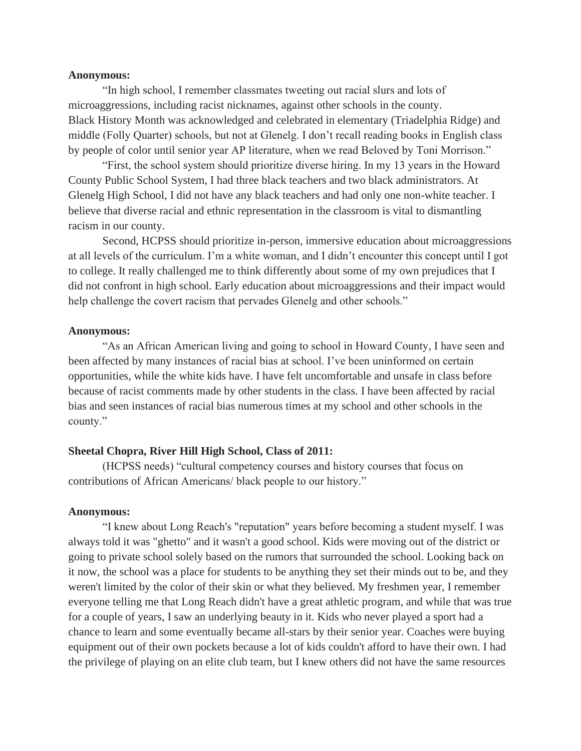### **Anonymous:**

"In high school, I remember classmates tweeting out racial slurs and lots of microaggressions, including racist nicknames, against other schools in the county. Black History Month was acknowledged and celebrated in elementary (Triadelphia Ridge) and middle (Folly Quarter) schools, but not at Glenelg. I don't recall reading books in English class by people of color until senior year AP literature, when we read Beloved by Toni Morrison."

"First, the school system should prioritize diverse hiring. In my 13 years in the Howard County Public School System, I had three black teachers and two black administrators. At Glenelg High School, I did not have any black teachers and had only one non-white teacher. I believe that diverse racial and ethnic representation in the classroom is vital to dismantling racism in our county.

Second, HCPSS should prioritize in-person, immersive education about microaggressions at all levels of the curriculum. I'm a white woman, and I didn't encounter this concept until I got to college. It really challenged me to think differently about some of my own prejudices that I did not confront in high school. Early education about microaggressions and their impact would help challenge the covert racism that pervades Glenelg and other schools."

### **Anonymous:**

"As an African American living and going to school in Howard County, I have seen and been affected by many instances of racial bias at school. I've been uninformed on certain opportunities, while the white kids have. I have felt uncomfortable and unsafe in class before because of racist comments made by other students in the class. I have been affected by racial bias and seen instances of racial bias numerous times at my school and other schools in the county."

### **Sheetal Chopra, River Hill High School, Class of 2011:**

(HCPSS needs) "cultural competency courses and history courses that focus on contributions of African Americans/ black people to our history."

### **Anonymous:**

"I knew about Long Reach's "reputation" years before becoming a student myself. I was always told it was "ghetto" and it wasn't a good school. Kids were moving out of the district or going to private school solely based on the rumors that surrounded the school. Looking back on it now, the school was a place for students to be anything they set their minds out to be, and they weren't limited by the color of their skin or what they believed. My freshmen year, I remember everyone telling me that Long Reach didn't have a great athletic program, and while that was true for a couple of years, I saw an underlying beauty in it. Kids who never played a sport had a chance to learn and some eventually became all-stars by their senior year. Coaches were buying equipment out of their own pockets because a lot of kids couldn't afford to have their own. I had the privilege of playing on an elite club team, but I knew others did not have the same resources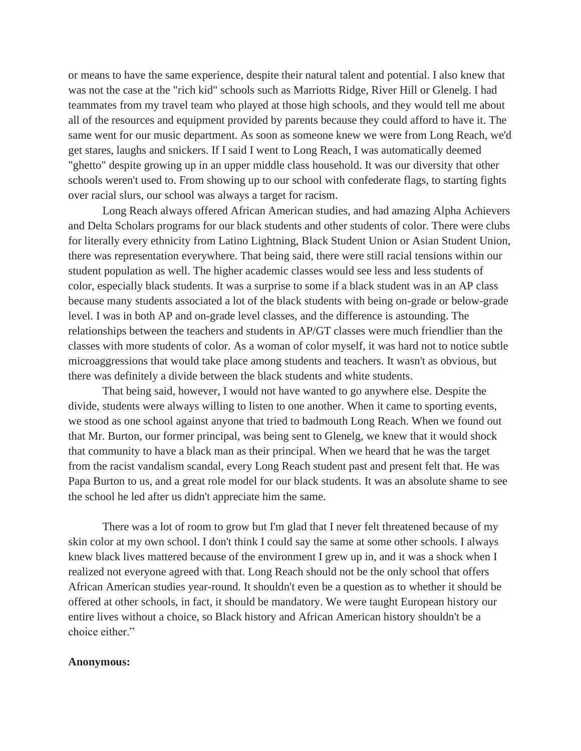or means to have the same experience, despite their natural talent and potential. I also knew that was not the case at the "rich kid" schools such as Marriotts Ridge, River Hill or Glenelg. I had teammates from my travel team who played at those high schools, and they would tell me about all of the resources and equipment provided by parents because they could afford to have it. The same went for our music department. As soon as someone knew we were from Long Reach, we'd get stares, laughs and snickers. If I said I went to Long Reach, I was automatically deemed "ghetto" despite growing up in an upper middle class household. It was our diversity that other schools weren't used to. From showing up to our school with confederate flags, to starting fights over racial slurs, our school was always a target for racism.

Long Reach always offered African American studies, and had amazing Alpha Achievers and Delta Scholars programs for our black students and other students of color. There were clubs for literally every ethnicity from Latino Lightning, Black Student Union or Asian Student Union, there was representation everywhere. That being said, there were still racial tensions within our student population as well. The higher academic classes would see less and less students of color, especially black students. It was a surprise to some if a black student was in an AP class because many students associated a lot of the black students with being on-grade or below-grade level. I was in both AP and on-grade level classes, and the difference is astounding. The relationships between the teachers and students in AP/GT classes were much friendlier than the classes with more students of color. As a woman of color myself, it was hard not to notice subtle microaggressions that would take place among students and teachers. It wasn't as obvious, but there was definitely a divide between the black students and white students.

That being said, however, I would not have wanted to go anywhere else. Despite the divide, students were always willing to listen to one another. When it came to sporting events, we stood as one school against anyone that tried to badmouth Long Reach. When we found out that Mr. Burton, our former principal, was being sent to Glenelg, we knew that it would shock that community to have a black man as their principal. When we heard that he was the target from the racist vandalism scandal, every Long Reach student past and present felt that. He was Papa Burton to us, and a great role model for our black students. It was an absolute shame to see the school he led after us didn't appreciate him the same.

There was a lot of room to grow but I'm glad that I never felt threatened because of my skin color at my own school. I don't think I could say the same at some other schools. I always knew black lives mattered because of the environment I grew up in, and it was a shock when I realized not everyone agreed with that. Long Reach should not be the only school that offers African American studies year-round. It shouldn't even be a question as to whether it should be offered at other schools, in fact, it should be mandatory. We were taught European history our entire lives without a choice, so Black history and African American history shouldn't be a choice either."

## **Anonymous:**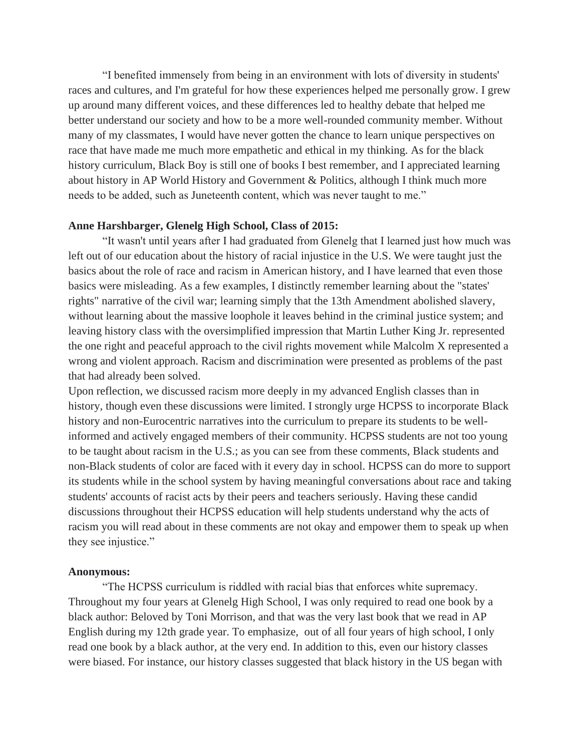"I benefited immensely from being in an environment with lots of diversity in students' races and cultures, and I'm grateful for how these experiences helped me personally grow. I grew up around many different voices, and these differences led to healthy debate that helped me better understand our society and how to be a more well-rounded community member. Without many of my classmates, I would have never gotten the chance to learn unique perspectives on race that have made me much more empathetic and ethical in my thinking. As for the black history curriculum, Black Boy is still one of books I best remember, and I appreciated learning about history in AP World History and Government & Politics, although I think much more needs to be added, such as Juneteenth content, which was never taught to me."

### **Anne Harshbarger, Glenelg High School, Class of 2015:**

"It wasn't until years after I had graduated from Glenelg that I learned just how much was left out of our education about the history of racial injustice in the U.S. We were taught just the basics about the role of race and racism in American history, and I have learned that even those basics were misleading. As a few examples, I distinctly remember learning about the "states' rights" narrative of the civil war; learning simply that the 13th Amendment abolished slavery, without learning about the massive loophole it leaves behind in the criminal justice system; and leaving history class with the oversimplified impression that Martin Luther King Jr. represented the one right and peaceful approach to the civil rights movement while Malcolm X represented a wrong and violent approach. Racism and discrimination were presented as problems of the past that had already been solved.

Upon reflection, we discussed racism more deeply in my advanced English classes than in history, though even these discussions were limited. I strongly urge HCPSS to incorporate Black history and non-Eurocentric narratives into the curriculum to prepare its students to be wellinformed and actively engaged members of their community. HCPSS students are not too young to be taught about racism in the U.S.; as you can see from these comments, Black students and non-Black students of color are faced with it every day in school. HCPSS can do more to support its students while in the school system by having meaningful conversations about race and taking students' accounts of racist acts by their peers and teachers seriously. Having these candid discussions throughout their HCPSS education will help students understand why the acts of racism you will read about in these comments are not okay and empower them to speak up when they see injustice."

#### **Anonymous:**

"The HCPSS curriculum is riddled with racial bias that enforces white supremacy. Throughout my four years at Glenelg High School, I was only required to read one book by a black author: Beloved by Toni Morrison, and that was the very last book that we read in AP English during my 12th grade year. To emphasize, out of all four years of high school, I only read one book by a black author, at the very end. In addition to this, even our history classes were biased. For instance, our history classes suggested that black history in the US began with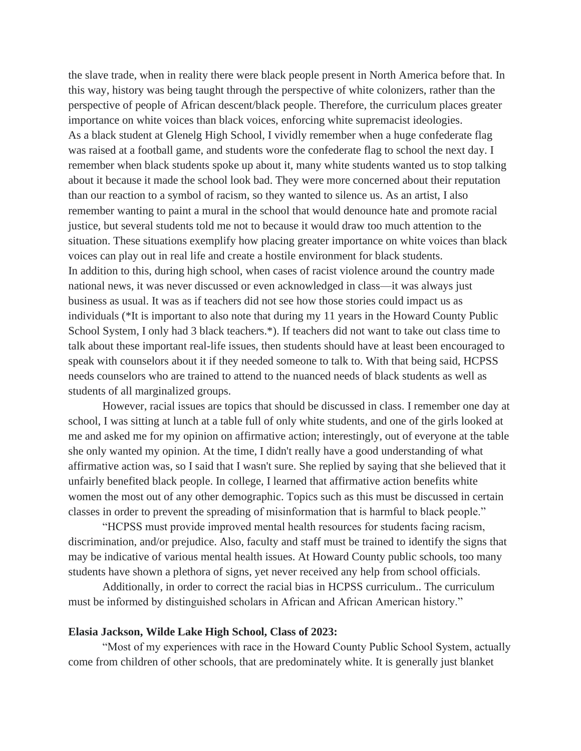the slave trade, when in reality there were black people present in North America before that. In this way, history was being taught through the perspective of white colonizers, rather than the perspective of people of African descent/black people. Therefore, the curriculum places greater importance on white voices than black voices, enforcing white supremacist ideologies. As a black student at Glenelg High School, I vividly remember when a huge confederate flag was raised at a football game, and students wore the confederate flag to school the next day. I remember when black students spoke up about it, many white students wanted us to stop talking about it because it made the school look bad. They were more concerned about their reputation than our reaction to a symbol of racism, so they wanted to silence us. As an artist, I also remember wanting to paint a mural in the school that would denounce hate and promote racial justice, but several students told me not to because it would draw too much attention to the situation. These situations exemplify how placing greater importance on white voices than black voices can play out in real life and create a hostile environment for black students. In addition to this, during high school, when cases of racist violence around the country made national news, it was never discussed or even acknowledged in class—it was always just business as usual. It was as if teachers did not see how those stories could impact us as individuals (\*It is important to also note that during my 11 years in the Howard County Public School System, I only had 3 black teachers.\*). If teachers did not want to take out class time to talk about these important real-life issues, then students should have at least been encouraged to speak with counselors about it if they needed someone to talk to. With that being said, HCPSS needs counselors who are trained to attend to the nuanced needs of black students as well as students of all marginalized groups.

However, racial issues are topics that should be discussed in class. I remember one day at school, I was sitting at lunch at a table full of only white students, and one of the girls looked at me and asked me for my opinion on affirmative action; interestingly, out of everyone at the table she only wanted my opinion. At the time, I didn't really have a good understanding of what affirmative action was, so I said that I wasn't sure. She replied by saying that she believed that it unfairly benefited black people. In college, I learned that affirmative action benefits white women the most out of any other demographic. Topics such as this must be discussed in certain classes in order to prevent the spreading of misinformation that is harmful to black people."

"HCPSS must provide improved mental health resources for students facing racism, discrimination, and/or prejudice. Also, faculty and staff must be trained to identify the signs that may be indicative of various mental health issues. At Howard County public schools, too many students have shown a plethora of signs, yet never received any help from school officials.

Additionally, in order to correct the racial bias in HCPSS curriculum.. The curriculum must be informed by distinguished scholars in African and African American history."

### **Elasia Jackson, Wilde Lake High School, Class of 2023:**

"Most of my experiences with race in the Howard County Public School System, actually come from children of other schools, that are predominately white. It is generally just blanket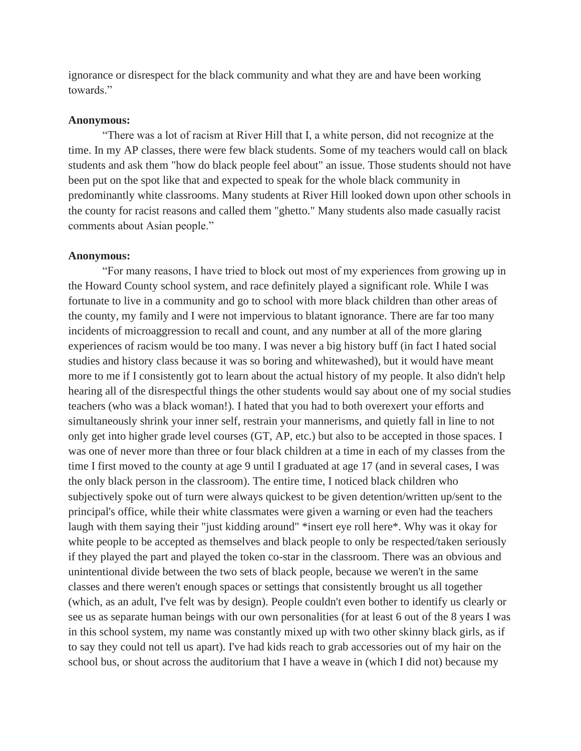ignorance or disrespect for the black community and what they are and have been working towards."

#### **Anonymous:**

"There was a lot of racism at River Hill that I, a white person, did not recognize at the time. In my AP classes, there were few black students. Some of my teachers would call on black students and ask them "how do black people feel about" an issue. Those students should not have been put on the spot like that and expected to speak for the whole black community in predominantly white classrooms. Many students at River Hill looked down upon other schools in the county for racist reasons and called them "ghetto." Many students also made casually racist comments about Asian people."

### **Anonymous:**

"For many reasons, I have tried to block out most of my experiences from growing up in the Howard County school system, and race definitely played a significant role. While I was fortunate to live in a community and go to school with more black children than other areas of the county, my family and I were not impervious to blatant ignorance. There are far too many incidents of microaggression to recall and count, and any number at all of the more glaring experiences of racism would be too many. I was never a big history buff (in fact I hated social studies and history class because it was so boring and whitewashed), but it would have meant more to me if I consistently got to learn about the actual history of my people. It also didn't help hearing all of the disrespectful things the other students would say about one of my social studies teachers (who was a black woman!). I hated that you had to both overexert your efforts and simultaneously shrink your inner self, restrain your mannerisms, and quietly fall in line to not only get into higher grade level courses (GT, AP, etc.) but also to be accepted in those spaces. I was one of never more than three or four black children at a time in each of my classes from the time I first moved to the county at age 9 until I graduated at age 17 (and in several cases, I was the only black person in the classroom). The entire time, I noticed black children who subjectively spoke out of turn were always quickest to be given detention/written up/sent to the principal's office, while their white classmates were given a warning or even had the teachers laugh with them saying their "just kidding around" \*insert eye roll here\*. Why was it okay for white people to be accepted as themselves and black people to only be respected/taken seriously if they played the part and played the token co-star in the classroom. There was an obvious and unintentional divide between the two sets of black people, because we weren't in the same classes and there weren't enough spaces or settings that consistently brought us all together (which, as an adult, I've felt was by design). People couldn't even bother to identify us clearly or see us as separate human beings with our own personalities (for at least 6 out of the 8 years I was in this school system, my name was constantly mixed up with two other skinny black girls, as if to say they could not tell us apart). I've had kids reach to grab accessories out of my hair on the school bus, or shout across the auditorium that I have a weave in (which I did not) because my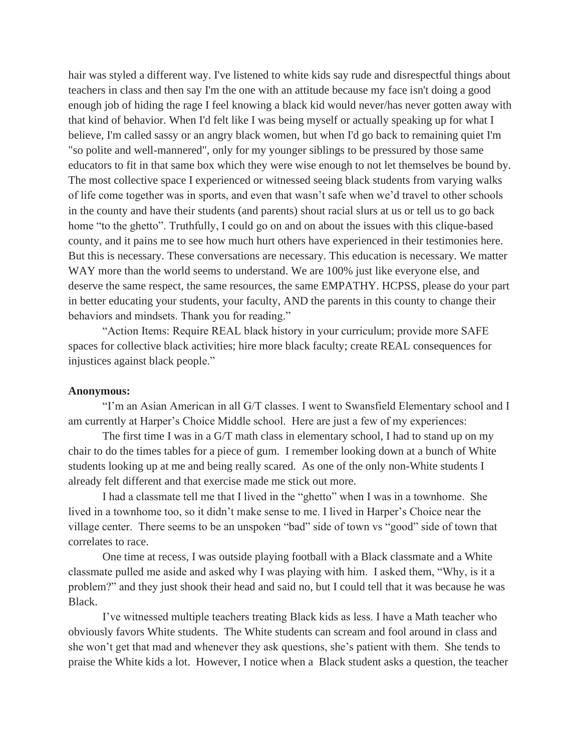hair was styled a different way. I've listened to white kids say rude and disrespectful things about teachers in class and then say I'm the one with an attitude because my face isn't doing a good enough job of hiding the rage I feel knowing a black kid would never/has never gotten away with that kind of behavior. When I'd felt like I was being myself or actually speaking up for what I believe, I'm called sassy or an angry black women, but when I'd go back to remaining quiet I'm "so polite and well-mannered", only for my younger siblings to be pressured by those same educators to fit in that same box which they were wise enough to not let themselves be bound by. The most collective space I experienced or witnessed seeing black students from varying walks of life come together was in sports, and even that wasn't safe when we'd travel to other schools in the county and have their students (and parents) shout racial slurs at us or tell us to go back home "to the ghetto". Truthfully, I could go on and on about the issues with this clique-based county, and it pains me to see how much hurt others have experienced in their testimonies here. But this is necessary. These conversations are necessary. This education is necessary. We matter WAY more than the world seems to understand. We are 100% just like everyone else, and deserve the same respect, the same resources, the same EMPATHY. HCPSS, please do your part in better educating your students, your faculty, AND the parents in this county to change their behaviors and mindsets. Thank you for reading."

"Action Items: Require REAL black history in your curriculum; provide more SAFE spaces for collective black activities; hire more black faculty; create REAL consequences for injustices against black people."

## **Anonymous:**

"I'm an Asian American in all G/T classes. I went to Swansfield Elementary school and I am currently at Harper's Choice Middle school. Here are just a few of my experiences:

The first time I was in a G/T math class in elementary school, I had to stand up on my chair to do the times tables for a piece of gum. I remember looking down at a bunch of White students looking up at me and being really scared. As one of the only non-White students I already felt different and that exercise made me stick out more.

I had a classmate tell me that I lived in the "ghetto" when I was in a townhome. She lived in a townhome too, so it didn't make sense to me. I lived in Harper's Choice near the village center. There seems to be an unspoken "bad" side of town vs "good" side of town that correlates to race.

One time at recess, I was outside playing football with a Black classmate and a White classmate pulled me aside and asked why I was playing with him. I asked them, "Why, is it a problem?" and they just shook their head and said no, but I could tell that it was because he was Black.

I've witnessed multiple teachers treating Black kids as less. I have a Math teacher who obviously favors White students. The White students can scream and fool around in class and she won't get that mad and whenever they ask questions, she's patient with them. She tends to praise the White kids a lot. However, I notice when a Black student asks a question, the teacher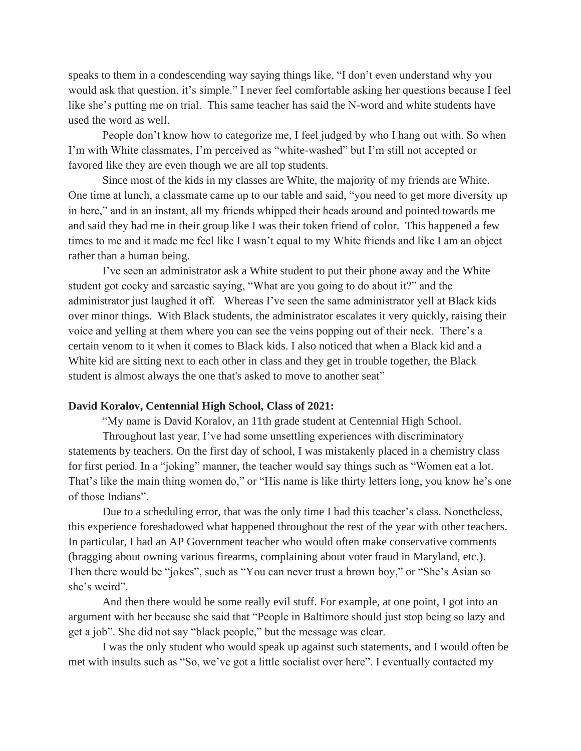speaks to them in a condescending way saying things like, "I don't even understand why you would ask that question, it's simple." I never feel comfortable asking her questions because I feel like she's putting me on trial. This same teacher has said the N-word and white students have used the word as well.

People don't know how to categorize me, I feel judged by who I hang out with. So when I'm with White classmates, I'm perceived as "white-washed" but I'm still not accepted or favored like they are even though we are all top students.

Since most of the kids in my classes are White, the majority of my friends are White. One time at lunch, a classmate came up to our table and said, "you need to get more diversity up in here," and in an instant, all my friends whipped their heads around and pointed towards me and said they had me in their group like I was their token friend of color. This happened a few times to me and it made me feel like I wasn't equal to my White friends and like I am an object rather than a human being.

I've seen an administrator ask a White student to put their phone away and the White student got cocky and sarcastic saying, "What are you going to do about it?" and the administrator just laughed it off. Whereas I've seen the same administrator yell at Black kids over minor things. With Black students, the administrator escalates it very quickly, raising their voice and yelling at them where you can see the veins popping out of their neck. There's a certain venom to it when it comes to Black kids. I also noticed that when a Black kid and a White kid are sitting next to each other in class and they get in trouble together, the Black student is almost always the one that's asked to move to another seat"

### **David Koralov, Centennial High School, Class of 2021:**

"My name is David Koralov, an 11th grade student at Centennial High School.

Throughout last year, I've had some unsettling experiences with discriminatory statements by teachers. On the first day of school, I was mistakenly placed in a chemistry class for first period. In a "joking" manner, the teacher would say things such as "Women eat a lot. That's like the main thing women do," or "His name is like thirty letters long, you know he's one of those Indians".

Due to a scheduling error, that was the only time I had this teacher's class. Nonetheless, this experience foreshadowed what happened throughout the rest of the year with other teachers. In particular, I had an AP Government teacher who would often make conservative comments (bragging about owning various firearms, complaining about voter fraud in Maryland, etc.). Then there would be "jokes", such as "You can never trust a brown boy," or "She's Asian so she's weird".

And then there would be some really evil stuff. For example, at one point, I got into an argument with her because she said that "People in Baltimore should just stop being so lazy and get a job". She did not say "black people," but the message was clear.

I was the only student who would speak up against such statements, and I would often be met with insults such as "So, we've got a little socialist over here". I eventually contacted my